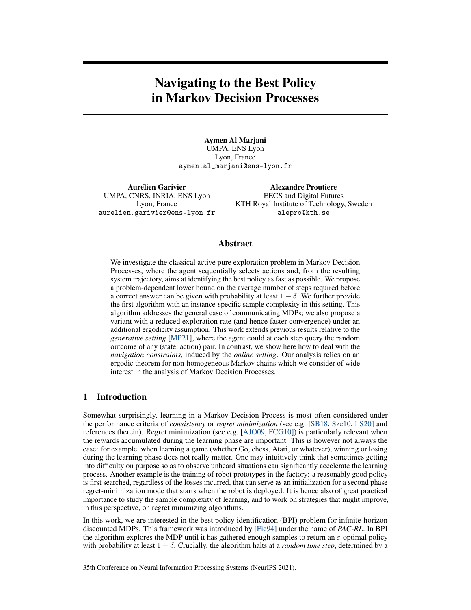# Navigating to the Best Policy in Markov Decision Processes

Aymen Al Marjani UMPA, ENS Lyon Lyon, France aymen.al\_marjani@ens-lyon.fr

Aurélien Garivier UMPA, CNRS, INRIA, ENS Lyon Lyon, France aurelien.garivier@ens-lyon.fr

Alexandre Proutiere EECS and Digital Futures KTH Royal Institute of Technology, Sweden alepro@kth.se

# Abstract

We investigate the classical active pure exploration problem in Markov Decision Processes, where the agent sequentially selects actions and, from the resulting system trajectory, aims at identifying the best policy as fast as possible. We propose a problem-dependent lower bound on the average number of steps required before a correct answer can be given with probability at least  $1 - \delta$ . We further provide the first algorithm with an instance-specific sample complexity in this setting. This algorithm addresses the general case of communicating MDPs; we also propose a variant with a reduced exploration rate (and hence faster convergence) under an additional ergodicity assumption. This work extends previous results relative to the *generative setting* [\[MP21\]](#page-12-0), where the agent could at each step query the random outcome of any (state, action) pair. In contrast, we show here how to deal with the *navigation constraints*, induced by the *online setting*. Our analysis relies on an ergodic theorem for non-homogeneous Markov chains which we consider of wide interest in the analysis of Markov Decision Processes.

# 1 Introduction

Somewhat surprisingly, learning in a Markov Decision Process is most often considered under the performance criteria of *consistency* or *regret minimization* (see e.g. [\[SB18,](#page-12-1) [Sze10,](#page-12-2) [LS20\]](#page-11-0) and references therein). Regret minimization (see e.g. [\[AJO09,](#page-10-0) [FCG10\]](#page-10-1)) is particularly relevant when the rewards accumulated during the learning phase are important. This is however not always the case: for example, when learning a game (whether Go, chess, Atari, or whatever), winning or losing during the learning phase does not really matter. One may intuitively think that sometimes getting into difficulty on purpose so as to observe unheard situations can significantly accelerate the learning process. Another example is the training of robot prototypes in the factory: a reasonably good policy is first searched, regardless of the losses incurred, that can serve as an initialization for a second phase regret-minimization mode that starts when the robot is deployed. It is hence also of great practical importance to study the sample complexity of learning, and to work on strategies that might improve, in this perspective, on regret minimizing algorithms.

In this work, we are interested in the best policy identification (BPI) problem for infinite-horizon discounted MDPs. This framework was introduced by [\[Fie94\]](#page-10-2) under the name of *PAC-RL*. In BPI the algorithm explores the MDP until it has gathered enough samples to return an  $\varepsilon$ -optimal policy with probability at least  $1 - \delta$ . Crucially, the algorithm halts at a *random time step*, determined by a

35th Conference on Neural Information Processing Systems (NeurIPS 2021).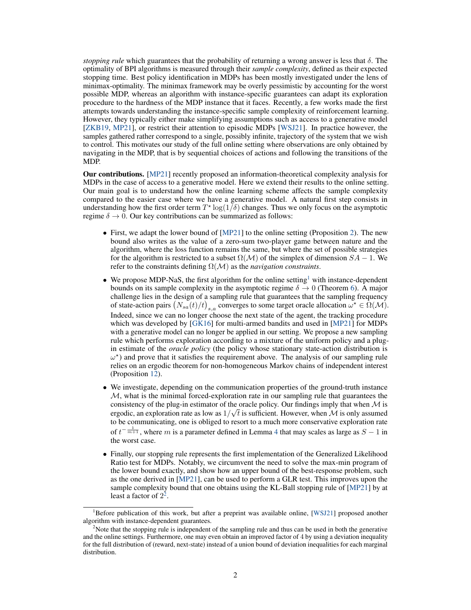*stopping rule* which guarantees that the probability of returning a wrong answer is less that  $\delta$ . The optimality of BPI algorithms is measured through their *sample complexity*, defined as their expected stopping time. Best policy identification in MDPs has been mostly investigated under the lens of minimax-optimality. The minimax framework may be overly pessimistic by accounting for the worst possible MDP, whereas an algorithm with instance-specific guarantees can adapt its exploration procedure to the hardness of the MDP instance that it faces. Recently, a few works made the first attempts towards understanding the instance-specific sample complexity of reinforcement learning. However, they typically either make simplifying assumptions such as access to a generative model [\[ZKB19,](#page-12-3) [MP21\]](#page-12-0), or restrict their attention to episodic MDPs [\[WSJ21\]](#page-12-4). In practice however, the samples gathered rather correspond to a single, possibly infinite, trajectory of the system that we wish to control. This motivates our study of the full online setting where observations are only obtained by navigating in the MDP, that is by sequential choices of actions and following the transitions of the MDP.

Our contributions. [\[MP21\]](#page-12-0) recently proposed an information-theoretical complexity analysis for MDPs in the case of access to a generative model. Here we extend their results to the online setting. Our main goal is to understand how the online learning scheme affects the sample complexity compared to the easier case where we have a generative model. A natural first step consists in understanding how the first order term  $T^* \log(1/\delta)$  changes. Thus we only focus on the asymptotic regime  $\delta \rightarrow 0$ . Our key contributions can be summarized as follows:

- First, we adapt the lower bound of [\[MP21\]](#page-12-0) to the online setting (Proposition [2\)](#page-4-0). The new bound also writes as the value of a zero-sum two-player game between nature and the algorithm, where the loss function remains the same, but where the set of possible strategies for the algorithm is restricted to a subset  $\Omega(\mathcal{M})$  of the simplex of dimension  $SA - 1$ . We refer to the constraints defining Ω(M) as the *navigation constraints*.
- We propose MDP-NaS, the first algorithm for the online setting<sup>[1](#page-1-0)</sup> with instance-dependent bounds on its sample complexity in the asymptotic regime  $\delta \to 0$  (Theorem [6\)](#page-7-0). A major challenge lies in the design of a sampling rule that guarantees that the sampling frequency of state-action pairs  $(N_{sa}(t)/t)_{s,a}$  converges to some target oracle allocation  $\omega^* \in \Omega(\mathcal{M})$ . Indeed, since we can no longer choose the next state of the agent, the tracking procedure which was developed by [\[GK16\]](#page-11-1) for multi-armed bandits and used in [\[MP21\]](#page-12-0) for MDPs with a generative model can no longer be applied in our setting. We propose a new sampling rule which performs exploration according to a mixture of the uniform policy and a plugin estimate of the *oracle policy* (the policy whose stationary state-action distribution is  $\omega^*$ ) and prove that it satisfies the requirement above. The analysis of our sampling rule relies on an ergodic theorem for non-homogeneous Markov chains of independent interest (Proposition [12\)](#page-21-0).
- We investigate, depending on the communication properties of the ground-truth instance  $M$ , what is the minimal forced-exploration rate in our sampling rule that guarantees the consistency of the plug-in estimator of the oracle policy. Our findings imply that when  $M$  is ergodic, an exploration rate as low as  $1/\sqrt{t}$  is sufficient. However, when M is only assumed to be communicating, one is obliged to resort to a much more conservative exploration rate of  $t^{-\frac{1}{m+1}}$ , where m is a parameter defined in Lemma [4](#page-6-0) that may scales as large as  $S - 1$  in the worst case.
- Finally, our stopping rule represents the first implementation of the Generalized Likelihood Ratio test for MDPs. Notably, we circumvent the need to solve the max-min program of the lower bound exactly, and show how an upper bound of the best-response problem, such as the one derived in [\[MP21\]](#page-12-0), can be used to perform a GLR test. This improves upon the sample complexity bound that one obtains using the KL-Ball stopping rule of [\[MP21\]](#page-12-0) by at least a factor of  $2^2$  $2^2$ .

<span id="page-1-0"></span> ${}^{1}$ Before publication of this work, but after a preprint was available online, [\[WSJ21\]](#page-12-4) proposed another algorithm with instance-dependent guarantees.

<span id="page-1-1"></span><sup>&</sup>lt;sup>2</sup>Note that the stopping rule is independent of the sampling rule and thus can be used in both the generative and the online settings. Furthermore, one may even obtain an improved factor of 4 by using a deviation inequality for the full distribution of (reward, next-state) instead of a union bound of deviation inequalities for each marginal distribution.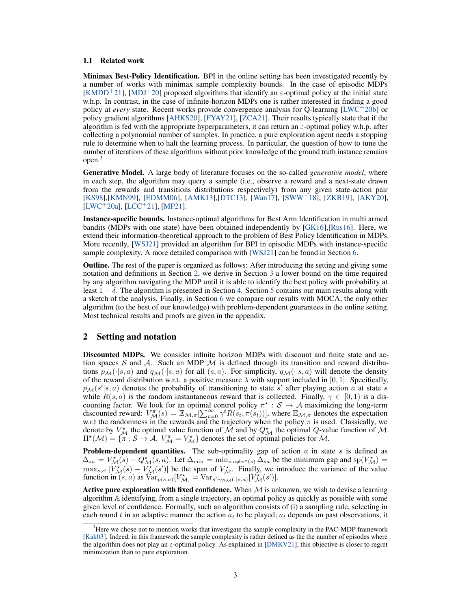#### 1.1 Related work

Minimax Best-Policy Identification. BPI in the online setting has been investigated recently by a number of works with minimax sample complexity bounds. In the case of episodic MDPs [\[KMDD](#page-11-2)<sup>+</sup>21], [\[MDJ](#page-11-3)<sup>+</sup>20] proposed algorithms that identify an  $\varepsilon$ -optimal policy at the initial state w.h.p. In contrast, in the case of infinite-horizon MDPs one is rather interested in finding a good policy at *every* state. Recent works provide convergence analysis for Q-learning [\[LWC](#page-11-4)<sup>+</sup>20b] or policy gradient algorithms [\[AHKS20\]](#page-10-3), [\[FYAY21\]](#page-10-4), [\[ZCA21\]](#page-12-5). Their results typically state that if the algorithm is fed with the appropriate hyperparameters, it can return an  $\varepsilon$ -optimal policy w.h.p. after collecting a polynomial number of samples. In practice, a pure exploration agent needs a stopping rule to determine when to halt the learning process. In particular, the question of how to tune the number of iterations of these algorithms without prior knowledge of the ground truth instance remains open.[3](#page-2-0)

Generative Model. A large body of literature focuses on the so-called *generative model*, where in each step, the algorithm may query a sample (i.e., observe a reward and a next-state drawn from the rewards and transitions distributions respectively) from any given state-action pair [\[KS98\]](#page-11-5),[\[KMN99\]](#page-11-6), [\[EDMM06\]](#page-10-5), [\[AMK13\]](#page-10-6),[\[DTC13\]](#page-10-7), [\[Wan17\]](#page-12-6), [\[SWW](#page-12-7)<sup>+</sup>18], [\[ZKB19\]](#page-12-3), [\[AKY20\]](#page-10-8),  $[LWC+20a]$  $[LWC+20a]$ ,  $[LCC+21]$  $[LCC+21]$ ,  $[MP21]$ .

Instance-specific bounds. Instance-optimal algorithms for Best Arm Identification in multi armed bandits (MDPs with one state) have been obtained independently by [\[GK16\]](#page-11-1),[\[Rus16\]](#page-12-8). Here, we extend their information-theoretical approach to the problem of Best Policy Identification in MDPs. More recently, [\[WSJ21\]](#page-12-4) provided an algorithm for BPI in episodic MDPs with instance-specific sample complexity. A more detailed comparison with [\[WSJ21\]](#page-12-4) can be found in Section [6.](#page-9-0)

Outline. The rest of the paper is organized as follows: After introducing the setting and giving some notation and definitions in Section [2,](#page-2-1) we derive in Section [3](#page-3-0) a lower bound on the time required by any algorithm navigating the MDP until it is able to identify the best policy with probability at least  $1 - \delta$ . The algorithm is presented in Section [4.](#page-5-0) Section [5](#page-7-1) contains our main results along with a sketch of the analysis. Finally, in Section [6](#page-9-0) we compare our results with MOCA, the only other algorithm (to the best of our knowledge) with problem-dependent guarantees in the online setting. Most technical results and proofs are given in the appendix.

## <span id="page-2-1"></span>2 Setting and notation

Discounted MDPs. We consider infinite horizon MDPs with discount and finite state and action spaces S and A. Such an MDP  $M$  is defined through its transition and reward distributions  $p_{\mathcal{M}}(\cdot|s, a)$  and  $q_{\mathcal{M}}(\cdot|s, a)$  for all  $(s, a)$ . For simplicity,  $q_{\mathcal{M}}(\cdot|s, a)$  will denote the density of the reward distribution w.r.t. a positive measure  $\lambda$  with support included in [0, 1]. Specifically,  $p_{\mathcal{M}}(s'|s, a)$  denotes the probability of transitioning to state s' after playing action a at state s while  $R(s, a)$  is the random instantaneous reward that is collected. Finally,  $\gamma \in [0, 1)$  is a discounting factor. We look for an optimal control policy  $\pi^* : S \to A$  maximizing the long-term discounted reward:  $V_M^{\pi}(s) = \mathbb{E}_{\mathcal{M}, \pi}[\sum_{t=0}^{\infty} \gamma^t R(s_t, \pi(s_t))]$ , where  $\mathbb{E}_{\mathcal{M}, \pi}$  denotes the expectation w.r.t the randomness in the rewards and the trajectory when the policy  $\pi$  is used. Classically, we denote by  $V_M^*$  the optimal value function of  $\tilde{M}$  and by  $Q_M^*$  the optimal  $Q$ -value function of  $M$ .  $\Pi^*(\mathcal{M}) = \{ \pi : \mathcal{S} \to \mathcal{A}, V_{\mathcal{M}}^{\pi} = V_{\mathcal{M}}^* \}$  denotes the set of optimal policies for  $\mathcal{M}$ .

**Problem-dependent quantities.** The sub-optimality gap of action a in state s is defined as  $\Delta_{sa} = V_{\mathcal{M}}^{\star}(\tilde{s}) - Q_{\mathcal{M}}^{\star}(\tilde{s}, a)$ . Let  $\Delta_{\min} = \min_{s, a \neq \pi^{\star}(s)} \Delta_{sa}$  be the minimum gap and sp $(V_{\mathcal{M}}^{\star}) =$  $\max_{s,s'} |V^*_{\mathcal{M}}(s) - V^*_{\mathcal{M}}(s')|$  be the span of  $V^*_{\mathcal{M}}$ . Finally, we introduce the variance of the value function in  $(s, a)$  as  $\text{Var}_{p(s,a)}[V^*_{\mathcal{M}}] = \text{Var}_{s' \sim p_{\mathcal{M}}(.|s,a)}[V^*_{\mathcal{M}}(s')].$ 

Active pure exploration with fixed confidence. When  $M$  is unknown, we wish to devise a learning algorithm A identifying, from a single trajectory, an optimal policy as quickly as possible with some given level of confidence. Formally, such an algorithm consists of (i) a sampling rule, selecting in each round t in an adaptive manner the action  $a_t$  to be played;  $a_t$  depends on past observations, it

<span id="page-2-0"></span><sup>&</sup>lt;sup>3</sup>Here we chose not to mention works that investigate the sample complexity in the PAC-MDP framework [\[Kak03\]](#page-11-9). Indeed, in this framework the sample complexity is rather defined as the the number of episodes where the algorithm does not play an  $\varepsilon$ -optimal policy. As explained in [\[DMKV21\]](#page-10-9), this objective is closer to regret minimization than to pure exploration.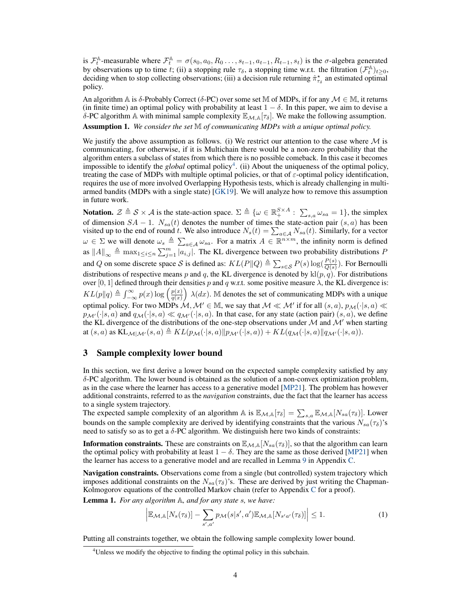is  $\mathcal{F}_t^{\mathbb{A}}$ -measurable where  $\mathcal{F}_t^{\mathbb{A}} = \sigma(s_0, a_0, R_0 \dots, s_{t-1}, a_{t-1}, R_{t-1}, s_t)$  is the  $\sigma$ -algebra generated by observations up to time t; (ii) a stopping rule  $\tau_{\delta}$ , a stopping time w.r.t. the filtration  $(\mathcal{F}_t^{\mathbb{A}})_{t \geq 0}$ , deciding when to stop collecting observations; (iii) a decision rule returning  $\hat{\pi}_{\tau_{\delta}}^*$  an estimated optimal policy.

An algorithm A is  $\delta$ -Probably Correct ( $\delta$ -PC) over some set M of MDPs, if for any  $\mathcal{M} \in \mathbb{M}$ , it returns (in finite time) an optimal policy with probability at least  $1 - \delta$ . In this paper, we aim to devise a δ-PC algorithm A with minimal sample complexity  $\mathbb{E}_{M,A}[\tau_\delta]$ . We make the following assumption.

<span id="page-3-2"></span>Assumption 1. *We consider the set* M *of communicating MDPs with a unique optimal policy.*

We justify the above assumption as follows. (i) We restrict our attention to the case where  $\mathcal M$  is communicating, for otherwise, if it is Multichain there would be a non-zero probability that the algorithm enters a subclass of states from which there is no possible comeback. In this case it becomes impossible to identify the *global* optimal policy<sup>[4](#page-3-1)</sup>. (ii) About the uniqueness of the optimal policy, treating the case of MDPs with multiple optimal policies, or that of  $\varepsilon$ -optimal policy identification, requires the use of more involved Overlapping Hypothesis tests, which is already challenging in multiarmed bandits (MDPs with a single state) [\[GK19\]](#page-11-10). We will analyze how to remove this assumption in future work.

**Notation.**  $\mathcal{Z} \triangleq \mathcal{S} \times \mathcal{A}$  is the state-action space.  $\Sigma \triangleq \{ \omega \in \mathbb{R}^{S \times A}_{+} : \sum_{s,a} \omega_{sa} = 1 \}$ , the simplex of dimension  $SA - 1$ .  $N_{sa}(t)$  denotes the number of times the state-action pair  $(s, a)$  has been visited up to the end of round t. We also introduce  $N_s(t) = \sum_{a \in A} N_{sa}(t)$ . Similarly, for a vector  $\omega \in \Sigma$  we will denote  $\omega_s \triangleq \sum_{a \in \mathcal{A}} \omega_{sa}$ . For a matrix  $A \in \mathbb{R}^{n \times m}$ , the infinity norm is defined as  $||A||_{\infty} \triangleq \max_{1 \leq i \leq n} \sum_{j=1}^{m} |a_{i,j}|$ . The KL divergence between two probability distributions P and Q on some discrete space S is defined as:  $KL(P||Q) \triangleq \sum_{s \in S} P(s) \log(\frac{P(s)}{Q(s)})$ . For Bernoulli distributions of respective means p and q, the KL divergence is denoted by  $\text{kl}(p,q)$ . For distributions over [0, 1] defined through their densities p and q w.r.t. some positive measure  $\lambda$ , the KL divergence is:  $KL(p||q) \triangleq \int_{-\infty}^{\infty} p(x) \log \left( \frac{p(x)}{q(x)} \right)$  $\frac{p(x)}{q(x)}$   $\lambda(dx)$ . M denotes the set of communicating MDPs with a unique optimal policy. For two MDPs  $\mathcal{M}, \mathcal{M}' \in \mathbb{M}$ , we say that  $\mathcal{M} \ll \mathcal{M}'$  if for all  $(s, a), p_{\mathcal{M}}(\cdot|s, a) \ll$  $p_{\mathcal{M}'}(\cdot|s, a)$  and  $q_{\mathcal{M}}(\cdot|s, a) \ll q_{\mathcal{M}'}(\cdot|s, a)$ . In that case, for any state (action pair)  $(s, a)$ , we define the KL divergence of the distributions of the one-step observations under  $M$  and  $M'$  when starting at  $(s, a)$  as  $KL_{\mathcal{M}|\mathcal{M}'}(s, a) \triangleq KL(p_{\mathcal{M}}(\cdot|s, a)||p_{\mathcal{M}'}(\cdot|s, a)) + KL(q_{\mathcal{M}}(\cdot|s, a)||q_{\mathcal{M}'}(\cdot|s, a)).$ 

# <span id="page-3-0"></span>3 Sample complexity lower bound

In this section, we first derive a lower bound on the expected sample complexity satisfied by any  $\delta$ -PC algorithm. The lower bound is obtained as the solution of a non-convex optimization problem, as in the case where the learner has access to a generative model [\[MP21\]](#page-12-0). The problem has however additional constraints, referred to as the *navigation* constraints, due the fact that the learner has access to a single system trajectory.

The expected sample complexity of an algorithm A is  $\mathbb{E}_{M,A}[\tau_\delta] = \sum_{s,a} \mathbb{E}_{M,A}[N_{sa}(\tau_\delta)]$ . Lower bounds on the sample complexity are derived by identifying constraints that the various  $N_{sa}(\tau_{\delta})$ 's need to satisfy so as to get a  $\delta$ -PC algorithm. We distinguish here two kinds of constraints:

**Information constraints.** These are constraints on  $\mathbb{E}_{M,\mathbb{A}}[N_{sa}(\tau_{\delta})]$ , so that the algorithm can learn the optimal policy with probability at least  $1 - \delta$ . They are the same as those derived [\[MP21\]](#page-12-0) when the learner has access to a generative model and are recalled in Lemma [9](#page-15-0) in Appendix [C.](#page-15-1)

Navigation constraints. Observations come from a single (but controlled) system trajectory which imposes additional constraints on the  $N_{sa}(\tau_{\delta})$ 's. These are derived by just writing the Chapman-Kolmogorov equations of the controlled Markov chain (refer to Appendix [C](#page-15-1) for a proof).

<span id="page-3-3"></span>Lemma 1. *For any algorithm* A*, and for any state* s*, we have:*

<span id="page-3-4"></span>
$$
\left| \mathbb{E}_{\mathcal{M},\mathbb{A}}[N_s(\tau_\delta)] - \sum_{s',a'} p_{\mathcal{M}}(s|s',a') \mathbb{E}_{\mathcal{M},\mathbb{A}}[N_{s'a'}(\tau_\delta)] \right| \le 1.
$$
 (1)

Putting all constraints together, we obtain the following sample complexity lower bound.

<span id="page-3-1"></span><sup>&</sup>lt;sup>4</sup>Unless we modify the objective to finding the optimal policy in this subchain.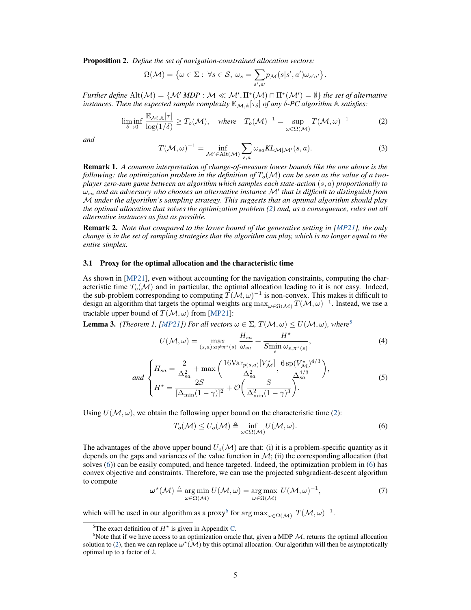<span id="page-4-0"></span>Proposition 2. *Define the set of navigation-constrained allocation vectors:*

$$
\Omega(\mathcal{M}) = \big\{ \omega \in \Sigma : \ \forall s \in \mathcal{S}, \ \omega_s = \sum_{s',a'} p_{\mathcal{M}}(s|s',a') \omega_{s'a'} \big\}.
$$

*Further define*  $\text{Alt}(\mathcal{M}) = \{ \mathcal{M}' \text{ } MDP : \mathcal{M} \ll \mathcal{M}', \Pi^*(\mathcal{M}) \cap \Pi^*(\mathcal{M}') = \emptyset \}$  *the set of alternative instances. Then the expected sample complexity*  $\mathbb{E}_{\mathcal{M},\mathbb{A}}[\tau_{\delta}]$  *of any*  $\delta$ -*PC algorithm*  $\mathbb{A}$  *satisfies:* 

$$
\liminf_{\delta \to 0} \frac{\mathbb{E}_{\mathcal{M},\mathbb{A}}[\tau]}{\log(1/\delta)} \ge T_o(\mathcal{M}), \quad \text{where} \quad T_o(\mathcal{M})^{-1} = \sup_{\omega \in \Omega(\mathcal{M})} T(\mathcal{M}, \omega)^{-1} \tag{2}
$$

<span id="page-4-6"></span>*and*

<span id="page-4-1"></span>
$$
T(\mathcal{M}, \omega)^{-1} = \inf_{\mathcal{M}' \in \text{Alt}(\mathcal{M})} \sum_{s, a} \omega_{sa} KL_{\mathcal{M}|\mathcal{M}'}(s, a). \tag{3}
$$

Remark 1. *A common interpretation of change-of-measure lower bounds like the one above is the following: the optimization problem in the definition of*  $T_o(\mathcal{M})$  *can be seen as the value of a twoplayer zero-sum game between an algorithm which samples each state-action* (s, a) *proportionally to*  $\omega_{sa}$  and an adversary who chooses an alternative instance  $\mathcal{M}'$  that is difficult to distinguish from M *under the algorithm's sampling strategy. This suggests that an optimal algorithm should play the optimal allocation that solves the optimization problem [\(2\)](#page-4-1) and, as a consequence, rules out all alternative instances as fast as possible.*

Remark 2. *Note that compared to the lower bound of the generative setting in [\[MP21\]](#page-12-0), the only change is in the set of sampling strategies that the algorithm can play, which is no longer equal to the entire simplex.*

#### 3.1 Proxy for the optimal allocation and the characteristic time

As shown in [\[MP21\]](#page-12-0), even without accounting for the navigation constraints, computing the characteristic time  $T_o(\mathcal{M})$  and in particular, the optimal allocation leading to it is not easy. Indeed, the sub-problem corresponding to computing  $T(M,\omega)^{-1}$  is non-convex. This makes it difficult to design an algorithm that targets the optimal weights  $\arg \max_{\omega \in \Omega(\mathcal{M})} T(\mathcal{M}, \omega)^{-1}$ . Instead, we use a tractable upper bound of  $T(\mathcal{M}, \omega)$  from [\[MP21\]](#page-12-0):

<span id="page-4-8"></span><span id="page-4-7"></span>**Lemma 3.** *(Theorem 1, [\[MP21\]](#page-12-0))* For all vectors  $\omega \in \Sigma$ ,  $T(\mathcal{M}, \omega) \leq U(\mathcal{M}, \omega)$ *, where*<sup>[5](#page-4-2)</sup>

$$
U(\mathcal{M}, \omega) = \max_{(s, a): a \neq \pi^*(s)} \frac{H_{sa}}{\omega_{sa}} + \frac{H^*}{S_{\min}} \frac{\omega_{s, \pi^*(s)}}{\omega_{s, \pi^*(s)}},
$$
(4)

and 
$$
\begin{cases} H_{sa} = \frac{2}{\Delta_{sa}^2} + \max\left(\frac{16\text{Var}_{p(s,a)}[V_{\mathcal{M}}^*]}{\Delta_{sa}^2}, \frac{6\,\text{sp}(V_{\mathcal{M}}^*)^{4/3}}{\Delta_{sa}^{4/3}}\right), \\ H^{\star} = \frac{2S}{[\Delta_{\min}(1-\gamma)]^2} + \mathcal{O}\left(\frac{S}{\Delta_{\min}^2(1-\gamma)^3}\right). \end{cases}
$$
(5)

Using  $U(\mathcal{M}, \omega)$ , we obtain the following upper bound on the characteristic time [\(2\)](#page-4-1):

<span id="page-4-3"></span>
$$
T_o(\mathcal{M}) \le U_o(\mathcal{M}) \triangleq \inf_{\omega \in \Omega(\mathcal{M})} U(\mathcal{M}, \omega).
$$
\n(6)

The advantages of the above upper bound  $U_o(\mathcal{M})$  are that: (i) it is a problem-specific quantity as it depends on the gaps and variances of the value function in  $\mathcal{M}$ ; (ii) the corresponding allocation (that solves [\(6\)](#page-4-3)) can be easily computed, and hence targeted. Indeed, the optimization problem in [\(6\)](#page-4-3) has convex objective and constraints. Therefore, we can use the projected subgradient-descent algorithm to compute

<span id="page-4-5"></span>
$$
\boldsymbol{\omega}^{\star}(\mathcal{M}) \triangleq \underset{\omega \in \Omega(\mathcal{M})}{\arg \min} U(\mathcal{M}, \omega) = \underset{\omega \in \Omega(\mathcal{M})}{\arg \max} U(\mathcal{M}, \omega)^{-1}, \tag{7}
$$

which will be used in our algorithm as a proxy<sup>[6](#page-4-4)</sup> for  $\argmax_{\omega \in \Omega(\mathcal{M})} T(\mathcal{M}, \omega)^{-1}$ .

<span id="page-4-4"></span><span id="page-4-2"></span><sup>&</sup>lt;sup>5</sup>The exact definition of  $H^*$  is given in Appendix [C.](#page-15-1)

<sup>&</sup>lt;sup>6</sup>Note that if we have access to an optimization oracle that, given a MDP  $M$ , returns the optimal allocation solution to [\(2\)](#page-4-1), then we can replace  $\omega^*(\mathcal{M})$  by this optimal allocation. Our algorithm will then be asymptotically optimal up to a factor of 2.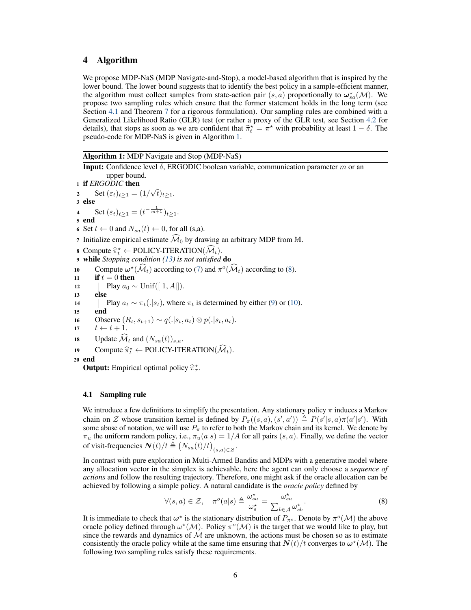# <span id="page-5-0"></span>4 Algorithm

We propose MDP-NaS (MDP Navigate-and-Stop), a model-based algorithm that is inspired by the lower bound. The lower bound suggests that to identify the best policy in a sample-efficient manner, the algorithm must collect samples from state-action pair  $(s, a)$  proportionally to  $\omega_{sa}^{\star}(\mathcal{M})$ . We propose two sampling rules which ensure that the former statement holds in the long term (see Section [4.1](#page-5-1) and Theorem [7](#page-8-0) for a rigorous formulation). Our sampling rules are combined with a Generalized Likelihood Ratio (GLR) test (or rather a proxy of the GLR test, see Section [4.2](#page-6-1) for details), that stops as soon as we are confident that  $\hat{\pi}_t^* = \pi^*$  with probability at least  $1 - \delta$ . The preudo-code for MDP-NaS is given in Algorithm 1. pseudo-code for MDP-NaS is given in Algorithm [1.](#page-5-2)

<span id="page-5-2"></span>Algorithm 1: MDP Navigate and Stop (MDP-NaS)

**Input:** Confidence level  $\delta$ , ERGODIC boolean variable, communication parameter m or an upper bound. <sup>1</sup> if *ERGODIC* then 2 Set  $(\varepsilon_t)_{t\geq 1} = (1/$ √  $(t)_{t\geq 1}$ . 3 else 4 Set  $(\varepsilon_t)_{t \geq 1} = (t^{-\frac{1}{m+1}})_{t \geq 1}$ . 5 end 6 Set  $t \leftarrow 0$  and  $N_{sa}(t) \leftarrow 0$ , for all (s,a). 7 Initialize empirical estimate  $\widehat{\mathcal{M}}_0$  by drawing an arbitrary MDP from M. 8 Compute  $\hat{\pi}_t^* \leftarrow \text{POLICY-ITERATION}(\hat{\mathcal{M}}_t)$ .<br> **while** Stopping condition (13) is not satisfied <sup>9</sup> while *Stopping condition [\(13\)](#page-7-2) is not satisfied* do 10 Compute  $\omega^*(\widehat{\mathcal{M}}_t)$  according to [\(7\)](#page-4-5) and  $\pi^o(\widehat{\mathcal{M}}_t)$  according to [\(8\)](#page-5-3). 11 **if**  $t = 0$  then 12 | Play  $a_0 \sim \text{Unif}([1, A])$ . 13 else 14 Play  $a_t \sim \pi_t(.|s_t)$ , where  $\pi_t$  is determined by either [\(9\)](#page-6-2) or [\(10\)](#page-6-3). 15 end 16 Observe  $(R_t, s_{t+1}) \sim q(.|s_t, a_t) \otimes p(.|s_t, a_t)$ .  $17 \quad t \leftarrow t + 1.$ 18 Update  $\widehat{\mathcal{M}}_t$  and  $(N_{sa}(t))_{s,a}$ .<br>
19 Compute  $\widehat{\pi}^* \leftarrow \text{POLICY-ITE}$ 19 Compute  $\widehat{\pi}_t^* \leftarrow \text{POLICY-ITERATION}(\widehat{\mathcal{M}}_t)$ . 20 end **Output:** Empirical optimal policy  $\hat{\pi}_{\tau}^*$ .

#### <span id="page-5-1"></span>4.1 Sampling rule

We introduce a few definitions to simplify the presentation. Any stationary policy  $\pi$  induces a Markov chain on Z whose transition kernel is defined by  $P_{\pi}((s, a), (s', a')) \triangleq P(s'|s, a)\pi(a'|s')$ . With some abuse of notation, we will use  $P_{\pi}$  to refer to both the Markov chain and its kernel. We denote by  $\pi_u$  the uniform random policy, i.e.,  $\pi_u(a|s) = 1/A$  for all pairs  $(s, a)$ . Finally, we define the vector of visit-frequencies  $\boldsymbol{N}(t)/t \triangleq (N_{sa}(t)/t)_{(s,a)\in\mathcal{Z}}$ .

In contrast with pure exploration in Multi-Armed Bandits and MDPs with a generative model where any allocation vector in the simplex is achievable, here the agent can only choose a *sequence of actions* and follow the resulting trajectory. Therefore, one might ask if the oracle allocation can be achieved by following a simple policy. A natural candidate is the *oracle policy* defined by

<span id="page-5-3"></span>
$$
\forall (s,a) \in \mathcal{Z}, \quad \pi^o(a|s) \triangleq \frac{\omega_{sa}^{\star}}{\omega_s^{\star}} = \frac{\omega_{sa}^{\star}}{\sum_{b \in \mathcal{A}} \omega_{sb}^{\star}}.
$$
\n
$$
(8)
$$

It is immediate to check that  $\omega^*$  is the stationary distribution of  $P_{\pi^o}$ . Denote by  $\pi^o(\mathcal{M})$  the above oracle policy defined through  $\omega^*(\mathcal{M})$ . Policy  $\pi^o(\mathcal{M})$  is the target that we would like to play, but since the rewards and dynamics of  $M$  are unknown, the actions must be chosen so as to estimate consistently the oracle policy while at the same time ensuring that  $N(t)/t$  converges to  $\omega^*(\mathcal{M})$ . The following two sampling rules satisfy these requirements.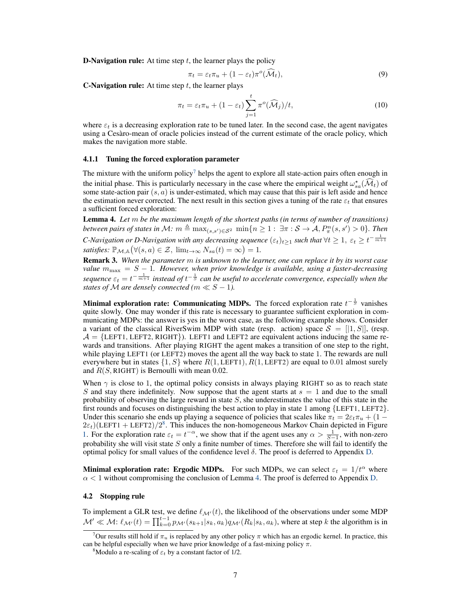**D-Navigation rule:** At time step  $t$ , the learner plays the policy

<span id="page-6-3"></span><span id="page-6-2"></span>
$$
\pi_t = \varepsilon_t \pi_u + (1 - \varepsilon_t) \pi^o(\widehat{\mathcal{M}}_t), \tag{9}
$$

**C-Navigation rule:** At time step  $t$ , the learner plays

$$
\pi_t = \varepsilon_t \pi_u + (1 - \varepsilon_t) \sum_{j=1}^t \pi^o(\widehat{\mathcal{M}}_j) / t,\tag{10}
$$

where  $\varepsilon_t$  is a decreasing exploration rate to be tuned later. In the second case, the agent navigates using a Cesàro-mean of oracle policies instead of the current estimate of the oracle policy, which makes the navigation more stable.

#### 4.1.1 Tuning the forced exploration parameter

The mixture with the uniform policy<sup>[7](#page-6-4)</sup> helps the agent to explore all state-action pairs often enough in the initial phase. This is particularly necessary in the case where the empirical weight  $\omega_{sa}^*(\tilde{\mathcal{M}}_t)$  of some state-action pair  $(s, a)$  is under-estimated, which may cause that this pair is left aside and hence the estimation never corrected. The next result in this section gives a tuning of the rate  $\varepsilon_t$  that ensures a sufficient forced exploration:

<span id="page-6-0"></span>Lemma 4. *Let* m *be the maximum length of the shortest paths (in terms of number of transitions) between pairs of states in M:*  $m \triangleq \max_{(s,s') \in \mathcal{S}^2} \min\{n \geq 1: \exists \pi: \mathcal{S} \to \mathcal{A}, P_\pi^n(s,s') > 0\}$ *. Then C*-Navigation or D-Navigation with any decreasing sequence  $(\varepsilon_t)_{t\geq 1}$  such that  $\forall t\geq 1, \ \varepsilon_t\geq t^{-\frac{1}{m+1}}$ *satisfies:*  $\mathbb{P}_{\mathcal{M},\mathbb{A}}(\forall (s,a) \in \mathcal{Z}, \ \lim_{t \to \infty} N_{sa}(t) = \infty) = 1.$ 

Remark 3. *When the parameter* m *is unknown to the learner, one can replace it by its worst case value*  $m_{\text{max}} = S - 1$ . However, when prior knowledge is available, using a faster-decreasing sequence  $\varepsilon_t = t^{-\frac{1}{m+1}}$  instead of  $t^{-\frac{1}{S}}$  can be useful to accelerate convergence, especially when the *states of*  $M$  *are densely connected (m*  $\ll S - 1$ *).* 

Minimal exploration rate: Communicating MDPs. The forced exploration rate  $t^{-\frac{1}{S}}$  vanishes quite slowly. One may wonder if this rate is necessary to guarantee sufficient exploration in communicating MDPs: the answer is yes in the worst case, as the following example shows. Consider a variant of the classical RiverSwim MDP with state (resp. action) space  $S = [1, S]$ , (resp.  $\mathcal{A} = \{LEFT1, LEFT2, RIGHT\}$ . LEFT1 and LEFT2 are equivalent actions inducing the same rewards and transitions. After playing RIGHT the agent makes a transition of one step to the right, while playing LEFT1 (or LEFT2) moves the agent all the way back to state 1. The rewards are null everywhere but in states  $\{1, S\}$  where  $R(1, \text{LEFT1}), R(1, \text{LEFT2})$  are equal to 0.01 almost surely and  $R(S, \text{RIGHT})$  is Bernoulli with mean 0.02.

When  $\gamma$  is close to 1, the optimal policy consists in always playing RIGHT so as to reach state S and stay there indefinitely. Now suppose that the agent starts at  $s = 1$  and due to the small probability of observing the large reward in state  $S$ , she underestimates the value of this state in the first rounds and focuses on distinguishing the best action to play in state 1 among {LEFT1, LEFT2}. Under this scenario she ends up playing a sequence of policies that scales like  $\pi_t = 2\varepsilon_t \pi_u + (1 2\varepsilon_t$ )(LEFT1 + LEFT2)/2<sup>[8](#page-6-5)</sup>. This induces the non-homogeneous Markov Chain depicted in Figure [1.](#page-7-3) For the exploration rate  $\varepsilon_t = t^{-\alpha}$ , we show that if the agent uses any  $\alpha > \frac{1}{S-1}$ , with non-zero probability she will visit state  $S$  only a finite number of times. Therefore she will fail to identify the optimal policy for small values of the confidence level  $\delta$ . The proof is deferred to Appendix [D.](#page-16-0)

**Minimal exploration rate: Ergodic MDPs.** For such MDPs, we can select  $\varepsilon_t = 1/t^{\alpha}$  where  $\alpha$  < 1 without compromising the conclusion of Lemma [4.](#page-6-0) The proof is deferred to Appendix [D.](#page-16-0)

#### <span id="page-6-1"></span>4.2 Stopping rule

To implement a GLR test, we define  $\ell_{\mathcal{M}'}(t)$ , the likelihood of the observations under some MDP  $\mathcal{M}' \ll \mathcal{M}$ :  $\ell_{\mathcal{M}'}(t) = \prod_{k=0}^{t-1} p_{\mathcal{M}'}(s_{k+1}|s_k, a_k) q_{\mathcal{M}'}(R_k|s_k, a_k)$ , where at step k the algorithm is in

<span id="page-6-4"></span><sup>&</sup>lt;sup>7</sup>Our results still hold if  $\pi_u$  is replaced by any other policy  $\pi$  which has an ergodic kernel. In practice, this can be helpful especially when we have prior knowledge of a fast-mixing policy  $\pi$ .

<span id="page-6-5"></span><sup>&</sup>lt;sup>8</sup>Modulo a re-scaling of  $\varepsilon_t$  by a constant factor of 1/2.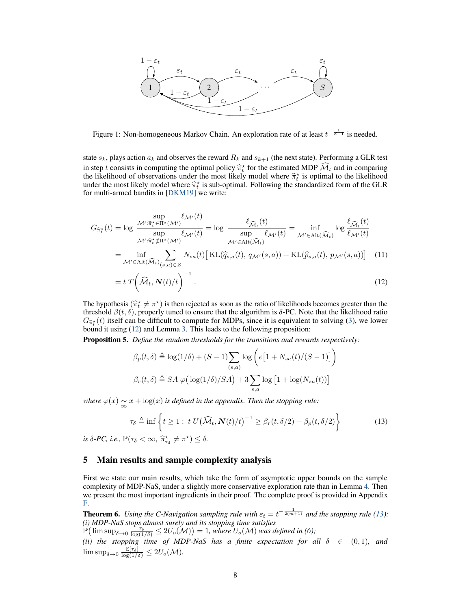

<span id="page-7-3"></span>Figure 1: Non-homogeneous Markov Chain. An exploration rate of at least  $t^{-\frac{1}{S-1}}$  is needed.

state  $s_k$ , plays action  $a_k$  and observes the reward  $R_k$  and  $s_{k+1}$  (the next state). Performing a GLR test in step t consists in computing the optimal policy  $\hat{\pi}_t^*$  for the estimated MDP  $\hat{\mathcal{M}}_t$  and in comparing the likelihood of observations under the most likely model where  $\hat{\pi}^*$  is optimal to the likelihood the likelihood of observations under the most likely model where  $\hat{\pi}_t^*$  is optimal to the likelihood under the most likely model where  $\hat{\pi}^*$  is sub-optimal. Following the standardized form of the GLR under the most likely model where  $\hat{\pi}_t^*$  is sub-optimal. Following the standardized form of the GLR for multi-armed bandits in  $IDKM191$  we write: for multi-armed bandits in [\[DKM19\]](#page-10-10) we write:

$$
G_{\hat{\pi}^*_{t}}(t) = \log \frac{\sup_{\mathcal{M}' : \hat{\pi}^*_{t} \in \Pi^* (\mathcal{M}')} \ell_{\mathcal{M}'}(t)}{\sup_{\mathcal{M}' : \hat{\pi}^*_{t} \notin \Pi^* (\mathcal{M}')} \ell_{\mathcal{M}'}(t)} = \log \frac{\ell_{\widehat{\mathcal{M}}_t}(t)}{\sup_{\mathcal{M}' \in \text{Alt}(\widehat{\mathcal{M}}_t)} \ell_{\mathcal{M}'}(t)} = \inf_{\mathcal{M}' \in \text{Alt}(\widehat{\mathcal{M}}_t)} \log \frac{\ell_{\widehat{\mathcal{M}}_t}(t)}{\ell_{\mathcal{M}'}(t)}
$$

$$
= \inf_{\mathcal{M}' \in \text{Alt}(\widehat{\mathcal{M}}_t)_{(s,a) \in \mathcal{Z}}} N_{sa}(t) \left[ \text{KL}(\widehat{q}_{s,a}(t), q_{\mathcal{M}'}(s, a)) + \text{KL}(\widehat{p}_{s,a}(t), p_{\mathcal{M}'}(s, a)) \right] \tag{11}
$$

$$
= t \, T \bigg( \widehat{\mathcal{M}}_t, \mathbf{N}(t) / t \bigg)^{-1} \,. \tag{12}
$$

The hypothesis  $(\hat{\pi}_t^* \neq \pi^*)$  is then rejected as soon as the ratio of likelihoods becomes greater than the threshold  $\beta(t, \delta)$  properly tuned to ensure that the algorithm is  $\delta$ -PC. Note that the likelihood ratio threshold  $β(t, δ)$ , properly tuned to ensure that the algorithm is  $δ$ -PC. Note that the likelihood ratio  $G_{\hat{\pi}_t^*}(t)$  itself can be difficult to compute for MDPs, since it is equivalent to solving [\(3\)](#page-4-6), we lower bound it using [\(12\)](#page-7-4) and Lemma [3.](#page-4-7) This leads to the following proposition:

Proposition 5. *Define the random thresholds for the transitions and rewards respectively:*

<span id="page-7-5"></span><span id="page-7-4"></span>
$$
\beta_p(t,\delta) \triangleq \log(1/\delta) + (S-1) \sum_{(s,a)} \log \left( e\left[1 + N_{sa}(t)/(S-1)\right] \right)
$$

$$
\beta_r(t,\delta) \triangleq SA \varphi \left( \log(1/\delta)/SA \right) + 3 \sum_{s,a} \log \left[1 + \log(N_{sa}(t))\right]
$$

*where*  $\varphi(x) \sim x + \log(x)$  *is defined in the appendix. Then the stopping rule:* 

<span id="page-7-2"></span>
$$
\tau_{\delta} \triangleq \inf \left\{ t \ge 1 : t \ U(\widehat{\mathcal{M}}_t, \mathbf{N}(t)/t)^{-1} \ge \beta_r(t, \delta/2) + \beta_p(t, \delta/2) \right\}
$$
(13)

*is*  $\delta$ -PC, *i.e.*,  $\mathbb{P}(\tau_{\delta} < \infty, \ \hat{\pi}^{\star}_{\tau_{\delta}} \neq \pi^{\star}) \leq \delta$ .

# <span id="page-7-1"></span>5 Main results and sample complexity analysis

First we state our main results, which take the form of asymptotic upper bounds on the sample complexity of MDP-NaS, under a slightly more conservative exploration rate than in Lemma [4.](#page-6-0) Then we present the most important ingredients in their proof. The complete proof is provided in Appendix [F.](#page-29-0)

<span id="page-7-0"></span>**Theorem 6.** Using the C-Navigation sampling rule with  $\varepsilon_t = t^{-\frac{1}{2(m+1)}}$  and the stopping rule [\(13\)](#page-7-2): *(i) MDP-NaS stops almost surely and its stopping time satisfies*

 $\mathbb{P}(\limsup_{\delta \to 0} \frac{\tau_{\delta}}{\log(1/\delta)} \leq 2U_o(\mathcal{M})) = 1$ , where  $U_o(\mathcal{M})$  was defined in [\(6\)](#page-4-3);

*(ii) the stopping time of MDP-NaS has a finite expectation for all*  $\delta \in (0,1)$ *, and*  $\limsup_{\delta \to 0} \frac{\mathbb{E}[\tau_{\delta}]}{\log(1/\delta)} \leq 2U_{o}(\mathcal{M}).$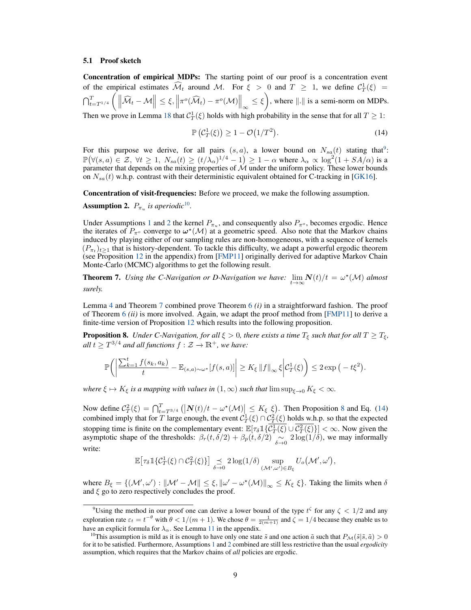#### 5.1 Proof sketch

Concentration of empirical MDPs: The starting point of our proof is a concentration event of the empirical estimates  $\widehat{\mathcal{M}}_t$  around M. For  $\xi > 0$  and  $T \geq 1$ , we define  $\mathcal{C}_T^1(\xi) =$  $\left\| \bigwedge_{t=T^{1/4}}^{T} \left( \left\| \widehat{\mathcal{M}}_t - \mathcal{M} \right\| \leq \xi, \left\| \pi^o(\widehat{\mathcal{M}}_t) - \pi^o(\mathcal{M}) \right\|_{\infty} \leq \xi \right)$ , where  $\|.\|$  is a semi-norm on MDPs. Then we prove in Lemma [18](#page-31-0) that  $C_T^1(\xi)$  holds with high probability in the sense that for all  $T \geq 1$ :

<span id="page-8-5"></span>
$$
\mathbb{P}\left(\mathcal{C}_T^1(\xi)\right) \ge 1 - \mathcal{O}\left(1/T^2\right). \tag{14}
$$

For this purpose we derive, for all pairs  $(s, a)$ , a lower bound on  $N_{sa}(t)$  stating that<sup>[9](#page-8-1)</sup>:  $\mathbb{P}(\forall (s,a) \in \mathcal{Z}, \forall t \geq 1, N_{sa}(t) \geq (t/\lambda_\alpha)^{1/4} - 1) \geq 1 - \alpha$  where  $\lambda_\alpha \propto \log^2(1 + SA/\alpha)$  is a parameter that depends on the mixing properties of  $\mathcal M$  under the uniform policy. These lower bounds on  $N_{sa}(t)$  w.h.p. contrast with their deterministic equivalent obtained for C-tracking in [\[GK16\]](#page-11-1).

Concentration of visit-frequencies: Before we proceed, we make the following assumption.

<span id="page-8-3"></span>**Assumption 2.**  $P_{\pi_u}$  is aperiodic<sup>[10](#page-8-2)</sup>.

Under Assumptions [1](#page-3-2) and [2](#page-8-3) the kernel  $P_{\pi_u}$ , and consequently also  $P_{\pi_o}$ , becomes ergodic. Hence the iterates of  $P_{\pi^o}$  converge to  $\omega^*(\mathcal{M})$  at a geometric speed. Also note that the Markov chains induced by playing either of our sampling rules are non-homogeneous, with a sequence of kernels  $(P_{\pi_t})_{t\geq 1}$  that is history-dependent. To tackle this difficulty, we adapt a powerful ergodic theorem (see Proposition [12](#page-21-0) in the appendix) from [\[FMP11\]](#page-10-11) originally derived for adaptive Markov Chain Monte-Carlo (MCMC) algorithms to get the following result.

<span id="page-8-0"></span>**Theorem 7.** Using the C-Navigation or D-Navigation we have:  $\lim_{t\to\infty} N(t)/t = \omega^*(\mathcal{M})$  almost *surely.*

Lemma [4](#page-6-0) and Theorem [7](#page-8-0) combined prove Theorem [6](#page-7-0) *(i)* in a straightforward fashion. The proof of Theorem [6](#page-7-0) *(ii)* is more involved. Again, we adapt the proof method from [\[FMP11\]](#page-10-11) to derive a finite-time version of Proposition [12](#page-21-0) which results into the following proposition.

<span id="page-8-4"></span>**Proposition 8.** *Under C-Navigation, for all*  $\xi > 0$ *, there exists a time*  $T_{\xi}$  *such that for all*  $T \geq T_{\xi}$ *,*  $all\ t \geq T^{3/4}$  and all functions  $f: \mathcal{Z} \to \mathbb{R}^+$ , we have:

$$
\mathbb{P}\bigg(\bigg|\frac{\sum_{k=1}^t f(s_k, a_k)}{t} - \mathbb{E}_{(s,a)\sim\omega^\star}[f(s,a)]\bigg| \geq K_\xi \|f\|_\infty \xi \bigg| \mathcal{C}_T^1(\xi)\bigg) \leq 2\exp\big(-t\xi^2\big).
$$

*where*  $\xi \mapsto K_{\xi}$  *is a mapping with values in*  $(1, \infty)$  *such that*  $\limsup_{\xi \to 0} K_{\xi} < \infty$ *.* 

Now define  $C_T^2(\xi) = \bigcap_{t=T^{3/4}}^T \left( \left| N(t)/t - \omega^* (M) \right| \leq K_{\xi} \xi \right)$ . Then Proposition [8](#page-8-4) and Eq. [\(14\)](#page-8-5) combined imply that for T large enough, the event  $C_T^1(\xi) \cap C_T^2(\xi)$  holds w.h.p. so that the expected stopping time is finite on the complementary event:  $\mathbb{E}[\tau_{\delta} \mathbb{1} {\{\overline{\mathcal{C}_T^1(\xi)} \cup \overline{\mathcal{C}_T^2(\xi)}\}}] < \infty$ . Now given the asymptotic shape of the thresholds:  $\beta_r(t, \delta/2) + \beta_p(t, \delta/2) \approx 2 \log(1/\delta)$ , we may informally write:

$$
\mathbb{E}\big[\tau_\delta\,1\{\mathcal{C}\^1_T(\xi)\cap\mathcal{C}^2_T(\xi)\}\big]\underset{\delta\to 0}{\preceq} 2\log(1/\delta)\sup_{(\mathcal{M}',\omega')\in B_\xi}U_o\big(\mathcal{M}',\omega'\big),
$$

where  $B_{\xi} = \{(\mathcal{M}', \omega') : \|\mathcal{M}' - \mathcal{M}\| \leq \xi, \|\omega' - \omega^*(\mathcal{M})\|_{\infty} \leq K_{\xi} \xi\}.$  Taking the limits when  $\delta$ and  $\xi$  go to zero respectively concludes the proof.

<span id="page-8-1"></span><sup>&</sup>lt;sup>9</sup>Using the method in our proof one can derive a lower bound of the type  $t^{\zeta}$  for any  $\zeta < 1/2$  and any exploration rate  $\varepsilon_t = t^{-\theta}$  with  $\theta < 1/(m+1)$ . We chose  $\theta = \frac{1}{2(m+1)}$  and  $\zeta = 1/4$  because they enable us to have an explicit formula for  $\lambda_{\alpha}$ . See Lemma [11](#page-18-0) in the appendix.

<span id="page-8-2"></span><sup>&</sup>lt;sup>10</sup>This assumption is mild as it is enough to have only one state  $\tilde{s}$  and one action  $\tilde{a}$  such that  $P_{\mathcal{M}}(\tilde{s}|\tilde{s}, \tilde{a}) > 0$ for it to be satisfied. Furthermore, Assumptions [1](#page-3-2) and [2](#page-8-3) combined are still less restrictive than the usual *ergodicity* assumption, which requires that the Markov chains of *all* policies are ergodic.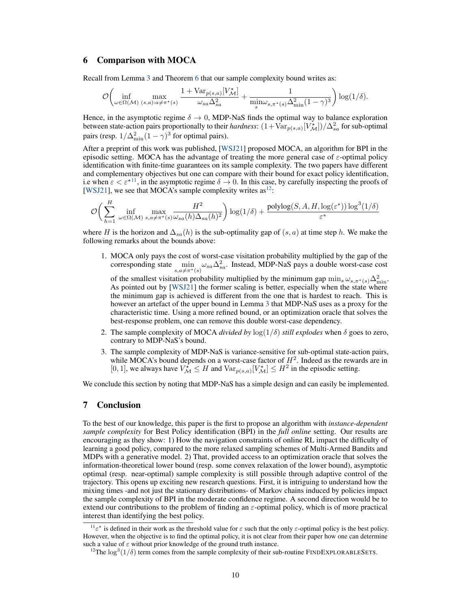## <span id="page-9-0"></span>6 Comparison with MOCA

Recall from Lemma [3](#page-4-8) and Theorem [6](#page-7-0) that our sample complexity bound writes as:

$$
\mathcal{O}\bigg(\inf_{\omega \in \Omega(\mathcal{M})} \max_{(s,a):a \neq \pi^{\star}(s)} \frac{1 + \text{Var}_{p(s,a)}[V^{\star}_{\mathcal{M}}]}{\omega_{sa}\Delta_{sa}^2} + \frac{1}{\min_{s}\omega_{s,\pi^{\star}(s)}\Delta_{\min}^2(1-\gamma)^3}\bigg) \log(1/\delta).
$$

Hence, in the asymptotic regime  $\delta \to 0$ , MDP-NaS finds the optimal way to balance exploration between state-action pairs proportionally to their *hardness*:  $(1+\text{Var}_{p(s,a)}[V^{\star}_{\mathcal{M}}])/\Delta_{sa}^{2}$  for sub-optimal pairs (resp.  $1/\Delta_{\min}^2(1-\gamma)^3$  for optimal pairs).

After a preprint of this work was published, [\[WSJ21\]](#page-12-4) proposed MOCA, an algorithm for BPI in the episodic setting. MOCA has the advantage of treating the more general case of  $\varepsilon$ -optimal policy identification with finite-time guarantees on its sample complexity. The two papers have different and complementary objectives but one can compare with their bound for exact policy identification, i.e when  $\varepsilon < \varepsilon^{\star 11}$  $\varepsilon < \varepsilon^{\star 11}$  $\varepsilon < \varepsilon^{\star 11}$ , in the asymptotic regime  $\delta \to 0$ . In this case, by carefully inspecting the proofs of [\[WSJ21\]](#page-12-4), we see that MOCA's sample complexity writes  $as^{12}$  $as^{12}$  $as^{12}$ :

$$
\mathcal{O}\bigg(\sum_{h=1}^{H}\inf_{\omega\in\Omega(\mathcal{M})}\max_{s,a\neq \pi^{\star}(s)}\frac{H^{2}}{\omega_{sa}(h)\Delta_{sa}(h)^{2}}\bigg)\log(1/\delta)+\frac{\mathrm{polylog}(S,A,H,\log(\varepsilon^{\ast}))\log^{3}(1/\delta)}{\varepsilon^{\ast}}
$$

where H is the horizon and  $\Delta_{sa}(h)$  is the sub-optimality gap of  $(s, a)$  at time step h. We make the following remarks about the bounds above:

1. MOCA only pays the cost of worst-case visitation probability multiplied by the gap of the corresponding state  $\min_{s,a\neq \pi^*(s)} \omega_{sa} \Delta_{sa}^2$ . Instead, MDP-NaS pays a double worst-case cost

of the smallest visitation probability multiplied by the minimum gap  $\min_s \omega_{s,\pi^*(s)} \Delta^2_{\min}$ . As pointed out by [\[WSJ21\]](#page-12-4) the former scaling is better, especially when the state where the minimum gap is achieved is different from the one that is hardest to reach. This is however an artefact of the upper bound in Lemma [3](#page-4-8) that MDP-NaS uses as a proxy for the characteristic time. Using a more refined bound, or an optimization oracle that solves the best-response problem, one can remove this double worst-case dependency.

- 2. The sample complexity of MOCA *divided by*  $\log(1/\delta)$  *still explodes* when  $\delta$  goes to zero, contrary to MDP-NaS's bound.
- 3. The sample complexity of MDP-NaS is variance-sensitive for sub-optimal state-action pairs, while MOCA's bound depends on a worst-case factor of  $H^2$ . Indeed as the rewards are in [0, 1], we always have  $V_M^* \leq H$  and  $\text{Var}_{p(s,a)}[V_M^*] \leq H^2$  in the episodic setting.

We conclude this section by noting that MDP-NaS has a simple design and can easily be implemented.

# 7 Conclusion

To the best of our knowledge, this paper is the first to propose an algorithm with *instance-dependent sample complexity* for Best Policy identification (BPI) in the *full online* setting. Our results are encouraging as they show: 1) How the navigation constraints of online RL impact the difficulty of learning a good policy, compared to the more relaxed sampling schemes of Multi-Armed Bandits and MDPs with a generative model. 2) That, provided access to an optimization oracle that solves the information-theoretical lower bound (resp. some convex relaxation of the lower bound), asymptotic optimal (resp. near-optimal) sample complexity is still possible through adaptive control of the trajectory. This opens up exciting new research questions. First, it is intriguing to understand how the mixing times -and not just the stationary distributions- of Markov chains induced by policies impact the sample complexity of BPI in the moderate confidence regime. A second direction would be to extend our contributions to the problem of finding an  $\varepsilon$ -optimal policy, which is of more practical interest than identifying the best policy.

<span id="page-9-1"></span><sup>&</sup>lt;sup>11</sup> $\varepsilon^*$  is defined in their work as the threshold value for  $\varepsilon$  such that the only  $\varepsilon$ -optimal policy is the best policy. However, when the objective is to find the optimal policy, it is not clear from their paper how one can determine such a value of  $\varepsilon$  without prior knowledge of the ground truth instance.

<span id="page-9-2"></span><sup>&</sup>lt;sup>12</sup>The  $\log^3(1/\delta)$  term comes from the sample complexity of their sub-routine FINDEXPLORABLESETS.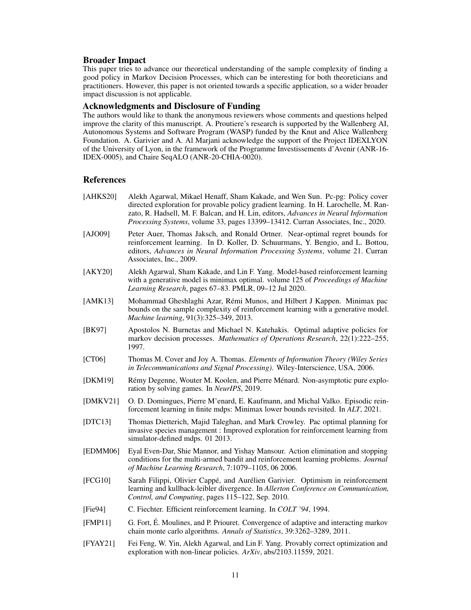# Broader Impact

This paper tries to advance our theoretical understanding of the sample complexity of finding a good policy in Markov Decision Processes, which can be interesting for both theoreticians and practitioners. However, this paper is not oriented towards a specific application, so a wider broader impact discussion is not applicable.

# Acknowledgments and Disclosure of Funding

The authors would like to thank the anonymous reviewers whose comments and questions helped improve the clarity of this manuscript. A. Proutiere's research is supported by the Wallenberg AI, Autonomous Systems and Software Program (WASP) funded by the Knut and Alice Wallenberg Foundation. A. Garivier and A. Al Marjani acknowledge the support of the Project IDEXLYON of the University of Lyon, in the framework of the Programme Investissements d'Avenir (ANR-16- IDEX-0005), and Chaire SeqALO (ANR-20-CHIA-0020).

# **References**

- <span id="page-10-3"></span>[AHKS20] Alekh Agarwal, Mikael Henaff, Sham Kakade, and Wen Sun. Pc-pg: Policy cover directed exploration for provable policy gradient learning. In H. Larochelle, M. Ranzato, R. Hadsell, M. F. Balcan, and H. Lin, editors, *Advances in Neural Information Processing Systems*, volume 33, pages 13399–13412. Curran Associates, Inc., 2020.
- <span id="page-10-0"></span>[AJO09] Peter Auer, Thomas Jaksch, and Ronald Ortner. Near-optimal regret bounds for reinforcement learning. In D. Koller, D. Schuurmans, Y. Bengio, and L. Bottou, editors, *Advances in Neural Information Processing Systems*, volume 21. Curran Associates, Inc., 2009.
- <span id="page-10-8"></span>[AKY20] Alekh Agarwal, Sham Kakade, and Lin F. Yang. Model-based reinforcement learning with a generative model is minimax optimal. volume 125 of *Proceedings of Machine Learning Research*, pages 67–83. PMLR, 09–12 Jul 2020.
- <span id="page-10-6"></span>[AMK13] Mohammad Gheshlaghi Azar, Rémi Munos, and Hilbert J Kappen. Minimax pac bounds on the sample complexity of reinforcement learning with a generative model. *Machine learning*, 91(3):325–349, 2013.
- <span id="page-10-12"></span>[BK97] Apostolos N. Burnetas and Michael N. Katehakis. Optimal adaptive policies for markov decision processes. *Mathematics of Operations Research*, 22(1):222–255, 1997.
- <span id="page-10-13"></span>[CT06] Thomas M. Cover and Joy A. Thomas. *Elements of Information Theory (Wiley Series in Telecommunications and Signal Processing)*. Wiley-Interscience, USA, 2006.
- <span id="page-10-10"></span>[DKM19] Rémy Degenne, Wouter M. Koolen, and Pierre Ménard. Non-asymptotic pure exploration by solving games. In *NeurIPS*, 2019.
- <span id="page-10-9"></span>[DMKV21] O. D. Domingues, Pierre M'enard, E. Kaufmann, and Michal Valko. Episodic reinforcement learning in finite mdps: Minimax lower bounds revisited. In *ALT*, 2021.
- <span id="page-10-7"></span>[DTC13] Thomas Dietterich, Majid Taleghan, and Mark Crowley. Pac optimal planning for invasive species management : Improved exploration for reinforcement learning from simulator-defined mdps. 01 2013.
- <span id="page-10-5"></span>[EDMM06] Eyal Even-Dar, Shie Mannor, and Yishay Mansour. Action elimination and stopping conditions for the multi-armed bandit and reinforcement learning problems. *Journal of Machine Learning Research*, 7:1079–1105, 06 2006.
- <span id="page-10-1"></span>[FCG10] Sarah Filippi, Olivier Cappé, and Aurélien Garivier. Optimism in reinforcement learning and kullback-leibler divergence. In *Allerton Conference on Communication, Control, and Computing*, pages 115–122, Sep. 2010.
- <span id="page-10-2"></span>[Fie94] C. Fiechter. Efficient reinforcement learning. In *COLT '94*, 1994.
- <span id="page-10-11"></span>[FMP11] G. Fort, É. Moulines, and P. Priouret. Convergence of adaptive and interacting markov chain monte carlo algorithms. *Annals of Statistics*, 39:3262–3289, 2011.
- <span id="page-10-4"></span>[FYAY21] Fei Feng, W. Yin, Alekh Agarwal, and Lin F. Yang. Provably correct optimization and exploration with non-linear policies. *ArXiv*, abs/2103.11559, 2021.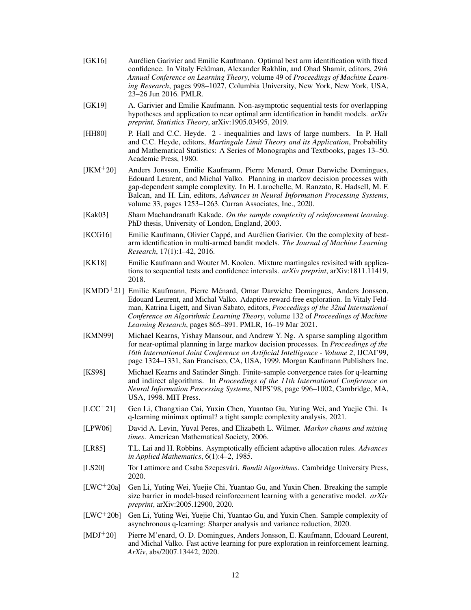- <span id="page-11-1"></span>[GK16] Aurélien Garivier and Emilie Kaufmann. Optimal best arm identification with fixed confidence. In Vitaly Feldman, Alexander Rakhlin, and Ohad Shamir, editors, *29th Annual Conference on Learning Theory*, volume 49 of *Proceedings of Machine Learning Research*, pages 998–1027, Columbia University, New York, New York, USA, 23–26 Jun 2016. PMLR.
- <span id="page-11-10"></span>[GK19] A. Garivier and Emilie Kaufmann. Non-asymptotic sequential tests for overlapping hypotheses and application to near optimal arm identification in bandit models. *arXiv preprint, Statistics Theory*, arXiv:1905.03495, 2019.
- <span id="page-11-13"></span>[HH80] P. Hall and C.C. Heyde. 2 - inequalities and laws of large numbers. In P. Hall and C.C. Heyde, editors, *Martingale Limit Theory and its Application*, Probability and Mathematical Statistics: A Series of Monographs and Textbooks, pages 13–50. Academic Press, 1980.
- <span id="page-11-16"></span>[JKM+20] Anders Jonsson, Emilie Kaufmann, Pierre Menard, Omar Darwiche Domingues, Edouard Leurent, and Michal Valko. Planning in markov decision processes with gap-dependent sample complexity. In H. Larochelle, M. Ranzato, R. Hadsell, M. F. Balcan, and H. Lin, editors, *Advances in Neural Information Processing Systems*, volume 33, pages 1253–1263. Curran Associates, Inc., 2020.
- <span id="page-11-9"></span>[Kak03] Sham Machandranath Kakade. *On the sample complexity of reinforcement learning*. PhD thesis, University of London, England, 2003.
- <span id="page-11-12"></span>[KCG16] Emilie Kaufmann, Olivier Cappé, and Aurélien Garivier. On the complexity of bestarm identification in multi-armed bandit models. *The Journal of Machine Learning Research*, 17(1):1–42, 2016.
- <span id="page-11-15"></span>[KK18] Emilie Kaufmann and Wouter M. Koolen. Mixture martingales revisited with applications to sequential tests and confidence intervals. *arXiv preprint*, arXiv:1811.11419, 2018.
- <span id="page-11-2"></span>[KMDD<sup>+</sup>21] Emilie Kaufmann, Pierre Ménard, Omar Darwiche Domingues, Anders Jonsson, Edouard Leurent, and Michal Valko. Adaptive reward-free exploration. In Vitaly Feldman, Katrina Ligett, and Sivan Sabato, editors, *Proceedings of the 32nd International Conference on Algorithmic Learning Theory*, volume 132 of *Proceedings of Machine Learning Research*, pages 865–891. PMLR, 16–19 Mar 2021.
- <span id="page-11-6"></span>[KMN99] Michael Kearns, Yishay Mansour, and Andrew Y. Ng. A sparse sampling algorithm for near-optimal planning in large markov decision processes. In *Proceedings of the 16th International Joint Conference on Artificial Intelligence - Volume 2*, IJCAI'99, page 1324–1331, San Francisco, CA, USA, 1999. Morgan Kaufmann Publishers Inc.
- <span id="page-11-5"></span>[KS98] Michael Kearns and Satinder Singh. Finite-sample convergence rates for q-learning and indirect algorithms. In *Proceedings of the 11th International Conference on Neural Information Processing Systems*, NIPS'98, page 996–1002, Cambridge, MA, USA, 1998. MIT Press.
- <span id="page-11-8"></span>[LCC<sup>+</sup>21] Gen Li, Changxiao Cai, Yuxin Chen, Yuantao Gu, Yuting Wei, and Yuejie Chi. Is q-learning minimax optimal? a tight sample complexity analysis, 2021.
- <span id="page-11-14"></span>[LPW06] David A. Levin, Yuval Peres, and Elizabeth L. Wilmer. *Markov chains and mixing times*. American Mathematical Society, 2006.
- <span id="page-11-11"></span>[LR85] T.L. Lai and H. Robbins. Asymptotically efficient adaptive allocation rules. *Advances in Applied Mathematics*, 6(1):4–2, 1985.
- <span id="page-11-0"></span>[LS20] Tor Lattimore and Csaba Szepesvári. *Bandit Algorithms*. Cambridge University Press, 2020.
- <span id="page-11-7"></span>[LWC<sup>+</sup>20a] Gen Li, Yuting Wei, Yuejie Chi, Yuantao Gu, and Yuxin Chen. Breaking the sample size barrier in model-based reinforcement learning with a generative model. *arXiv preprint*, arXiv:2005.12900, 2020.
- <span id="page-11-4"></span>[LWC<sup>+</sup>20b] Gen Li, Yuting Wei, Yuejie Chi, Yuantao Gu, and Yuxin Chen. Sample complexity of asynchronous q-learning: Sharper analysis and variance reduction, 2020.
- <span id="page-11-3"></span>[MDJ<sup>+</sup>20] Pierre M'enard, O. D. Domingues, Anders Jonsson, E. Kaufmann, Edouard Leurent, and Michal Valko. Fast active learning for pure exploration in reinforcement learning. *ArXiv*, abs/2007.13442, 2020.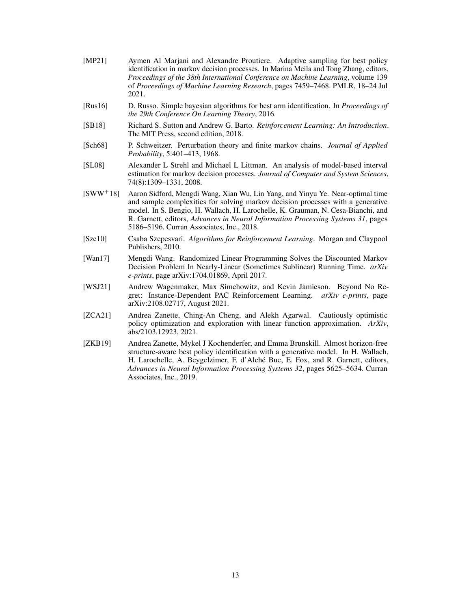- <span id="page-12-0"></span>[MP21] Aymen Al Marjani and Alexandre Proutiere. Adaptive sampling for best policy identification in markov decision processes. In Marina Meila and Tong Zhang, editors, *Proceedings of the 38th International Conference on Machine Learning*, volume 139 of *Proceedings of Machine Learning Research*, pages 7459–7468. PMLR, 18–24 Jul 2021.
- <span id="page-12-8"></span>[Rus16] D. Russo. Simple bayesian algorithms for best arm identification. In *Proceedings of the 29th Conference On Learning Theory*, 2016.
- <span id="page-12-1"></span>[SB18] Richard S. Sutton and Andrew G. Barto. *Reinforcement Learning: An Introduction*. The MIT Press, second edition, 2018.
- <span id="page-12-10"></span>[Sch68] P. Schweitzer. Perturbation theory and finite markov chains. *Journal of Applied Probability*, 5:401–413, 1968.
- <span id="page-12-9"></span>[SL08] Alexander L Strehl and Michael L Littman. An analysis of model-based interval estimation for markov decision processes. *Journal of Computer and System Sciences*, 74(8):1309–1331, 2008.
- <span id="page-12-7"></span>[SWW+18] Aaron Sidford, Mengdi Wang, Xian Wu, Lin Yang, and Yinyu Ye. Near-optimal time and sample complexities for solving markov decision processes with a generative model. In S. Bengio, H. Wallach, H. Larochelle, K. Grauman, N. Cesa-Bianchi, and R. Garnett, editors, *Advances in Neural Information Processing Systems 31*, pages 5186–5196. Curran Associates, Inc., 2018.
- <span id="page-12-2"></span>[Sze10] Csaba Szepesvari. *Algorithms for Reinforcement Learning*. Morgan and Claypool Publishers, 2010.
- <span id="page-12-6"></span>[Wan17] Mengdi Wang. Randomized Linear Programming Solves the Discounted Markov Decision Problem In Nearly-Linear (Sometimes Sublinear) Running Time. *arXiv e-prints*, page arXiv:1704.01869, April 2017.
- <span id="page-12-4"></span>[WSJ21] Andrew Wagenmaker, Max Simchowitz, and Kevin Jamieson. Beyond No Regret: Instance-Dependent PAC Reinforcement Learning. *arXiv e-prints*, page arXiv:2108.02717, August 2021.
- <span id="page-12-5"></span>[ZCA21] Andrea Zanette, Ching-An Cheng, and Alekh Agarwal. Cautiously optimistic policy optimization and exploration with linear function approximation. *ArXiv*, abs/2103.12923, 2021.
- <span id="page-12-3"></span>[ZKB19] Andrea Zanette, Mykel J Kochenderfer, and Emma Brunskill. Almost horizon-free structure-aware best policy identification with a generative model. In H. Wallach, H. Larochelle, A. Beygelzimer, F. d'Alché Buc, E. Fox, and R. Garnett, editors, *Advances in Neural Information Processing Systems 32*, pages 5625–5634. Curran Associates, Inc., 2019.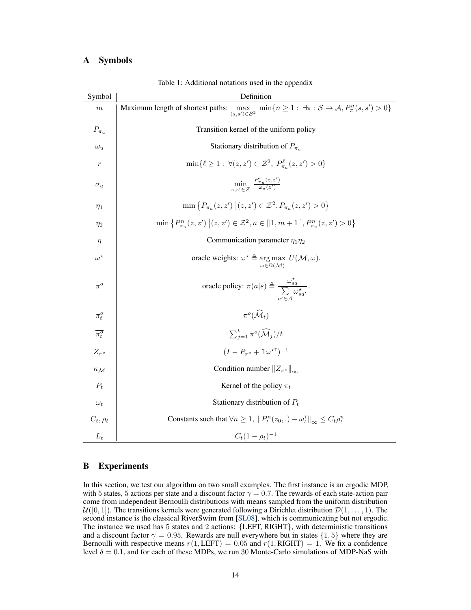# A Symbols

| Symbol                 | Definition                                                                                                                                                 |  |  |  |  |
|------------------------|------------------------------------------------------------------------------------------------------------------------------------------------------------|--|--|--|--|
| $\,m$                  | $\min\{n\geq 1: \exists \pi: \mathcal{S} \to \mathcal{A}, P^n_{\pi}(s,s') > 0\}$<br>Maximum length of shortest paths:<br>$\max_{(s,s') \in \mathcal{S}^2}$ |  |  |  |  |
| $P_{\pi_u}$            | Transition kernel of the uniform policy                                                                                                                    |  |  |  |  |
| $\omega_u$             | Stationary distribution of $P_{\pi_u}$                                                                                                                     |  |  |  |  |
| $\mathfrak{r}$         | $\min\{\ell \geq 1 : \forall (z, z') \in \mathcal{Z}^2, P^{\ell}_{\pi_{\nu}}(z, z') > 0\}$                                                                 |  |  |  |  |
| $\sigma_u$             | $\min_{z,z'\in\mathcal{Z}}\frac{P_{\pi_u}(z,z')}{\omega_u(z')}$                                                                                            |  |  |  |  |
| $\eta_1$               | $\min \{P_{\pi_n}(z, z')   (z, z') \in \mathcal{Z}^2, P_{\pi_n}(z, z') > 0\}$                                                                              |  |  |  |  |
| $\eta_2$               | $\min \{P^n_{\pi_u}(z, z')   (z, z') \in \mathcal{Z}^2, n \in [ 1, m+1 ], P^n_{\pi_u}(z, z') > 0\}$                                                        |  |  |  |  |
| $\eta$                 | Communication parameter $\eta_1 \eta_2$                                                                                                                    |  |  |  |  |
| $\omega^\star$         | oracle weights: $\omega^* \triangleq \arg \max U(\mathcal{M}, \omega)$ .<br>$\omega \in \Omega(\mathcal{M})$                                               |  |  |  |  |
| $\pi^o$                | oracle policy: $\pi(a s) \triangleq \frac{\omega_{sa}^s}{\sum \omega_{sa'}^{\star}}$ .                                                                     |  |  |  |  |
| $\pi_t^o$              | $\pi^o(\widehat{\mathcal{M}}_t)$                                                                                                                           |  |  |  |  |
| $\overline{\pi_t^o}$   | $\sum_{j=1}^t \pi^o(\widehat{\mathcal{M}}_j)/t$                                                                                                            |  |  |  |  |
| $Z_{\pi^o}$            | $(I - P_{\pi^o} + \mathbb{1}\omega^{\star \top})^{-1}$                                                                                                     |  |  |  |  |
| $\kappa_{\mathcal{M}}$ | Condition number $  Z_{\pi^o}  _{\infty}$                                                                                                                  |  |  |  |  |
| $P_t$                  | Kernel of the policy $\pi_t$                                                                                                                               |  |  |  |  |
| $\omega_t$             | Stationary distribution of $P_t$                                                                                                                           |  |  |  |  |
| $C_t, \rho_t$          | Constants such that $\forall n \geq 1$ , $  P_t^n(z_0,.) - \omega_t^{\text{T}}  _{\infty} \leq C_t \rho_t^n$                                               |  |  |  |  |
| $L_t$                  | $C_t(1-\rho_t)^{-1}$                                                                                                                                       |  |  |  |  |

Table 1: Additional notations used in the appendix

# B Experiments

In this section, we test our algorithm on two small examples. The first instance is an ergodic MDP, with 5 states, 5 actions per state and a discount factor  $\gamma = 0.7$ . The rewards of each state-action pair come from independent Bernoulli distributions with means sampled from the uniform distribution  $U([0, 1])$ . The transitions kernels were generated following a Dirichlet distribution  $\mathcal{D}(1, \ldots, 1)$ . The second instance is the classical RiverSwim from [\[SL08\]](#page-12-9), which is communicating but not ergodic. The instance we used has 5 states and 2 actions: {LEFT, RIGHT}, with deterministic transitions and a discount factor  $\gamma = 0.95$ . Rewards are null everywhere but in states {1,5} where they are Bernoulli with respective means  $r(1, \text{LEFT}) = 0.05$  and  $r(1, \text{RIGHT}) = 1$ . We fix a confidence level  $\delta = 0.1$ , and for each of these MDPs, we run 30 Monte-Carlo simulations of MDP-NaS with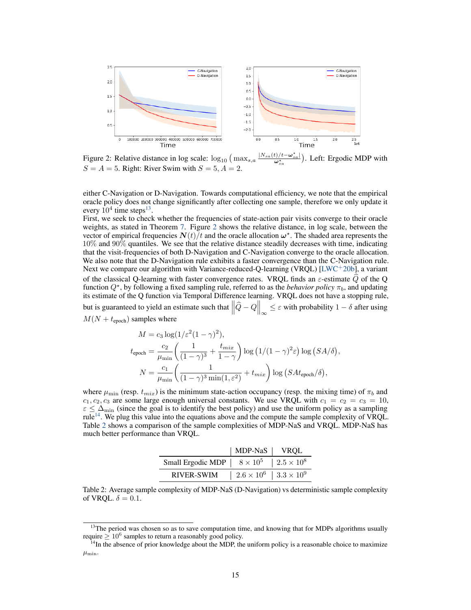

<span id="page-14-1"></span>Figure 2: Relative distance in log scale:  $\log_{10} (\max_{s,a} \frac{|N_{sa}(t)/t-\omega_{sa}^*|}{\omega_{sa}^*})$ . Left: Ergodic MDP with  $S = A = 5$ . Right: River Swim with  $S = 5, A = 2$ .

either C-Navigation or D-Navigation. Towards computational efficiency, we note that the empirical oracle policy does not change significantly after collecting one sample, therefore we only update it every  $10^4$  time steps<sup>[13](#page-14-0)</sup>.

First, we seek to check whether the frequencies of state-action pair visits converge to their oracle weights, as stated in Theorem [7.](#page-8-0) Figure [2](#page-14-1) shows the relative distance, in log scale, between the vector of empirical frequencies  $N(t)/t$  and the oracle allocation  $\omega^*$ . The shaded area represents the 10% and 90% quantiles. We see that the relative distance steadily decreases with time, indicating that the visit-frequencies of both D-Navigation and C-Navigation converge to the oracle allocation. We also note that the D-Navigation rule exhibits a faster convergence than the C-Navigation rule. Next we compare our algorithm with Variance-reduced-Q-learning (VRQL) [\[LWC](#page-11-4)<sup>+</sup>20b], a variant of the classical Q-learning with faster convergence rates. VRQL finds an  $\varepsilon$ -estimate  $\widehat{Q}$  of the Q function  $Q^*$ , by following a fixed sampling rule, referred to as the *behavior policy*  $\pi_b$ , and updating its estimate of the Q function via Temporal Difference learning. VRQL does not have a stopping rule, but is guaranteed to yield an estimate such that  $\left\|\widehat{Q}-Q\right\|_{\infty} \leq \varepsilon$  with probability  $1-\delta$  after using  $M(N + t_{\rm epoch})$  samples where

$$
M = c_3 \log(1/\varepsilon^2 (1 - \gamma)^2),
$$
  
\n
$$
t_{\text{epoch}} = \frac{c_2}{\mu_{\min}} \left( \frac{1}{(1 - \gamma)^3} + \frac{t_{mix}}{1 - \gamma} \right) \log(1/(1 - \gamma)^2 \varepsilon) \log(SA/\delta),
$$
  
\n
$$
N = \frac{c_1}{\mu_{\min}} \left( \frac{1}{(1 - \gamma)^3 \min(1, \varepsilon^2)} + t_{mix} \right) \log(SAt_{\text{epoch}}/\delta),
$$

where  $\mu_{\min}$  (resp.  $t_{mix}$ ) is the minimum state-action occupancy (resp. the mixing time) of  $\pi_b$  and  $c_1, c_2, c_3$  are some large enough universal constants. We use VRQL with  $c_1 = c_2 = c_3 = 10$ ,  $\varepsilon \leq \Delta_{\text{min}}$  (since the goal is to identify the best policy) and use the uniform policy as a sampling rule[14](#page-14-2). We plug this value into the equations above and the compute the sample complexity of VRQL. Table [2](#page-14-3) shows a comparison of the sample complexities of MDP-NaS and VRQL. MDP-NaS has much better performance than VRQL.

|                                                               | MDP-NaS   VRQL                        |  |
|---------------------------------------------------------------|---------------------------------------|--|
| Small Ergodic MDP $\vert 8 \times 10^5 \vert 2.5 \times 10^8$ |                                       |  |
| RIVER-SWIM                                                    | $2.6 \times 10^6$   $3.3 \times 10^9$ |  |

<span id="page-14-3"></span>Table 2: Average sample complexity of MDP-NaS (D-Navigation) vs deterministic sample complexity of VRQL.  $\delta = 0.1$ .

<span id="page-14-0"></span> $13$ The period was chosen so as to save computation time, and knowing that for MDPs algorithms usually require  $\geq 10^6$  samples to return a reasonably good policy.

<span id="page-14-2"></span><sup>&</sup>lt;sup>14</sup>In the absence of prior knowledge about the MDP, the uniform policy is a reasonable choice to maximize  $\mu_{\min}$ .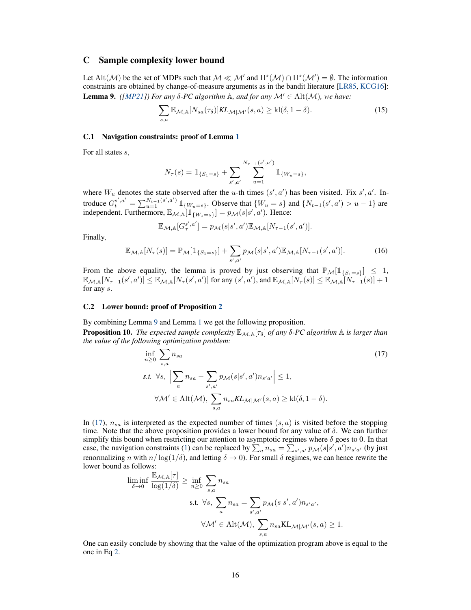# <span id="page-15-1"></span>C Sample complexity lower bound

<span id="page-15-0"></span>Let Alt(M) be the set of MDPs such that  $M \ll M'$  and  $\Pi^*(M) \cap \Pi^*(M') = \emptyset$ . The information constraints are obtained by change-of-measure arguments as in the bandit literature [\[LR85,](#page-11-11) [KCG16\]](#page-11-12): **Lemma 9.** *([\[MP21\]](#page-12-0))* For any  $\delta$ -PC algorithm  $\mathbb{A}$ , and for any  $\mathcal{M}' \in \text{Alt}(\mathcal{M})$ , we have:

$$
\sum_{s,a} \mathbb{E}_{\mathcal{M},\mathbb{A}}[N_{sa}(\tau_{\delta})]KL_{\mathcal{M}|\mathcal{M}'}(s,a) \ge \text{kl}(\delta,1-\delta). \tag{15}
$$

#### C.1 Navigation constraints: proof of Lemma [1](#page-3-3)

For all states s,

$$
N_{\tau}(s) = \mathbb{1}_{\{S_1 = s\}} + \sum_{s',a'} \sum_{u=1}^{N_{\tau-1}(s',a')} \mathbb{1}_{\{W_u = s\}},
$$

where  $W_u$  denotes the state observed after the u-th times  $(s', a')$  has been visited. Fix s', a'. Introduce  $G_t^{s',a'} = \sum_{u=1}^{N_{t-1}(s',a')} 1\!\!1_{\{W_u = s\}}$ . Observe that  $\{W_u = s\}$  and  $\{N_{t-1}(s',a') > u - 1\}$  are independent. Furthermore,  $\mathbb{E}_{\mathcal{M},A}[\mathbb{1}_{\{W_s=s\}}] = p_{\mathcal{M}}(s|s',a')$ . Hence:

$$
\mathbb{E}_{\mathcal{M},\mathbb{A}}[G_{\tau}^{s',a'}] = p_{\mathcal{M}}(s|s',a') \mathbb{E}_{\mathcal{M},\mathbb{A}}[N_{\tau-1}(s',a')].
$$

Finally,

$$
\mathbb{E}_{\mathcal{M},\mathbb{A}}[N_{\tau}(s)] = \mathbb{P}_{\mathcal{M}}[\mathbb{1}_{\{S_1=s\}}] + \sum_{s',a'} p_{\mathcal{M}}(s|s',a') \mathbb{E}_{\mathcal{M},\mathbb{A}}[N_{\tau-1}(s',a')]. \tag{16}
$$

From the above equality, the lemma is proved by just observing that  $\mathbb{P}_M[\mathbb{1}_{\{S_1=s\}}] \leq 1$ ,  $\mathbb{E}_{\mathcal{M},\mathbb{A}}[N_{\tau-1}(s',a')]\leq \mathbb{E}_{\mathcal{M},\mathbb{A}}[N_{\tau}(s',a')]\text{ for any }(s',a'),\text{ and }\mathbb{E}_{\mathcal{M},\mathbb{A}}[N_{\tau}(s)]\leq \mathbb{E}_{\mathcal{M},\mathbb{A}}[N_{\tau-1}(s)]+1$ for any s.

#### C.2 Lower bound: proof of Proposition [2](#page-4-0)

By combining Lemma [9](#page-15-0) and Lemma [1](#page-3-3) we get the following proposition. **Proposition 10.** *The expected sample complexity*  $\mathbb{E}_{\mathcal{M},\mathbb{A}}[\tau_{\delta}]$  *of any*  $\delta$ -PC algorithm  $\mathbb{A}$  *is larger than the value of the following optimization problem:*

<span id="page-15-2"></span>
$$
\inf_{n\geq 0} \sum_{s,a} n_{sa} \qquad (17)
$$
\n
$$
s.t. \forall s, \left| \sum_{a} n_{sa} - \sum_{s',a'} p_{\mathcal{M}}(s|s',a') n_{s'a'} \right| \leq 1,
$$
\n
$$
\forall \mathcal{M}' \in \text{Alt}(\mathcal{M}), \sum_{s,a} n_{sa} KL_{\mathcal{M}|\mathcal{M}'}(s,a) \geq \text{kl}(\delta, 1-\delta).
$$

In [\(17\)](#page-15-2),  $n_{sa}$  is interpreted as the expected number of times  $(s, a)$  is visited before the stopping time. Note that the above proposition provides a lower bound for any value of  $\delta$ . We can further simplify this bound when restricting our attention to asymptotic regimes where  $\delta$  goes to 0. In that case, the navigation constraints [\(1\)](#page-3-4) can be replaced by  $\sum_a n_{sa} = \sum_{s',a'} p_{\mathcal{M}}(s|s',a') n_{s'a'}$  (by just renormalizing n with  $n/\log(1/\delta)$ , and letting  $\delta \to 0$ ). For small  $\delta$  regimes, we can hence rewrite the lower bound as follows:

$$
\liminf_{\delta \to 0} \frac{\mathbb{E}_{\mathcal{M}, \mathbb{A}}[\tau]}{\log(1/\delta)} \ge \inf_{n \ge 0} \sum_{s, a} n_{sa}
$$
\n
$$
\text{s.t. } \forall s, \sum_{a} n_{sa} = \sum_{s', a'} p_{\mathcal{M}}(s|s', a') n_{s'a'},
$$
\n
$$
\forall \mathcal{M}' \in \text{Alt}(\mathcal{M}), \sum_{s, a} n_{sa} \mathbb{KL}_{\mathcal{M}|\mathcal{M}'}(s, a) \ge 1.
$$

One can easily conclude by showing that the value of the optimization program above is equal to the one in Eq [2.](#page-4-1)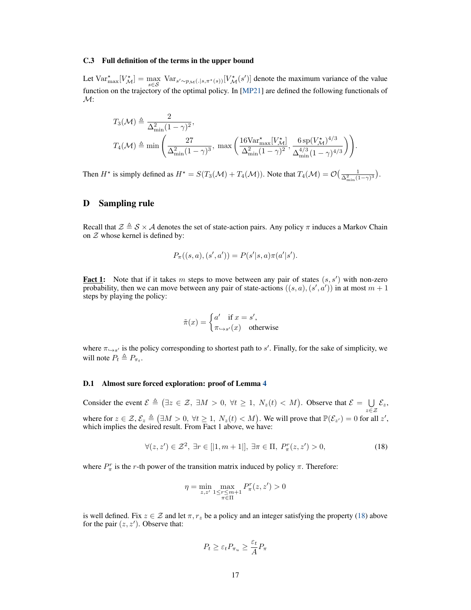#### C.3 Full definition of the terms in the upper bound

Let  $\text{Var}^*_{\text{max}}[V^*_{\mathcal{M}}] = \max_{s \in \mathcal{S}} \text{Var}_{s' \sim p_{\mathcal{M}}(.|s,\pi^*(s))}[V^*_{\mathcal{M}}(s')]$  denote the maximum variance of the value function on the trajectory of the optimal policy. In [\[MP21\]](#page-12-0) are defined the following functionals of  $\mathcal{M}$ :

$$
T_3(\mathcal{M}) \triangleq \frac{2}{\Delta_{\min}^2 (1 - \gamma)^2},
$$
  

$$
T_4(\mathcal{M}) \triangleq \min\left(\frac{27}{\Delta_{\min}^2 (1 - \gamma)^3}, \max\left(\frac{16 \text{Var}_{\max}^{\star} [V_{\mathcal{M}}^{\star}]}{\Delta_{\min}^2 (1 - \gamma)^2}, \frac{6 \text{sp}(V_{\mathcal{M}}^{\star})^{4/3}}{\Delta_{\min}^{4/3} (1 - \gamma)^{4/3}}\right)\right).
$$

Then  $H^*$  is simply defined as  $H^* = S(T_3(\mathcal{M}) + T_4(\mathcal{M}))$ . Note that  $T_4(\mathcal{M}) = \mathcal{O}(\frac{1}{\Delta_{\min}^2(1-\gamma)^3})$ .

# <span id="page-16-0"></span>D Sampling rule

Recall that  $\mathcal{Z} \triangleq \mathcal{S} \times \mathcal{A}$  denotes the set of state-action pairs. Any policy  $\pi$  induces a Markov Chain on  $Z$  whose kernel is defined by:

$$
P_{\pi}((s, a), (s', a')) = P(s'|s, a)\pi(a'|s').
$$

**Fact 1:** Note that if it takes m steps to move between any pair of states  $(s, s')$  with non-zero probability, then we can move between any pair of state-actions  $((s, a), (s', a'))$  in at most  $m + 1$ steps by playing the policy:

$$
\tilde{\pi}(x) = \begin{cases} a' & \text{if } x = s', \\ \pi_{\hookrightarrow s'}(x) & \text{otherwise} \end{cases}
$$

where  $\pi_{\hookrightarrow s'}$  is the policy corresponding to shortest path to s'. Finally, for the sake of simplicity, we will note  $P_t \triangleq P_{\pi_t}$ .

#### D.1 Almost sure forced exploration: proof of Lemma [4](#page-6-0)

Consider the event  $\mathcal{E} \triangleq (\exists z \in \mathcal{Z}, \exists M > 0, \forall t \geq 1, N_z(t) < M)$ . Observe that  $\mathcal{E} = \bigcup$  $\bigcup_{z\in\mathcal{Z}}\mathcal{E}_z,$ where for  $z \in \mathcal{Z}, \mathcal{E}_z \triangleq (\exists M > 0, \forall t \ge 1, N_z(t) < M)$ . We will prove that  $\mathbb{P}(\mathcal{E}_{z'}) = 0$  for all  $z'$ , which implies the desired result. From Fact 1 above, we have:

$$
\forall (z, z') \in \mathcal{Z}^2, \ \exists r \in [|1, m+1|], \ \exists \pi \in \Pi, \ P_\pi^r(z, z') > 0,
$$
\n(18)

where  $P_{\pi}^{r}$  is the r-th power of the transition matrix induced by policy  $\pi$ . Therefore:

<span id="page-16-1"></span>
$$
\eta = \min_{z, z'} \max_{\substack{1 \le r \le m+1 \\ \pi \in \Pi}} P^r_\pi(z, z') > 0
$$

is well defined. Fix  $z \in \mathcal{Z}$  and let  $\pi, r_z$  be a policy and an integer satisfying the property [\(18\)](#page-16-1) above for the pair  $(z, z')$ . Observe that:

$$
P_t \ge \varepsilon_t P_{\pi_u} \ge \frac{\varepsilon_t}{A} P_{\pi}
$$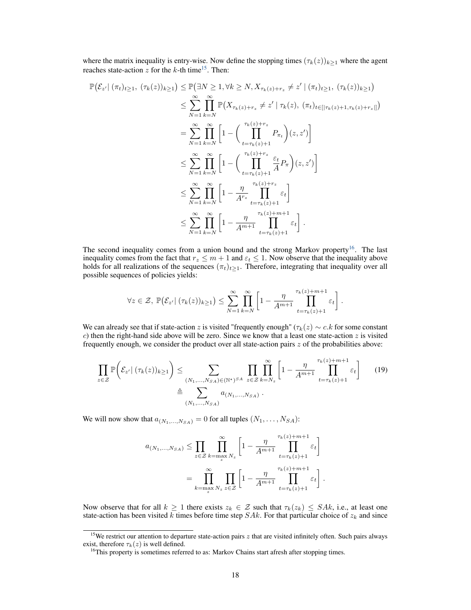where the matrix inequality is entry-wise. Now define the stopping times  $(\tau_k(z))_{k\geq 1}$  where the agent reaches state-action  $z$  for the  $k$ -th time<sup>[15](#page-17-0)</sup>. Then:

$$
\mathbb{P}(\mathcal{E}_{z'} | (\pi_t)_{t\geq 1}, (\tau_k(z))_{k\geq 1}) \leq \mathbb{P}(\exists N \geq 1, \forall k \geq N, X_{\tau_k(z)+r_z} \neq z' | (\pi_t)_{t\geq 1}, (\tau_k(z))_{k\geq 1})
$$
  
\n
$$
\leq \sum_{N=1}^{\infty} \prod_{k=N}^{\infty} \mathbb{P}(X_{\tau_k(z)+r_z} \neq z' | \tau_k(z), (\pi_t)_{t\in[|\tau_k(z)+1, \tau_k(z)+r_z|]})
$$
  
\n
$$
= \sum_{N=1}^{\infty} \prod_{k=N}^{\infty} \left[1 - \left(\prod_{t=\tau_k(z)+1}^{\tau_k(z)+r_z} P_{\pi_t}\right)(z, z')\right]
$$
  
\n
$$
\leq \sum_{N=1}^{\infty} \prod_{k=N}^{\infty} \left[1 - \left(\prod_{t=\tau_k(z)+1}^{\tau_k(z)+r_z} \frac{\varepsilon_t}{A} P_{\pi}\right)(z, z')\right]
$$
  
\n
$$
\leq \sum_{N=1}^{\infty} \prod_{k=N}^{\infty} \left[1 - \frac{\eta}{A^{r_z}} \prod_{t=\tau_k(z)+1}^{\tau_k(z)+r_z} \varepsilon_t\right]
$$
  
\n
$$
\leq \sum_{N=1}^{\infty} \prod_{k=N}^{\infty} \left[1 - \frac{\eta}{A^{m+1}} \prod_{t=\tau_k(z)+1}^{\tau_k(z)+m+1} \varepsilon_t\right].
$$

The second inequality comes from a union bound and the strong Markov property<sup>[16](#page-17-1)</sup>. The last inequality comes from the fact that  $r_z \le m + 1$  and  $\varepsilon_t \le 1$ . Now observe that the inequality above holds for all realizations of the sequences  $(\pi_t)_{t\geq 1}$ . Therefore, integrating that inequality over all possible sequences of policies yields:

$$
\forall z \in \mathcal{Z}, \ \mathbb{P}(\mathcal{E}_{z'} \mid (\tau_k(z))_{k \geq 1}) \leq \sum_{N=1}^{\infty} \prod_{k=N}^{\infty} \left[1 - \frac{\eta}{A^{m+1}} \prod_{t=\tau_k(z)+1}^{\tau_k(z)+m+1} \varepsilon_t \right].
$$

We can already see that if state-action z is visited "frequently enough" ( $\tau_k(z) \sim c.k$  for some constant c) then the right-hand side above will be zero. Since we know that a least one state-action  $z$  is visited frequently enough, we consider the product over all state-action pairs  $z$  of the probabilities above:

$$
\prod_{z \in \mathcal{Z}} \mathbb{P}\bigg(\mathcal{E}_{z'} \mid (\tau_k(z))_{k \ge 1}\bigg) \le \sum_{\substack{(N_1, \dots, N_{SA}) \in (\mathbb{N}^*)^{SA} \\ \Delta \subseteq \mathcal{Z}}} \prod_{z \in \mathcal{Z}} \prod_{k=N_z}^{\infty} \left[1 - \frac{\eta}{A^{m+1}} \prod_{t=\tau_k(z)+1}^{\tau_k(z)+m+1} \varepsilon_t\right] \tag{19}
$$

We will now show that  $a_{(N_1,...,N_{SA})} = 0$  for all tuples  $(N_1,...,N_{SA})$ :

$$
a_{(N_1,\ldots,N_{SA})} \leq \prod_{z \in \mathcal{Z}} \prod_{k=\max_{z} N_{z}}^{\infty} \left[1 - \frac{\eta}{A^{m+1}} \prod_{t=\tau_k(z)+1}^{\tau_k(z)+m+1} \varepsilon_t\right]
$$

$$
= \prod_{k=\max_{z} N_{z}}^{\infty} \prod_{z \in \mathcal{Z}} \left[1 - \frac{\eta}{A^{m+1}} \prod_{t=\tau_k(z)+1}^{\tau_k(z)+m+1} \varepsilon_t\right].
$$

Now observe that for all  $k \ge 1$  there exists  $z_k \in \mathcal{Z}$  such that  $\tau_k(z_k) \leq S A k$ , i.e., at least one state-action has been visited k times before time step  $SAk$ . For that particular choice of  $z_k$  and since

<span id="page-17-0"></span><sup>&</sup>lt;sup>15</sup>We restrict our attention to departure state-action pairs  $z$  that are visited infinitely often. Such pairs always exist, therefore  $\tau_k(z)$  is well defined.

<span id="page-17-1"></span><sup>&</sup>lt;sup>16</sup>This property is sometimes referred to as: Markov Chains start afresh after stopping times.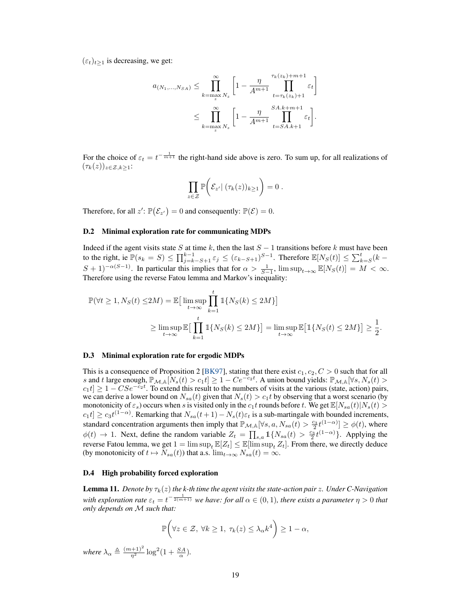$(\varepsilon_t)_{t>1}$  is decreasing, we get:

$$
a_{(N_1,...,N_{SA})} \leq \prod_{k=\max x N_z}^{\infty} \left[1 - \frac{\eta}{A^{m+1}} \prod_{t=\tau_k(z_k)+1}^{\tau_k(z_k)+m+1} \varepsilon_t\right]
$$
  

$$
\leq \prod_{k=\max x N_z}^{\infty} \left[1 - \frac{\eta}{A^{m+1}} \prod_{t=S A.k+1}^{SA.k+m+1} \varepsilon_t\right].
$$

For the choice of  $\varepsilon_t = t^{-\frac{1}{m+1}}$  the right-hand side above is zero. To sum up, for all realizations of  $(\tau_k(z))_{z\in\mathcal{Z},k\geq 1}$ :

$$
\prod_{z\in\mathcal{Z}}\mathbb{P}\bigg(\mathcal{E}_{z'}\big|\,(\tau_k(z))_{k\geq 1}\bigg)=0.
$$

Therefore, for all  $z'$ :  $\mathbb{P}(\mathcal{E}_{z'}) = 0$  and consequently:  $\mathbb{P}(\mathcal{E}) = 0$ .

#### D.2 Minimal exploration rate for communicating MDPs

Indeed if the agent visits state S at time k, then the last  $S - 1$  transitions before k must have been to the right, ie  $\mathbb{P}(s_k = S) \le \prod_{j=k-S+1}^{k-1} \varepsilon_j \le (\varepsilon_{k-S+1})^{S-1}$ . Therefore  $\mathbb{E}[N_S(t)] \le \sum_{k=S}^{t} (k - s_k)$  $(S + 1)^{-\alpha(S-1)}$ . In particular this implies that for  $\alpha > \frac{1}{S-1}$ ,  $\limsup_{t \to \infty} \mathbb{E}[N_S(t)] = M < \infty$ . Therefore using the reverse Fatou lemma and Markov's inequality:

$$
\begin{aligned} \mathbb{P}(\forall t \geq 1, N_S(t) \leq & 2M) = \mathbb{E}\big[\limsup_{t \to \infty} \prod_{k=1}^t \mathbbm{1}\{N_S(k) \leq 2M\}\big] \\ & \geq \limsup_{t \to \infty} \mathbb{E}\big[\prod_{k=1}^t \mathbbm{1}\{N_S(k) \leq 2M\}\big] = \limsup_{t \to \infty} \mathbb{E}\big[\mathbbm{1}\{N_S(t) \leq 2M\}\big] \geq \frac{1}{2}. \end{aligned}
$$

#### D.3 Minimal exploration rate for ergodic MDPs

This is a consequence of Proposition 2 [\[BK97\]](#page-10-12), stating that there exist  $c_1, c_2, C > 0$  such that for all s and t large enough,  $\mathbb{P}_{\mathcal{M},\mathbb{A}}[N_s(t) > c_1t] \geq 1 - Ce^{-c_2t}$ . A union bound yields:  $\mathbb{P}_{\mathcal{M},\mathbb{A}}[\forall s, N_s(t) >$  $c_1 t$   $\geq 1 - C S e^{-c_2 t}$ . To extend this result to the numbers of visits at the various (state, action) pairs, we can derive a lower bound on  $N_{sa}(t)$  given that  $N_s(t) > c_1t$  by observing that a worst scenario (by monotonicity of  $\varepsilon_s$ ) occurs when s is visited only in the  $c_1t$  rounds before t. We get  $\mathbb{E}[N_{sa}(t)|N_s(t) >$  $c_1t] \ge c_3t^{(1-\alpha)}$ . Remarking that  $N_{sa}(t+1) - N_s(t)\varepsilon_t$  is a sub-martingale with bounded increments, standard concentration arguments then imply that  $\mathbb{P}_{M,\mathbb{A}}[\forall s, a, N_{sa}(t) > \frac{c_3}{2} t^{(1-\alpha)}] \ge \phi(t)$ , where  $\phi(t) \to 1$ . Next, define the random variable  $Z_t = \prod_{s,a} 1\{N_{sa}(t) > \frac{c_3}{2}t^{(1-\alpha)}\}$ . Applying the reverse Fatou lemma, we get  $1 = \limsup_t \mathbb{E}[Z_t] \leq \mathbb{E}[\limsup_t Z_t]$ . From there, we directly deduce (by monotonicity of  $t \mapsto N_{sa}(t)$ ) that a.s.  $\lim_{t\to\infty} N_{sa}(t) = \infty$ .

#### D.4 High probability forced exploration

<span id="page-18-0"></span>**Lemma 11.** *Denote by*  $\tau_k(z)$  *the k-th time the agent visits the state-action pair z. Under C-Navigation* with exploration rate  $\varepsilon_t = t^{-\frac{1}{2(m+1)}}$  we have: for all  $\alpha \in (0,1)$ , there exists a parameter  $\eta > 0$  that *only depends on* M *such that:*

$$
\mathbb{P}\bigg(\forall z\in\mathcal{Z},\ \forall k\geq 1,\ \tau_k(z)\leq \lambda_\alpha k^4\bigg)\geq 1-\alpha,
$$

*where*  $\lambda_{\alpha} \triangleq \frac{(m+1)^2}{\eta^2} \log^2(1 + \frac{SA}{\alpha}).$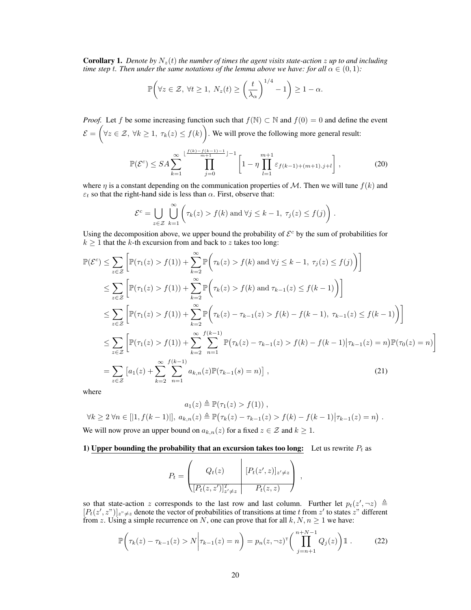<span id="page-19-2"></span>**Corollary 1.** Denote by  $N_z(t)$  the number of times the agent visits state-action z up to and including *time step t. Then under the same notations of the lemma above we have: for all*  $\alpha \in (0,1)$ *:* 

$$
\mathbb{P}\bigg(\forall z\in\mathcal{Z},\ \forall t\geq 1,\ N_z(t)\geq \left(\frac{t}{\lambda_\alpha}\right)^{1/4}-1\bigg)\geq 1-\alpha.
$$

*Proof.* Let f be some increasing function such that  $f(\mathbb{N}) \subset \mathbb{N}$  and  $f(0) = 0$  and define the event  $\mathcal{E} = \Big(\forall z \in \mathcal{Z}, \, \forall k \geq 1, \, \tau_k(z) \leq f(k) \Big)$ . We will prove the following more general result:

$$
\mathbb{P}(\mathcal{E}^c) \le SA \sum_{k=1}^{\infty} \prod_{j=0}^{\lfloor \frac{f(k)-f(k-1)-1}{m+1} \rfloor - 1} \left[ 1 - \eta \prod_{l=1}^{m+1} \varepsilon_{f(k-1)+(m+1),j+l} \right],
$$
 (20)

where  $\eta$  is a constant depending on the communication properties of M. Then we will tune  $f(k)$  and  $\varepsilon_t$  so that the right-hand side is less than  $\alpha$ . First, observe that:

$$
\mathcal{E}^c = \bigcup_{z \in \mathcal{Z}} \bigcup_{k=1}^{\infty} \left( \tau_k(z) > f(k) \text{ and } \forall j \leq k-1, \ \tau_j(z) \leq f(j) \right).
$$

Using the decomposition above, we upper bound the probability of  $\mathcal{E}^c$  by the sum of probabilities for  $k \geq 1$  that the k-th excursion from and back to z takes too long:

$$
\mathbb{P}(\mathcal{E}^{c}) \leq \sum_{z \in \mathcal{Z}} \left[ \mathbb{P}(\tau_{1}(z) > f(1)) + \sum_{k=2}^{\infty} \mathbb{P}\left(\tau_{k}(z) > f(k) \text{ and } \forall j \leq k-1, \tau_{j}(z) \leq f(j)\right) \right]
$$
\n
$$
\leq \sum_{z \in \mathcal{Z}} \left[ \mathbb{P}(\tau_{1}(z) > f(1)) + \sum_{k=2}^{\infty} \mathbb{P}\left(\tau_{k}(z) > f(k) \text{ and } \tau_{k-1}(z) \leq f(k-1)\right) \right]
$$
\n
$$
\leq \sum_{z \in \mathcal{Z}} \left[ \mathbb{P}(\tau_{1}(z) > f(1)) + \sum_{k=2}^{\infty} \mathbb{P}\left(\tau_{k}(z) - \tau_{k-1}(z) > f(k) - f(k-1), \tau_{k-1}(z) \leq f(k-1)\right) \right]
$$
\n
$$
\leq \sum_{z \in \mathcal{Z}} \left[ \mathbb{P}(\tau_{1}(z) > f(1)) + \sum_{k=2}^{\infty} \sum_{n=1}^{f(k-1)} \mathbb{P}(\tau_{k}(z) - \tau_{k-1}(z) > f(k) - f(k-1)|\tau_{k-1}(z) = n) \mathbb{P}(\tau_{0}(z) = n) \right]
$$
\n
$$
= \sum_{z \in \mathcal{Z}} \left[ a_{1}(z) + \sum_{k=2}^{\infty} \sum_{n=1}^{f(k-1)} a_{k,n}(z) \mathbb{P}(\tau_{k-1}(s) = n) \right], \tag{21}
$$

where

$$
a_1(z) \triangleq \mathbb{P}(\tau_1(z) > f(1)),
$$
  

$$
\forall k \ge 2 \forall n \in [|1, f(k-1)|], a_{k,n}(z) \triangleq \mathbb{P}(\tau_k(z) - \tau_{k-1}(z) > f(k) - f(k-1)|\tau_{k-1}(z) = n).
$$

We will now prove an upper bound on  $a_{k,n}(z)$  for a fixed  $z \in \mathcal{Z}$  and  $k \geq 1$ .

## 1) Upper bounding the probability that an excursion takes too long: Let us rewrite  $P_t$  as

<span id="page-19-1"></span><span id="page-19-0"></span>

| $Q_t(z)$                           | $[P_t(z', z)]_{z' \neq z}$ |  |
|------------------------------------|----------------------------|--|
| $\langle [P_t(z,z')]_{z'\neq z}^T$ | $P_t(z,z)$                 |  |

so that state-action z corresponds to the last row and last column. Further let  $p_t(z', \neg z) \triangleq$  $[P_t(z', z'')]_{z''\neq z}$  denote the vector of probabilities of transitions at time t from z' to states z" different from z. Using a simple recurrence on N, one can prove that for all  $k, N, n \ge 1$  we have:

$$
\mathbb{P}\left(\tau_k(z) - \tau_{k-1}(z) > N \middle| \tau_{k-1}(z) = n\right) = p_n(z, \neg z)^{\mathsf{T}} \left(\prod_{j=n+1}^{n+N-1} Q_j(z)\right) \mathbb{1} \,. \tag{22}
$$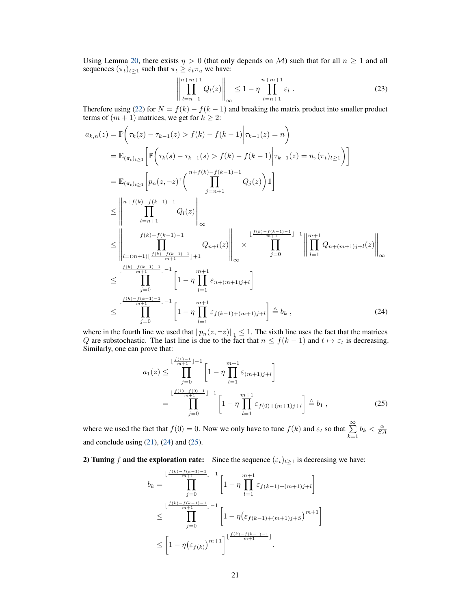Using Lemma [20,](#page-37-0) there exists  $\eta > 0$  (that only depends on M) such that for all  $n \ge 1$  and all sequences  $(\pi_t)_{t\geq 1}$  such that  $\pi_t \geq \varepsilon_t \pi_u$  we have:

$$
\left\| \prod_{l=n+1}^{n+m+1} Q_l(z) \right\|_{\infty} \le 1 - \eta \prod_{l=n+1}^{n+m+1} \varepsilon_l \ . \tag{23}
$$

Therefore using [\(22\)](#page-19-0) for  $N = f(k) - f(k-1)$  and breaking the matrix product into smaller product terms of  $(m + 1)$  matrices, we get for  $k \geq 2$ :

$$
a_{k,n}(z) = \mathbb{P}\Big(\tau_k(z) - \tau_{k-1}(z) > f(k) - f(k-1)\Big|\tau_{k-1}(z) = n\Big)
$$
\n
$$
= \mathbb{E}_{(\pi_t)_{t\geq 1}}\Big[\mathbb{P}\Big(\tau_k(s) - \tau_{k-1}(s) > f(k) - f(k-1)\Big|\tau_{k-1}(z) = n, (\pi_t)_{t\geq 1}\Big]\Big]
$$
\n
$$
= \mathbb{E}_{(\pi_t)_{t\geq 1}}\Big[p_n(z, -z)^{\top}\Big(\prod_{j=n+1}^{n+f(k)-f(k-1)-1}Q_j(z)\Big)\mathbb{1}\Big]
$$
\n
$$
\leq \left\|\prod_{l=n+1}^{n+f(k)-f(k-1)-1}Q_l(z)\right\|_{\infty}
$$
\n
$$
\leq \left\|\prod_{l=(m+1)\lfloor\frac{f(k)-f(k-1)-1}{m+1}\rfloor+1}^{f(k)-f(k-1)-1}Q_{n+1}(z)\right\|_{\infty} \times \prod_{j=0}^{\lfloor\frac{f(k)-f(k-1)-1}{m+1}\rfloor-1}\Big|\prod_{l=1}^{m+1}Q_{n+(m+1)j+l}(z)\Big|\Big|_{\infty}
$$
\n
$$
\leq \prod_{j=0}^{\lfloor\frac{f(k)-f(k-1)-1}{m+1}\rfloor-1}\Big[1-\eta\prod_{l=1}^{m+1}\varepsilon_{n+(m+1)j+l}\Big]
$$
\n
$$
\leq \prod_{j=0}^{\lfloor\frac{f(k)-f(k-1)-1}{m+1}\rfloor-1}\Big[1-\eta\prod_{l=1}^{m+1}\varepsilon_{f(k-1)+(m+1)j+l}\Big]\triangleq b_k,
$$
\n(24)

where in the fourth line we used that  $||p_n(z, \neg z)||_1 \leq 1$ . The sixth line uses the fact that the matrices Q are substochastic. The last line is due to the fact that  $n \le f(k-1)$  and  $t \mapsto \varepsilon_t$  is decreasing. Similarly, one can prove that:

<span id="page-20-1"></span><span id="page-20-0"></span>
$$
a_1(z) \leq \prod_{j=0}^{\lfloor \frac{f(1)-1}{m+1} \rfloor - 1} \left[ 1 - \eta \prod_{l=1}^{m+1} \varepsilon_{(m+1)j+l} \right]
$$
  
= 
$$
\prod_{j=0}^{\lfloor \frac{f(1)-f(0)-1}{m+1} \rfloor - 1} \left[ 1 - \eta \prod_{l=1}^{m+1} \varepsilon_{f(0)+(m+1)j+l} \right] \triangleq b_1,
$$
 (25)

where we used the fact that  $f(0) = 0$ . Now we only have to tune  $f(k)$  and  $\varepsilon_t$  so that  $\sum_{k=1}^{\infty} b_k < \frac{\alpha}{SA}$ and conclude using  $(21)$ ,  $(24)$  and  $(25)$ .

2) Tuning f and the exploration rate: Since the sequence  $(\varepsilon_t)_{t\geq 1}$  is decreasing we have:

$$
b_k = \prod_{j=0}^{\lfloor \frac{f(k) - f(k-1) - 1}{m+1} \rfloor - 1} \left[ 1 - \eta \prod_{l=1}^{m+1} \varepsilon_{f(k-1) + (m+1)j + l} \right]
$$
  

$$
\leq \prod_{j=0}^{\lfloor \frac{f(k) - f(k-1) - 1}{m+1} \rfloor - 1} \left[ 1 - \eta \left( \varepsilon_{f(k-1) + (m+1)j + S} \right)^{m+1} \right]
$$
  

$$
\leq \left[ 1 - \eta \left( \varepsilon_{f(k)} \right)^{m+1} \right]^{\lfloor \frac{f(k) - f(k-1) - 1}{m+1} \rfloor}.
$$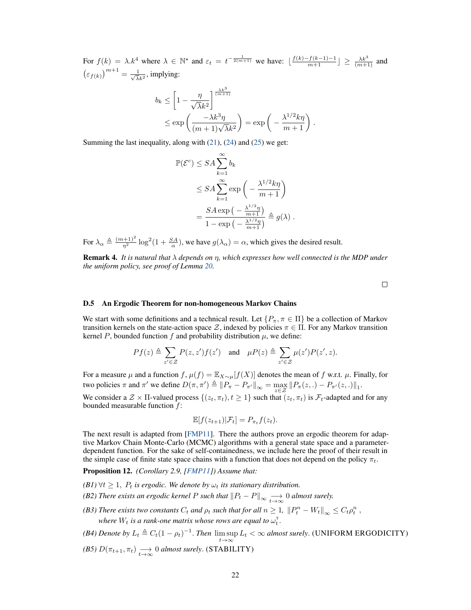For  $f(k) = \lambda \cdot k^4$  where  $\lambda \in \mathbb{N}^*$  and  $\varepsilon_t = t^{-\frac{1}{2(m+1)}}$  we have:  $\lfloor \frac{f(k) - f(k-1)-1}{m+1} \rfloor \ge \frac{\lambda k^3}{(m+1)}$  and  $\left(\varepsilon_{f(k)}\right)^{m+1} = \frac{1}{\sqrt{\lambda}}$  $\frac{1}{\overline{\lambda}k^2}$ , implying:

$$
b_k \le \left[1 - \frac{\eta}{\sqrt{\lambda}k^2}\right]^{\frac{\lambda k^3}{(m+1)}}
$$
  
 
$$
\le \exp\left(\frac{-\lambda k^3 \eta}{(m+1)\sqrt{\lambda}k^2}\right) = \exp\left(-\frac{\lambda^{1/2} k \eta}{m+1}\right).
$$

Summing the last inequality, along with [\(21\)](#page-19-1), [\(24\)](#page-20-0) and [\(25\)](#page-20-1) we get:

$$
\mathbb{P}(\mathcal{E}^c) \le SA \sum_{k=1}^{\infty} b_k
$$
  
\n
$$
\le SA \sum_{k=1}^{\infty} \exp\left(-\frac{\lambda^{1/2} k\eta}{m+1}\right)
$$
  
\n
$$
= \frac{SA \exp\left(-\frac{\lambda^{1/2} \eta}{m+1}\right)}{1 - \exp\left(-\frac{\lambda^{1/2} \eta}{m+1}\right)} \triangleq g(\lambda).
$$

For  $\lambda_{\alpha} \triangleq \frac{(m+1)^2}{\eta^2} \log^2(1+\frac{SA}{\alpha})$ , we have  $g(\lambda_{\alpha}) = \alpha$ , which gives the desired result.

Remark 4. *It is natural that* λ *depends on* η*, which expresses how well connected is the MDP under the uniform policy, see proof of Lemma [20.](#page-37-0)*

 $\Box$ 

#### D.5 An Ergodic Theorem for non-homogeneous Markov Chains

We start with some definitions and a technical result. Let  $\{P_\pi, \pi \in \Pi\}$  be a collection of Markov transition kernels on the state-action space Z, indexed by policies  $\pi \in \Pi$ . For any Markov transition kernel P, bounded function f and probability distribution  $\mu$ , we define:

$$
Pf(z) \triangleq \sum_{z' \in \mathcal{Z}} P(z, z') f(z') \quad \text{and} \quad \mu P(z) \triangleq \sum_{z' \in \mathcal{Z}} \mu(z') P(z', z).
$$

For a measure  $\mu$  and a function  $f$ ,  $\mu(f) = \mathbb{E}_{X \sim \mu}[f(X)]$  denotes the mean of f w.r.t.  $\mu$ . Finally, for two policies  $\pi$  and  $\pi'$  we define  $D(\pi, \pi') \triangleq ||P_{\pi} - P_{\pi'}||_{\infty} = \max_{z \in \mathcal{Z}} ||P_{\pi}(z,.) - P_{\pi'}(z,.)||_1$ .

We consider a  $\mathcal{Z} \times \Pi$ -valued process  $\{(z_t, \pi_t), t \geq 1\}$  such that  $(z_t, \pi_t)$  is  $\mathcal{F}_t$ -adapted and for any bounded measurable function  $f$ :

$$
\mathbb{E}[f(z_{t+1})|\mathcal{F}_t] = P_{\pi_t}f(z_t).
$$

The next result is adapted from [\[FMP11\]](#page-10-11). There the authors prove an ergodic theorem for adaptive Markov Chain Monte-Carlo (MCMC) algorithms with a general state space and a parameterdependent function. For the sake of self-containedness, we include here the proof of their result in the simple case of finite state space chains with a function that does not depend on the policy  $\pi_t$ .

<span id="page-21-0"></span>Proposition 12. *(Corollary 2.9, [\[FMP11\]](#page-10-11)) Assume that:*

- $(BI)$   $\forall t \geq 1$ ,  $P_t$  *is ergodic. We denote by*  $\omega_t$  *its stationary distribution.*
- <span id="page-21-5"></span><span id="page-21-1"></span>*(B2) There exists an ergodic kernel P such that*  $\|P_t - P\|_\infty \xrightarrow[t \to \infty]{} 0$  *almost surely.*
- <span id="page-21-4"></span>*(B3) There exists two constants*  $C_t$  *and*  $\rho_t$  *such that for all*  $n \geq 1$ ,  $||P_t^n - W_t||_{\infty} \leq C_t \rho_t^n$ , where  $W_t$  is a rank-one matrix whose rows are equal to  $\omega_t^{\tau}$ .
- <span id="page-21-2"></span>*(B4) Denote by*  $L_t \triangleq C_t(1 - \rho_t)^{-1}$ . *Then*  $\limsup_{t \to \infty} L_t < \infty$  *almost surely*. (UNIFORM ERGODICITY)
- <span id="page-21-3"></span>*(B5)*  $D(\pi_{t+1}, \pi_t) \longrightarrow 0$  *almost surely.* (STABILITY)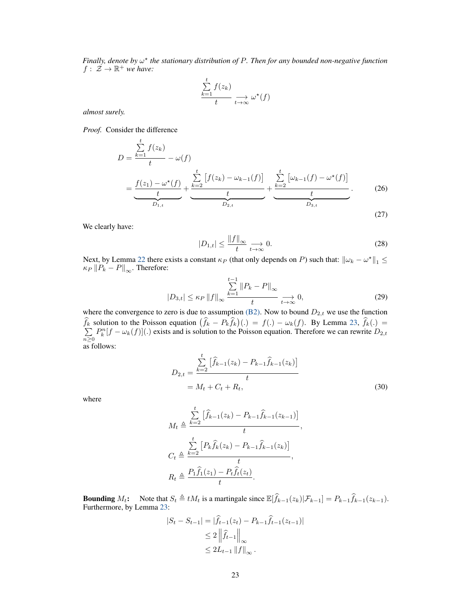*Finally, denote by* ω ? *the stationary distribution of* P*. Then for any bounded non-negative function*  $f: \mathcal{Z} \to \mathbb{R}^+$  *we have:* 

$$
\frac{\sum_{k=1}^{t} f(z_k)}{t} \xrightarrow[t \to \infty]{} \omega^{\star}(f)
$$

*almost surely.*

*Proof.* Consider the difference

$$
D = \frac{\sum_{k=1}^{t} f(z_k)}{t} - \omega(f)
$$
  
= 
$$
\underbrace{\frac{f(z_1) - \omega^*(f)}{t}}_{D_{1,t}} + \underbrace{\sum_{k=2}^{t} [f(z_k) - \omega_{k-1}(f)]}_{D_{2,t}} + \underbrace{\sum_{k=2}^{t} [\omega_{k-1}(f) - \omega^*(f)]}_{D_{3,t}}_{D_{3,t}}.
$$
 (26)

We clearly have:

$$
|D_{1,t}| \le \frac{\|f\|_{\infty}}{t} \underset{t \to \infty}{\longrightarrow} 0. \tag{28}
$$

<span id="page-22-0"></span>(27)

Next, by Lemma [22](#page-40-0) there exists a constant  $\kappa_P$  (that only depends on P) such that:  $\|\omega_k - \omega^*\|_1 \le$  $\kappa_P \left\|P_k - P\right\|_\infty$ . Therefore:

$$
|D_{3,t}| \le \kappa_P \left\|f\right\|_{\infty} \xrightarrow[k=1]{\sum_{k=1}^{t-1} \|P_k - P\|_{\infty}} \xrightarrow[t \to \infty]{} 0,
$$
\n(29)

where the convergence to zero is due to assumption [\(B2\).](#page-21-1) Now to bound  $D_{2,t}$  we use the function  $\hat{f}_k$  solution to the Poisson equation  $(\hat{f}_k - P_k \hat{f}_k)(.) = f(.) - \omega_k(f)$ . By Lemma [23,](#page-40-1)  $\hat{f}_k(.) =$ <br>  $\sum P_k^n [f - \omega_k(f)](.)$  exists and is solution to the Poisson equation. Therefore we can rewrite  $D_{2,t}$  $n\geq 0$  $P_k^n[f - \omega_k(f)]$ .) exists and is solution to the Poisson equation. Therefore we can rewrite  $D_{2,t}$ as follows:

 $\overline{t}$ 

$$
\overline{}
$$

$$
D_{2,t} = \frac{\sum_{k=2}^{t} [\hat{f}_{k-1}(z_k) - P_{k-1}\hat{f}_{k-1}(z_k)]}{t}
$$
  
=  $M_t + C_t + R_t,$  (30)

where

$$
M_t \triangleq \frac{\sum\limits_{k=2}^t \left[ \hat{f}_{k-1}(z_k) - P_{k-1} \hat{f}_{k-1}(z_{k-1}) \right]}{t},
$$
  

$$
C_t \triangleq \frac{\sum\limits_{k=2}^t \left[ P_k \hat{f}_k(z_k) - P_{k-1} \hat{f}_{k-1}(z_k) \right]}{t},
$$
  

$$
R_t \triangleq \frac{P_1 \hat{f}_1(z_1) - P_t \hat{f}_t(z_t)}{t}.
$$

**Bounding**  $M_t$ : Note that  $S_t \triangleq tM_t$  is a martingale since  $\mathbb{E}[\hat{f}_{k-1}(z_k)|\mathcal{F}_{k-1}] = P_{k-1}\hat{f}_{k-1}(z_{k-1})$ .<br>Furthermore, by Lemma [23:](#page-40-1)

$$
|S_t - S_{t-1}| = |\hat{f}_{t-1}(z_t) - P_{k-1}\hat{f}_{t-1}(z_{t-1})|
$$
  
\n
$$
\leq 2 \left\| \hat{f}_{t-1} \right\|_{\infty}
$$
  
\n
$$
\leq 2L_{t-1} \|f\|_{\infty}.
$$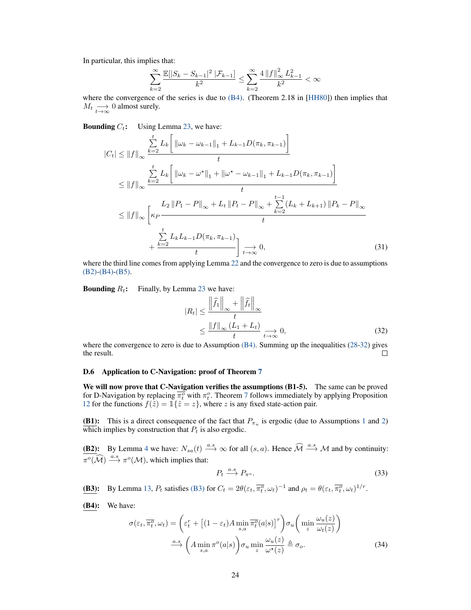In particular, this implies that:

$$
\sum_{k=2}^{\infty} \frac{\mathbb{E}[|S_k - S_{k-1}|^2 \, | \mathcal{F}_{k-1}]}{k^2} \le \sum_{k=2}^{\infty} \frac{4 \, ||f||_{\infty}^2 \, L_{k-1}^2}{k^2} < \infty
$$

where the convergence of the series is due to  $(B4)$ . (Theorem 2.18 in [\[HH80\]](#page-11-13)) then implies that  $M_t \underset{t\to\infty}{\longrightarrow} 0$  almost surely.

**Bounding**  $C_t$ : Using Lemma [23,](#page-40-1) we have:

$$
|C_{t}| \leq ||f||_{\infty} \frac{\sum_{k=2}^{t} L_{k} \left[ ||\omega_{k} - \omega_{k-1}||_{1} + L_{k-1}D(\pi_{k}, \pi_{k-1}) \right]}{t}
$$
  
\n
$$
\leq ||f||_{\infty} \frac{\sum_{k=2}^{t} L_{k} \left[ ||\omega_{k} - \omega^{\star}||_{1} + ||\omega^{\star} - \omega_{k-1}||_{1} + L_{k-1}D(\pi_{k}, \pi_{k-1}) \right]}{t}
$$
  
\n
$$
\leq ||f||_{\infty} \left[ \kappa_{P} \frac{L_{2} ||P_{1} - P||_{\infty} + L_{t} ||P_{t} - P||_{\infty} + \sum_{k=2}^{t-1} (L_{k} + L_{k+1}) ||P_{k} - P||_{\infty}}{t}
$$
  
\n
$$
+ \frac{\sum_{k=2}^{t} L_{k}L_{k-1}D(\pi_{k}, \pi_{k-1})}{t} \right] \underset{t \to \infty}{\to} 0,
$$
 (31)

where the third line comes from applying Lemma [22](#page-40-0) and the convergence to zero is due to assumptions [\(B2\)](#page-21-1)[-\(B4\)-](#page-21-2)[\(B5\).](#page-21-3)

**Bounding**  $R_t$ : Finally, by Lemma [23](#page-40-1) we have:

<span id="page-23-0"></span>
$$
|R_t| \le \frac{\left\|\widehat{f}_1\right\|_{\infty} + \left\|\widehat{f}_t\right\|_{\infty}}{t}
$$
  

$$
\le \frac{\left\|f\right\|_{\infty} (L_1 + L_t)}{t} \underset{t \to \infty}{\longrightarrow} 0,
$$
 (32)

where the convergence to zero is due to Assumption  $(B4)$ . Summing up the inequalities [\(28](#page-22-0)[-32\)](#page-23-0) gives the result.  $\Box$ 

## D.6 Application to C-Navigation: proof of Theorem [7](#page-8-0)

We will now prove that C-Navigation verifies the assumptions (B1-5). The same can be proved for D-Navigation by replacing  $\overline{\pi_t^o}$  with  $\pi_t^o$ . Theorem [7](#page-8-0) follows immediately by applying Proposition [12](#page-21-0) for the functions  $f(\tilde{z}) = \tilde{1}\{\tilde{z} = z\}$ , where z is any fixed state-action pair.

**(B[1](#page-3-2)):** This is a direct consequence of the fact that  $P_{\pi_u}$  is ergodic (due to Assumptions 1 and [2\)](#page-8-3) which implies by construction that  $P_t$  is also ergodic.

**(B2):** By Lemma [4](#page-6-0) we have:  $N_{sa}(t) \stackrel{a.s}{\longrightarrow} \infty$  for all  $(s, a)$ . Hence  $\widehat{\mathcal{M}} \stackrel{a.s}{\longrightarrow} \mathcal{M}$  and by continuity:  $\pi^o(\widehat{\mathcal{M}}) \stackrel{a.s}{\longrightarrow} \pi^o(\mathcal{M})$ , which implies that:

<span id="page-23-1"></span>
$$
P_t \xrightarrow{a.s} P_{\pi^o}.\tag{33}
$$

**[\(B3\)](#page-21-4):** By Lemma [13,](#page-24-0)  $P_t$  satisfies (B3) for  $C_t = 2\theta(\varepsilon_t, \overline{\pi_t^o}, \omega_t)^{-1}$  and  $\rho_t = \theta(\varepsilon_t, \overline{\pi_t^o}, \omega_t)^{1/r}$ .

(B4): We have:

$$
\sigma(\varepsilon_t, \overline{\pi_t^o}, \omega_t) = \left(\varepsilon_t^r + \left[ (1 - \varepsilon_t) A \min_{s,a} \overline{\pi_t^o}(a|s) \right]^r \right) \sigma_u \left( \min_z \frac{\omega_u(z)}{\omega_t(z)} \right)
$$

$$
\xrightarrow{a.s} \left( A \min_{s,a} \pi^o(a|s) \right) \sigma_u \min_z \frac{\omega_u(z)}{\omega^{\star}(z)} \triangleq \sigma_o. \tag{34}
$$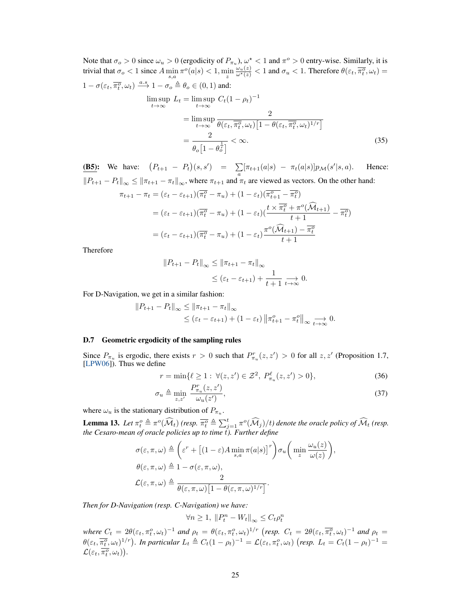Note that  $\sigma_o > 0$  since  $\omega_u > 0$  (ergodicity of  $P_{\pi_u}$ ),  $\omega^* < 1$  and  $\pi^o > 0$  entry-wise. Similarly, it is trivial that  $\sigma_o < 1$  since  $A \min_{s,a} \pi^o(a|s) < 1$ ,  $\min_z$  $\frac{\omega_u(z)}{\omega^*(z)} < 1$  and  $\sigma_u < 1$ . Therefore  $\theta(\varepsilon_t, \overline{\pi_t^o}, \omega_t) =$  $1 - \sigma(\varepsilon_t, \overline{\pi_t^o}, \omega_t) \stackrel{a.s}{\longrightarrow} 1 - \sigma_o \triangleq \theta_o \in (0, 1)$  and:

$$
\limsup_{t \to \infty} L_t = \limsup_{t \to \infty} C_t (1 - \rho_t)^{-1}
$$
\n
$$
= \limsup_{t \to \infty} \frac{2}{\theta(\varepsilon_t, \overline{\pi_t^o}, \omega_t) \left[1 - \theta(\varepsilon_t, \overline{\pi_t^o}, \omega_t)^{1/r}\right]}
$$
\n
$$
= \frac{2}{\theta_o \left[1 - \theta_o^{\frac{1}{r}}\right]} < \infty.
$$
\n(35)

**(B5):** We have:  $(P_{t+1} - P_t)(s, s') = \sum_a [\pi_{t+1}(a|s) - \pi_t(a|s)] p_{\mathcal{M}}(s')$ Hence:  $||P_{t+1} - P_t||_{\infty} \le ||\pi_{t+1} - \pi_t||_{\infty}$ , where  $\pi_{t+1}$  and  $\pi_t$  are viewed as vectors. On the other hand:

$$
\pi_{t+1} - \pi_t = (\varepsilon_t - \varepsilon_{t+1})(\overline{\pi_t^o} - \pi_u) + (1 - \varepsilon_t)(\overline{\pi_{t+1}^o} - \overline{\pi_t^o})
$$
  
\n
$$
= (\varepsilon_t - \varepsilon_{t+1})(\overline{\pi_t^o} - \pi_u) + (1 - \varepsilon_t)(\frac{t \times \overline{\pi_t^o} + \pi^o(\widehat{\mathcal{M}}_{t+1})}{t+1} - \overline{\pi_t^o})
$$
  
\n
$$
= (\varepsilon_t - \varepsilon_{t+1})(\overline{\pi_t^o} - \pi_u) + (1 - \varepsilon_t)\frac{\pi^o(\widehat{\mathcal{M}}_{t+1}) - \overline{\pi_t^o}}{t+1}
$$

Therefore

<span id="page-24-2"></span>
$$
||P_{t+1} - P_t||_{\infty} \le ||\pi_{t+1} - \pi_t||_{\infty}
$$
  

$$
\le (\varepsilon_t - \varepsilon_{t+1}) + \frac{1}{t+1} \underset{t \to \infty}{\longrightarrow} 0.
$$

For D-Navigation, we get in a similar fashion:

$$
||P_{t+1} - P_t||_{\infty} \le ||\pi_{t+1} - \pi_t||_{\infty}
$$
  
\$\leq (\varepsilon\_t - \varepsilon\_{t+1}) + (1 - \varepsilon\_t) ||\pi\_{t+1}^o - \pi\_t^o||\_{\infty} \xrightarrow[t \to \infty]{} 0.\$

## D.7 Geometric ergodicity of the sampling rules

Since  $P_{\pi_u}$  is ergodic, there exists  $r > 0$  such that  $P_{\pi_u}^r(z, z') > 0$  for all  $z, z'$  (Proposition 1.7, [\[LPW06\]](#page-11-14)). Thus we define

<span id="page-24-1"></span>
$$
r = \min\{\ell \ge 1 : \forall (z, z') \in \mathcal{Z}^2, \ P_{\pi_u}^{\ell}(z, z') > 0\},\tag{36}
$$

$$
\sigma_u \triangleq \min_{z,z'} \frac{P_{\pi_u}^r(z,z')}{\omega_u(z')},\tag{37}
$$

where  $\omega_u$  is the stationary distribution of  $P_{\pi_u}$ .

<span id="page-24-0"></span>**Lemma 13.** Let  $\pi_t^o \triangleq \pi^o(\widehat{\mathcal{M}}_t)$  (resp.  $\overline{\pi_t^o} \triangleq \sum_{j=1}^t \pi^o(\widehat{\mathcal{M}}_j)/t$ ) denote the oracle policy of  $\widehat{\mathcal{M}}_t$  (resp. the Cesaro-mean of oracle policies up to time t). Further define

$$
\sigma(\varepsilon, \pi, \omega) \triangleq \left(\varepsilon^r + \left[ (1 - \varepsilon) A \min_{s,a} \pi(a|s) \right]^r \right) \sigma_u \left( \min_z \frac{\omega_u(z)}{\omega(z)} \right),
$$
  

$$
\theta(\varepsilon, \pi, \omega) \triangleq 1 - \sigma(\varepsilon, \pi, \omega),
$$
  

$$
\mathcal{L}(\varepsilon, \pi, \omega) \triangleq \frac{2}{\theta(\varepsilon, \pi, \omega) \left[ 1 - \theta(\varepsilon, \pi, \omega)^{1/r} \right]}.
$$

*Then for D-Navigation (resp. C-Navigation) we have:*

$$
\forall n \ge 1, \|P_t^n - W_t\|_{\infty} \le C_t \rho_t^n
$$

 $where C_t = 2\theta(\varepsilon_t, \pi_t^o, \omega_t)^{-1}$  and  $\rho_t = \theta(\varepsilon_t, \pi_t^o, \omega_t)^{1/r}$  (resp.  $C_t = 2\theta(\varepsilon_t, \overline{\pi_t^o}, \omega_t)^{-1}$  and  $\rho_t =$  $\theta(\varepsilon_t, \overline{\pi_t^o}, \omega_t)^{1/r}$ ). In particular  $L_t \triangleq C_t(1-\rho_t)^{-1} = \mathcal{L}(\varepsilon_t, \pi_t^o, \omega_t)$  (resp.  $L_t = C_t(1-\rho_t)^{-1} =$  $\mathcal{L}(\varepsilon_{t},\overline{\pi_{t}^{o}},\omega_{t})\big).$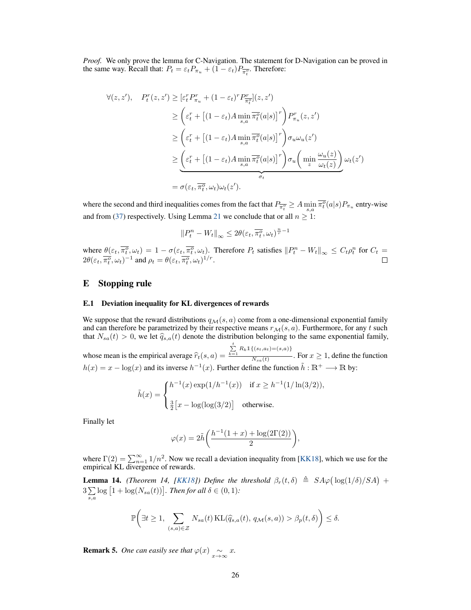*Proof.* We only prove the lemma for C-Navigation. The statement for D-Navigation can be proved in the same way. Recall that:  $P_t = \varepsilon_t P_{\pi_u} + (1 - \varepsilon_t) P_{\overline{\pi_t^o}}$ . Therefore:

$$
\forall (z, z'), \quad P_t^r(z, z') \geq [\varepsilon_t^r P_{\pi_u}^r + (1 - \varepsilon_t)^r P_{\pi_t}^r](z, z')
$$
  
\n
$$
\geq \left(\varepsilon_t^r + \left[ (1 - \varepsilon_t) A \min_{s,a} \overline{\pi_t^o}(a|s) \right]^r \right) P_{\pi_u}^r(z, z')
$$
  
\n
$$
\geq \left(\varepsilon_t^r + \left[ (1 - \varepsilon_t) A \min_{s,a} \overline{\pi_t^o}(a|s) \right]^r \right) \sigma_u \omega_u(z')
$$
  
\n
$$
\geq \underbrace{\left(\varepsilon_t^r + \left[ (1 - \varepsilon_t) A \min_{s,a} \overline{\pi_t^o}(a|s) \right]^r \right) \sigma_u \left( \min_z \frac{\omega_u(z)}{\omega_t(z)} \right)}_{\sigma_t} \omega_t(z')
$$
  
\n
$$
= \sigma(\varepsilon_t, \overline{\pi_t^o}, \omega_t) \omega_t(z').
$$

where the second and third inequalities comes from the fact that  $P_{\overline{\pi_i^o}} \ge A \min_{s,a} \overline{\pi_i^o}(a|s) P_{\pi_u}$  entry-wise and from [\(37\)](#page-24-1) respectively. Using Lemma [21](#page-39-0) we conclude that or all  $n \geq 1$ :

$$
\left\|P_t^n - W_t\right\|_\infty \le 2\theta(\varepsilon_t, \overline{\pi_t^o}, \omega_t)^{\frac{n}{r}-1}
$$

where  $\theta(\varepsilon_t, \overline{\pi_t^o}, \omega_t) = 1 - \sigma(\varepsilon_t, \overline{\pi_t^o}, \omega_t)$ . Therefore  $P_t$  satisfies  $||P_t^n - W_t||_{\infty} \le C_t \rho_t^n$  for  $C_t =$  $2\theta(\varepsilon_t, \overline{\pi_t^o}, \omega_t)^{-1}$  and  $\rho_t = \theta(\varepsilon_t, \overline{\pi_t^o}, \omega_t)^{1/r}$ .

# E Stopping rule

#### E.1 Deviation inequality for KL divergences of rewards

We suppose that the reward distributions  $q_{\mathcal{M}}(s, a)$  come from a one-dimensional exponential family and can therefore be parametrized by their respective means  $r_{\mathcal{M}}(s, a)$ . Furthermore, for any t such that  $N_{sa}(t) > 0$ , we let  $\hat{q}_{s,a}(t)$  denote the distribution belonging to the same exponential family,

whose mean is the empirical average  $\hat{r}_t(s, a) =$  $\sum_{k=1}^{t} R_k \mathbb{1}\{(s_t,a_t) = (s,a)\}$  $\frac{N_{sa}(t)}{N_{sa}(t)}$ . For  $x \ge 1$ , define the function  $h(x) = x - \log(x)$  and its inverse  $h^{-1}(x)$ . Further define the function  $\tilde{h}: \mathbb{R}^+ \longrightarrow \mathbb{R}$  by:

$$
\tilde{h}(x) = \begin{cases} h^{-1}(x) \exp(1/h^{-1}(x)) & \text{if } x \ge h^{-1}(1/\ln(3/2)), \\ & \\ \frac{3}{2} \big[ x - \log(\log(3/2)) \big] & \text{otherwise.} \end{cases}
$$

Finally let

$$
\varphi(x)=2\tilde{h}\bigg(\frac{h^{-1}(1+x)+\log(2\Gamma(2))}{2}\bigg),
$$

where  $\Gamma(2) = \sum_{n=1}^{\infty} 1/n^2$ . Now we recall a deviation inequality from [\[KK18\]](#page-11-15), which we use for the empirical KL divergence of rewards.

<span id="page-25-0"></span>**Lemma 14.** *(Theorem 14, [\[KK18\]](#page-11-15))* Define the threshold  $\beta_r(t,\delta) \triangleq SA\varphi(\log(1/\delta)/SA) +$  $3\Sigma$  $\sum_{s,a} \log [1 + \log(N_{sa}(t))]$ *. Then for all*  $\delta \in (0,1)$ *:* 

$$
\mathbb{P}\bigg(\exists t \ge 1, \sum_{(s,a)\in\mathcal{Z}} N_{sa}(t) \operatorname{KL}(\widehat{q}_{s,a}(t), q_{\mathcal{M}}(s,a)) > \beta_p(t,\delta)\bigg) \le \delta.
$$

**Remark 5.** *One can easily see that*  $\varphi(x) \sim x$ *.*  $\infty$ *x*.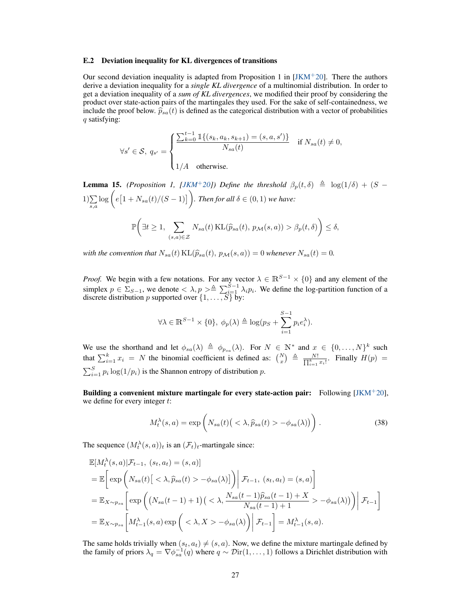#### E.2 Deviation inequality for KL divergences of transitions

Our second deviation inequality is adapted from Proposition 1 in  $JKM^+20$ . There the authors derive a deviation inequality for a *single KL divergence* of a multinomial distribution. In order to get a deviation inequality of a *sum of KL divergences*, we modified their proof by considering the product over state-action pairs of the martingales they used. For the sake of self-containedness, we include the proof below.  $\hat{p}_{sa}(t)$  is defined as the categorical distribution with a vector of probabilities q satisfying:

$$
\forall s' \in \mathcal{S}, \ q_{s'} = \begin{cases} \frac{\sum_{k=0}^{t-1} \mathbb{1}\{(s_k, a_k, s_{k+1}) = (s, a, s')\}}{N_{sa}(t)} & \text{if } N_{sa}(t) \neq 0, \\ 1/A & \text{otherwise.} \end{cases}
$$

<span id="page-26-0"></span>**Lemma 15.** *(Proposition 1, [\[JKM](#page-11-16)<sup>+</sup>20])* Define the threshold  $\beta_p(t,\delta) \triangleq \log(1/\delta) + (S \sum_{s,a} \log \bigg( e\big[1 + N_{sa}(t)/(S-1)\big] \bigg)$ . Then for all  $\delta \in (0,1)$  we have:  $\mathbb{P}\left(\exists t\geq 1, \quad \sum\right)$  $\sum_{(s,a)\in\mathcal{Z}} N_{sa}(t) \operatorname{KL}(\widehat{p}_{sa}(t), p_{\mathcal{M}}(s,a)) > \beta_p(t,\delta)$   $\leq \delta$ ,

*with the convention that*  $N_{sa}(t)$   $KL(\widehat{p}_{sa}(t), p_{\mathcal{M}}(s, a)) = 0$  *whenever*  $N_{sa}(t) = 0$ .

*Proof.* We begin with a few notations. For any vector  $\lambda \in \mathbb{R}^{S-1} \times \{0\}$  and any element of the simplex  $p \in \Sigma_{S-1}$ , we denote  $\langle \lambda, p \rangle \triangleq \sum_{i=1}^{S-1} \lambda_i p_i$ . We define the log-partition function of a discrete distribution p supported over  $\{1, \ldots, S\}$  by:

$$
\forall \lambda \in \mathbb{R}^{S-1} \times \{0\}, \ \phi_p(\lambda) \triangleq \log(p_S + \sum_{i=1}^{S-1} p_i e_i^{\lambda}).
$$

We use the shorthand and let  $\phi_{sa}(\lambda) \triangleq \phi_{p_{sa}}(\lambda)$ . For  $N \in \mathbb{N}^*$  and  $x \in \{0, ..., N\}^k$  such that  $\sum_{i=1}^{k} x_i = N$  the binomial coefficient is defined as:  $\binom{N}{x} \triangleq \frac{N!}{\prod_{i=1}^{k} x_i!}$ . Finally  $H(p) =$  $\sum_{i=1}^{S} p_i \log(1/p_i)$  is the Shannon entropy of distribution p.

Building a convenient mixture martingale for every state-action pair: Following  $[JKM^+20]$  $[JKM^+20]$ , we define for every integer  $t$ :

$$
M_t^{\lambda}(s, a) = \exp\left(N_{sa}(t) \left( \langle \lambda, \widehat{p}_{sa}(t) \rangle - \phi_{sa}(\lambda) \right) \right). \tag{38}
$$

The sequence  $(M_t^{\lambda}(s, a))_t$  is an  $(\mathcal{F}_t)_t$ -martingale since:

$$
\mathbb{E}[M_t^{\lambda}(s,a)|\mathcal{F}_{t-1}, (s_t, a_t) = (s, a)]
$$
\n
$$
= \mathbb{E}\bigg[\exp\bigg(N_{sa}(t)[<\lambda, \hat{p}_{sa}(t) > -\phi_{sa}(\lambda)]\bigg)\bigg|\mathcal{F}_{t-1}, (s_t, a_t) = (s, a)\bigg]
$$
\n
$$
= \mathbb{E}_{X \sim p_{sa}}\bigg[\exp\bigg((N_{sa}(t-1) + 1)(<\lambda, \frac{N_{sa}(t-1)\hat{p}_{sa}(t-1) + X}{N_{sa}(t-1) + 1} > -\phi_{sa}(\lambda)\bigg)\bigg|\mathcal{F}_{t-1}\bigg]
$$
\n
$$
= \mathbb{E}_{X \sim p_{sa}}\bigg[M_{t-1}^{\lambda}(s,a) \exp\bigg(<\lambda, X> -\phi_{sa}(\lambda)\bigg)\bigg|\mathcal{F}_{t-1}\bigg] = M_{t-1}^{\lambda}(s,a).
$$

The same holds trivially when  $(s_t, a_t) \neq (s, a)$ . Now, we define the mixture martingale defined by the family of priors  $\lambda_q = \nabla \phi_{sa}^{-1}(q)$  where  $q \sim \mathcal{D}\text{ir}(1,\dots,1)$  follows a Dirichlet distribution with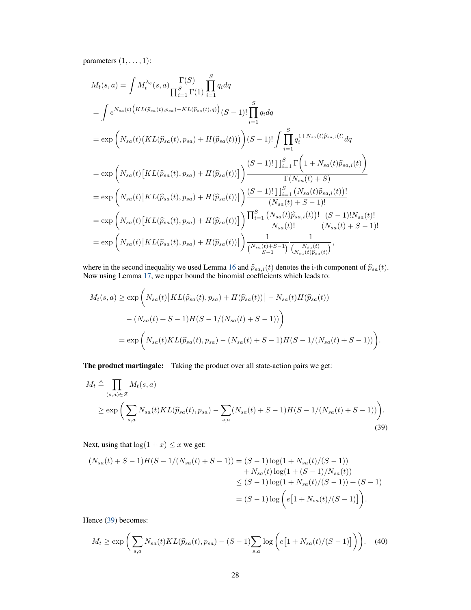parameters  $(1, \ldots, 1)$ :

$$
M_{t}(s,a) = \int M_{t}^{\lambda_{q}}(s,a) \frac{\Gamma(S)}{\prod_{i=1}^{S} \Gamma(1)} \prod_{i=1}^{S} q_{i} dq
$$
  
\n
$$
= \int e^{N_{sa}(t)} \Big(KL(\hat{p}_{sa}(t), p_{sa}) - KL(\hat{p}_{sa}(t), q)\Big)(S-1)!\prod_{i=1}^{S} q_{i} dq
$$
  
\n
$$
= \exp\left(N_{sa}(t)\Big(KL(\hat{p}_{sa}(t), p_{sa}) + H(\hat{p}_{sa}(t))\Big)\right)(S-1)!\int \prod_{i=1}^{S} q_{i}^{1+N_{sa}(t)\hat{p}_{sa,i}(t)} dq
$$
  
\n
$$
= \exp\left(N_{sa}(t)\Big[KL(\hat{p}_{sa}(t), p_{sa}) + H(\hat{p}_{sa}(t))\Big]\right)\frac{(S-1)!\prod_{i=1}^{S} \Gamma\Big(1+N_{sa}(t)\hat{p}_{sa,i}(t)\Big)}{\Gamma(N_{sa}(t)+S)}
$$
  
\n
$$
= \exp\left(N_{sa}(t)\Big[KL(\hat{p}_{sa}(t), p_{sa}) + H(\hat{p}_{sa}(t))\Big]\right)\frac{(S-1)!\prod_{i=1}^{S} (N_{sa}(t)\hat{p}_{sa,i}(t))!}{(N_{sa}(t)+S-1)!}
$$
  
\n
$$
= \exp\left(N_{sa}(t)\Big[KL(\hat{p}_{sa}(t), p_{sa}) + H(\hat{p}_{sa}(t))\Big]\right)\frac{\prod_{i=1}^{S} (N_{sa}(t)\hat{p}_{sa,i}(t))!}{N_{sa}(t)!} \cdot \frac{(S-1)!\prod_{i=1}^{S} (N_{sa}(t)\hat{p}_{sa,i}(t))!}{(N_{sa}(t)+S-1)!}
$$
  
\n
$$
= \exp\left(N_{sa}(t)\Big[KL(\hat{p}_{sa}(t), p_{sa}) + H(\hat{p}_{sa}(t))\Big]\right)\frac{1}{\binom{N_{sa}(t)+S-1}{S-1}}\frac{1}{\binom{N_{sa}(t)} \hat{p}_{sa}(t)}},
$$

where in the second inequality we used Lemma [16](#page-28-0) and  $\hat{p}_{sa,i}(t)$  denotes the i-th component of  $\hat{p}_{sa}(t)$ .<br>Now using Lemma [17,](#page-28-1) we upper bound the binomial coefficients which leads to:

$$
M_t(s, a) \ge \exp\bigg(N_{sa}(t) \big[KL(\hat{p}_{sa}(t), p_{sa}) + H(\hat{p}_{sa}(t))\big] - N_{sa}(t)H(\hat{p}_{sa}(t)) - (N_{sa}(t) + S - 1)H(S - 1/(N_{sa}(t) + S - 1))\bigg)
$$
  
=  $\exp\bigg(N_{sa}(t)KL(\hat{p}_{sa}(t), p_{sa}) - (N_{sa}(t) + S - 1)H(S - 1/(N_{sa}(t) + S - 1))\bigg).$ 

The product martingale: Taking the product over all state-action pairs we get:

$$
M_t \triangleq \prod_{(s,a)\in \mathcal{Z}} M_t(s,a)
$$
  
\n
$$
\geq \exp\left(\sum_{s,a} N_{sa}(t)KL(\widehat{p}_{sa}(t),p_{sa}) - \sum_{s,a} (N_{sa}(t) + S - 1)H(S - 1/(N_{sa}(t) + S - 1))\right).
$$
\n(39)

Next, using that  $\log(1 + x) \leq x$  we get:

<span id="page-27-0"></span>
$$
(N_{sa}(t) + S - 1)H(S - 1/(N_{sa}(t) + S - 1)) = (S - 1)\log(1 + N_{sa}(t)/(S - 1))
$$
  
+  $N_{sa}(t)\log(1 + (S - 1)/N_{sa}(t))$   
 $\leq (S - 1)\log(1 + N_{sa}(t)/(S - 1)) + (S - 1)$   
 $= (S - 1)\log(e[1 + N_{sa}(t)/(S - 1)])$ .

Hence [\(39\)](#page-27-0) becomes:

<span id="page-27-1"></span>
$$
M_t \ge \exp\bigg(\sum_{s,a} N_{sa}(t)KL(\widehat{p}_{sa}(t),p_{sa}) - (S-1)\sum_{s,a} \log\bigg(e\big[1+N_{sa}(t)/(S-1)\big]\bigg)\bigg). \tag{40}
$$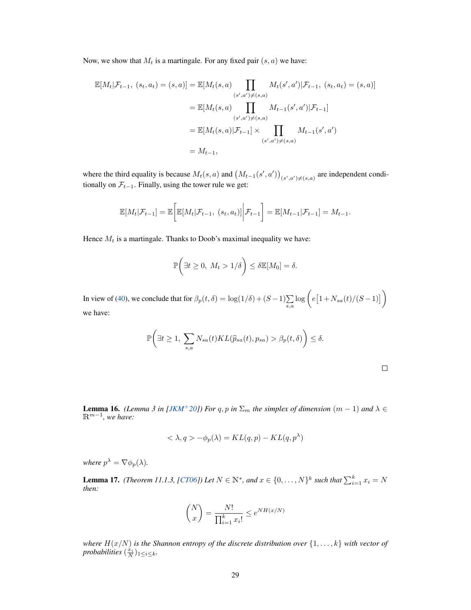Now, we show that  $M_t$  is a martingale. For any fixed pair  $(s, a)$  we have:

$$
\mathbb{E}[M_t|\mathcal{F}_{t-1}, (s_t, a_t) = (s, a)] = \mathbb{E}[M_t(s, a) \prod_{(s', a') \neq (s, a)} M_t(s', a')|\mathcal{F}_{t-1}, (s_t, a_t) = (s, a)]
$$

$$
= \mathbb{E}[M_t(s, a) \prod_{(s', a') \neq (s, a)} M_{t-1}(s', a')|\mathcal{F}_{t-1}]
$$

$$
= \mathbb{E}[M_t(s, a)|\mathcal{F}_{t-1}] \times \prod_{(s', a') \neq (s, a)} M_{t-1}(s', a')
$$

$$
= M_{t-1},
$$

where the third equality is because  $M_t(s, a)$  and  $(M_{t-1}(s', a'))_{(s', a') \neq (s, a)}$  are independent conditionally on  $\mathcal{F}_{t-1}$ . Finally, using the tower rule we get:

$$
\mathbb{E}[M_t|\mathcal{F}_{t-1}] = \mathbb{E}\bigg[\mathbb{E}[M_t|\mathcal{F}_{t-1}, (s_t, a_t)]\bigg|\mathcal{F}_{t-1}\bigg] = \mathbb{E}[M_{t-1}|\mathcal{F}_{t-1}] = M_{t-1}.
$$

Hence  $M_t$  is a martingale. Thanks to Doob's maximal inequality we have:

$$
\mathbb{P}\bigg(\exists t \geq 0, \ M_t > 1/\delta\bigg) \leq \delta \mathbb{E}[M_0] = \delta.
$$

In view of [\(40\)](#page-27-1), we conclude that for  $\beta_p(t,\delta) = \log(1/\delta) + (S-1)\sum_{s,a} \log\left(e\left[1 + N_{sa}(t)/(S-1)\right]\right)$ we have:

$$
\mathbb{P}\bigg(\exists t \ge 1, \sum_{s,a} N_{sa}(t)KL(\widehat{p}_{sa}(t), p_{sa}) > \beta_p(t,\delta)\bigg) \le \delta.
$$

<span id="page-28-0"></span>**Lemma 16.** *(Lemma 3 in [\[JKM](#page-11-16)<sup>+</sup>20]) For q, p in*  $\Sigma_m$  *the simplex of dimension*  $(m - 1)$  *and*  $\lambda \in$ Rm−1 *, we have:*

$$
\langle \lambda, q \rangle - \phi_p(\lambda) = KL(q, p) - KL(q, p^{\lambda})
$$

*where*  $p^{\lambda} = \nabla \phi_p(\lambda)$ .

<span id="page-28-1"></span>**Lemma 17.** *(Theorem 11.1.3, [\[CT06\]](#page-10-13))* Let  $N \in \mathbb{N}^*$ , and  $x \in \{0, \ldots, N\}^k$  such that  $\sum_{i=1}^k x_i = N$ *then:*

$$
\binom{N}{x} = \frac{N!}{\prod_{i=1}^k x_i!} \le e^{NH(x/N)}
$$

*where*  $H(x/N)$  *is the Shannon entropy of the discrete distribution over*  $\{1, \ldots, k\}$  *with vector of probabilities*  $(\frac{\dot{x}_i}{N})_{1 \leq i \leq k}$ .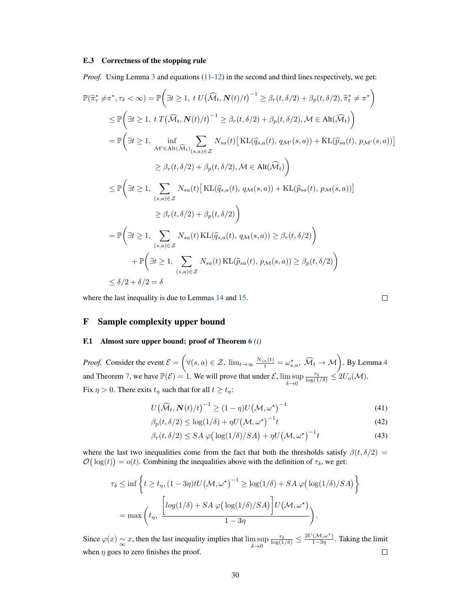#### E.3 Correctness of the stopping rule

*Proof.* Using Lemma [3](#page-4-7) and equations [\(11-](#page-7-5)[12\)](#page-7-4) in the second and third lines respectively, we get:

$$
\mathbb{P}(\hat{\pi}^*_{\tau} \neq \pi^*, \tau_{\delta} < \infty) = \mathbb{P}\Big(\exists t \geq 1, t \ U(\widehat{\mathcal{M}}_t, \mathbf{N}(t)/t)^{-1} \geq \beta_r(t, \delta/2) + \beta_p(t, \delta/2), \hat{\pi}^*_{t} \neq \pi^*\Big)
$$
\n
$$
\leq \mathbb{P}\Big(\exists t \geq 1, t \ T(\widehat{\mathcal{M}}_t, \mathbf{N}(t)/t)^{-1} \geq \beta_r(t, \delta/2) + \beta_p(t, \delta/2), \mathcal{M} \in \text{Alt}(\widehat{\mathcal{M}}_t)\Big)
$$
\n
$$
= \mathbb{P}\Big(\exists t \geq 1, t \ \text{and} \ \sum_{\mathcal{M}' \in \text{Alt}(\widehat{\mathcal{M}}_t)} \sum_{(s, a) \in \mathcal{Z}} N_{sa}(t) \big[\text{KL}(\widehat{q}_{s, a}(t), q_{\mathcal{M}'}(s, a)) + \text{KL}(\widehat{p}_{sa}(t), p_{\mathcal{M}'}(s, a))\big]
$$
\n
$$
\geq \beta_r(t, \delta/2) + \beta_p(t, \delta/2), \mathcal{M} \in \text{Alt}(\widehat{\mathcal{M}}_t)\Big)
$$
\n
$$
\leq \mathbb{P}\Big(\exists t \geq 1, \sum_{(s, a) \in \mathcal{Z}} N_{sa}(t) \big[\text{KL}(\widehat{q}_{s, a}(t), q_{\mathcal{M}}(s, a)) + \text{KL}(\widehat{p}_{sa}(t), p_{\mathcal{M}}(s, a))\big]
$$
\n
$$
\geq \beta_r(t, \delta/2) + \beta_p(t, \delta/2)\Big)
$$
\n
$$
= \mathbb{P}\Big(\exists t \geq 1, \sum_{(s, a) \in \mathcal{Z}} N_{sa}(t) \text{KL}(\widehat{q}_{s, a}(t), q_{\mathcal{M}}(s, a)) \geq \beta_r(t, \delta/2)\Big)
$$
\n
$$
+ \mathbb{P}\Big(\exists t \geq 1, \sum_{(s, a) \in \mathcal{Z}} N_{sa}(t) \text{KL}(\widehat{p}_{sa}(t), p_{\mathcal{M}}(s, a)) \geq \beta_p
$$

where the last inequality is due to Lemmas [14](#page-25-0) and [15.](#page-26-0)

$$
\qquad \qquad \Box
$$

# <span id="page-29-0"></span>F Sample complexity upper bound

# F.1 Almost sure upper bound: proof of Theorem [6](#page-7-0) *(i)*

*Proof.* Consider the event  $\mathcal{E} = \left( \forall (s, a) \in \mathcal{Z}, \ \lim_{t \to \infty} \frac{N_{sa}(t)}{t} = \omega_{s,a}^{\star}, \widehat{\mathcal{M}}_t \to \mathcal{M} \right)$ . By Lemma [4](#page-6-0) and Theorem [7,](#page-8-0) we have  $\mathbb{P}(\mathcal{E}) = 1$ . We will prove that under  $\mathcal{E}$ ,  $\limsup_{\delta \to 0}$  $\frac{\tau_{\delta}}{\log(1/\delta)} \leq 2U_o(\mathcal{M}).$ Fix  $\eta > 0$ . There exits  $t_{\eta}$  such that for all  $t \geq t_{\eta}$ :

$$
U(\widehat{\mathcal{M}}_t, \mathbf{N}(t)/t)^{-1} \ge (1 - \eta)U(\mathcal{M}, \omega^{\star})^{-1}
$$
\n(41)

$$
\beta_p(t, \delta/2) \le \log(1/\delta) + \eta U(\mathcal{M}, \omega^{\star})^{-1} t \tag{42}
$$

$$
\beta_r(t,\delta/2) \le SA \varphi \big( \log(1/\delta)/SA \big) + \eta U \big( \mathcal{M}, \omega^{\star} \big)^{-1} t \tag{43}
$$

where the last two inequalities come from the fact that both the thresholds satisfy  $\beta(t, \delta/2)$  =  $\mathcal{O}(\log(t)) = o(t)$ . Combining the inequalities above with the definition of  $\tau_{\delta}$ , we get:

$$
\tau_{\delta} \le \inf \left\{ t \ge t_{\eta}, (1 - 3\eta) tU(\mathcal{M}, \omega^{\star})^{-1} \ge \log(1/\delta) + SA \varphi\left(\log(1/\delta)/SA\right) \right\}
$$

$$
= \max \left( t_{\eta}, \frac{\left[ \log(1/\delta) + SA \varphi\left(\log(1/\delta)/SA\right) \right] U(\mathcal{M}, \omega^{\star})}{1 - 3\eta} \right).
$$

 $\frac{\tau_{\delta}}{\log(1/\delta)} \leq \frac{2U(\mathcal{M}, \omega^{\star})}{1-3\eta}$ Since  $\varphi(x) \sim x$ , then the last inequality implies that  $\limsup_{\delta \to 0}$  $\frac{(M,\omega)}{1-3\eta}$ . Taking the limit when  $\eta$  goes to zero finishes the proof.  $\Box$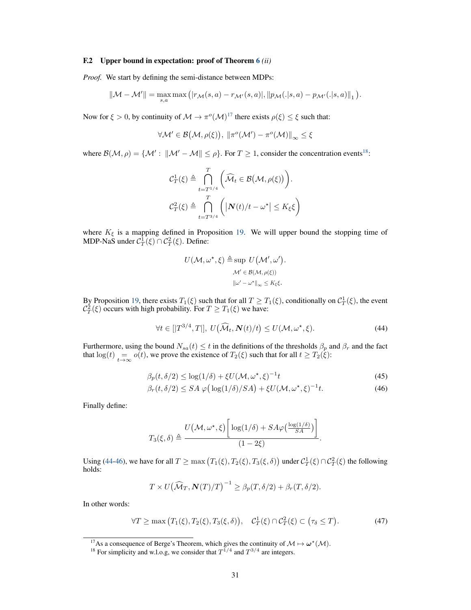#### F.2 Upper bound in expectation: proof of Theorem [6](#page-7-0) *(ii)*

*Proof.* We start by defining the semi-distance between MDPs:

$$
\|\mathcal{M}-\mathcal{M}'\|=\max_{s,a}\max\left(|r_{\mathcal{M}}(s,a)-r_{\mathcal{M}'}(s,a)|,||p_{\mathcal{M}}(.|s,a)-p_{\mathcal{M}'}(.|s,a)||_1\right).
$$

Now for  $\xi > 0$ , by continuity of  $\mathcal{M} \to \pi^o(\mathcal{M})^{17}$  $\mathcal{M} \to \pi^o(\mathcal{M})^{17}$  $\mathcal{M} \to \pi^o(\mathcal{M})^{17}$  there exists  $\rho(\xi) \leq \xi$  such that:

$$
\forall \mathcal{M}' \in \mathcal{B}(\mathcal{M}, \rho(\xi)), \, \|\pi^o(\mathcal{M}') - \pi^o(\mathcal{M})\|_{\infty} \leq \xi
$$

where  $\mathcal{B}(\mathcal{M}, \rho) = \{ \mathcal{M}' : ||\mathcal{M}' - \mathcal{M}|| \leq \rho \}$ . For  $T \geq 1$ , consider the concentration events<sup>[18](#page-30-1)</sup>:

$$
\mathcal{C}_{T}^{1}(\xi) \triangleq \bigcap_{t=T^{1/4}}^{T} \left( \widehat{\mathcal{M}}_{t} \in \mathcal{B}(\mathcal{M}, \rho(\xi)) \right).
$$
  

$$
\mathcal{C}_{T}^{2}(\xi) \triangleq \bigcap_{t=T^{3/4}}^{T} \left( \left| N(t)/t - \omega^{\star} \right| \leq K_{\xi} \xi \right)
$$

where  $K_{\xi}$  is a mapping defined in Proposition [19.](#page-34-0) We will upper bound the stopping time of MDP-NaS under  $C_T^1(\xi) \cap C_T^2(\xi)$ . Define:

$$
U(\mathcal{M}, \omega^*, \xi) \triangleq \sup U(\mathcal{M}', \omega').
$$

$$
\mathcal{M}' \in \mathcal{B}(\mathcal{M}, \rho(\xi))
$$

$$
\|\omega' - \omega^*\|_{\infty} \le K_{\xi}\xi.
$$

By Proposition [19,](#page-34-0) there exists  $T_1(\xi)$  such that for all  $T \geq T_1(\xi)$ , conditionally on  $C_T^1(\xi)$ , the event  $\mathcal{C}_T^2(\xi)$  occurs with high probability. For  $T \geq T_1(\xi)$  we have:

$$
\forall t \in [[T^{3/4},T]], \ U(\widehat{\mathcal{M}}_t, \mathbf{N}(t)/t) \le U(\mathcal{M}, \omega^\star, \xi). \tag{44}
$$

Furthermore, using the bound  $N_{sa}(t) \le t$  in the definitions of the thresholds  $\beta_p$  and  $\beta_r$  and the fact that  $\log(t)$  =  $o(t)$ , we prove the existence of  $T_2(\xi)$  such that for all  $t \geq T_2(\xi)$ :

$$
\beta_p(t, \delta/2) \le \log(1/\delta) + \xi U(\mathcal{M}, \omega^\star, \xi)^{-1} t \tag{45}
$$

$$
\beta_r(t, \delta/2) \le SA \varphi \big( \log(1/\delta)/SA \big) + \xi U(\mathcal{M}, \omega^\star, \xi)^{-1} t. \tag{46}
$$

<span id="page-30-3"></span><span id="page-30-2"></span>.

Finally define:

$$
T_3(\xi, \delta) \triangleq \frac{U(\mathcal{M}, \omega^*, \xi) \left[ \log(1/\delta) + SA\varphi\left(\frac{\log(1/\delta)}{SA}\right) \right]}{(1 - 2\xi)}
$$

Using [\(44-](#page-30-2)[46\)](#page-30-3), we have for all  $T \ge \max(T_1(\xi), T_2(\xi), T_3(\xi, \delta))$  under  $C_T^1(\xi) \cap C_T^2(\xi)$  the following holds:

$$
T \times U(\widehat{\mathcal{M}}_T, \mathbf{N}(T)/T)^{-1} \ge \beta_p(T, \delta/2) + \beta_r(T, \delta/2).
$$

In other words:

$$
\forall T \ge \max\left(T_1(\xi), T_2(\xi), T_3(\xi, \delta)\right), \quad \mathcal{C}_T^1(\xi) \cap \mathcal{C}_T^2(\xi) \subset \left(\tau_{\delta} \le T\right). \tag{47}
$$

<span id="page-30-0"></span><sup>&</sup>lt;sup>17</sup>As a consequence of Berge's Theorem, which gives the continuity of  $M \mapsto \omega^* (M)$ .

<span id="page-30-1"></span><sup>&</sup>lt;sup>18</sup> For simplicity and w.l.o.g, we consider that  $T^{1/4}$  and  $T^{3/4}$  are integers.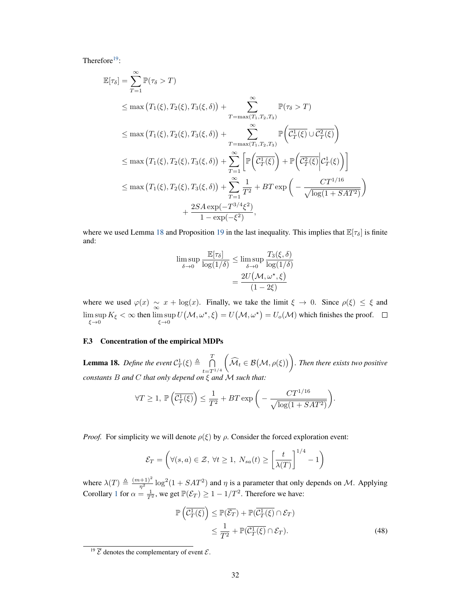Therefore $19$ :

$$
\mathbb{E}[\tau_{\delta}] = \sum_{T=1}^{\infty} \mathbb{P}(\tau_{\delta} > T)
$$
\n
$$
\leq \max (T_{1}(\xi), T_{2}(\xi), T_{3}(\xi, \delta)) + \sum_{T=\max(T_{1}, T_{2}, T_{3})}^{\infty} \mathbb{P}(\tau_{\delta} > T)
$$
\n
$$
\leq \max (T_{1}(\xi), T_{2}(\xi), T_{3}(\xi, \delta)) + \sum_{T=\max(T_{1}, T_{2}, T_{3})}^{\infty} \mathbb{P}(\overline{C_{T}^{1}(\xi)} \cup \overline{C_{T}^{2}(\xi)})
$$
\n
$$
\leq \max (T_{1}(\xi), T_{2}(\xi), T_{3}(\xi, \delta)) + \sum_{T=1}^{\infty} \left[ \mathbb{P}(\overline{C_{T}^{1}(\xi)} + \mathbb{P}(\overline{C_{T}^{2}(\xi)} | C_{T}^{1}(\xi)) \right]
$$
\n
$$
\leq \max (T_{1}(\xi), T_{2}(\xi), T_{3}(\xi, \delta)) + \sum_{T=1}^{\infty} \frac{1}{T^{2}} + BT \exp(-\frac{CT^{1/16}}{\sqrt{\log(1 + SAT^{2})}})
$$
\n
$$
+ \frac{2SA \exp(-T^{3/4}\xi^{2})}{1 - \exp(-\xi^{2})},
$$

where we used Lemma [18](#page-31-0) and Proposition [19](#page-34-0) in the last inequality. This implies that  $\mathbb{E}[\tau_{\delta}]$  is finite and:

$$
\limsup_{\delta \to 0} \frac{\mathbb{E}[\tau_{\delta}]}{\log(1/\delta)} \le \limsup_{\delta \to 0} \frac{T_{3}(\xi, \delta)}{\log(1/\delta)}
$$

$$
= \frac{2U(\mathcal{M}, \omega^*, \xi)}{(1 - 2\xi)}
$$

where we used  $\varphi(x) \approx x + \log(x)$ . Finally, we take the limit  $\xi \to 0$ . Since  $\rho(\xi) \le \xi$  and  $\limsup_{\xi \to 0} K_{\xi} < \infty$  then  $\limsup_{\xi \to 0} U(\mathcal{M}, \omega^*, \xi) = U(\mathcal{M}, \omega^*) = U_o(\mathcal{M})$  which finishes the proof.

# F.3 Concentration of the empirical MDPs

<span id="page-31-0"></span>**Lemma 18.** Define the event  $C_T^1(\xi) \triangleq \bigcap_{i=1}^T$  $t = T^{1/4}$  $\left( \widehat{\mathcal{M}}_t \in \mathcal{B}\big(\mathcal{M}, \rho(\xi)\big) \right)$ . Then there exists two positive *constants* B *and* C *that only depend on* ξ *and* M *such that:*

$$
\forall T \ge 1, \ \mathbb{P}\left(\overline{\mathcal{C}_T^1(\xi)}\right) \le \frac{1}{T^2} + BT \exp\bigg(-\frac{CT^{1/16}}{\sqrt{\log(1 + SAT^2)}}\bigg).
$$

*Proof.* For simplicity we will denote  $\rho(\xi)$  by  $\rho$ . Consider the forced exploration event:

$$
\mathcal{E}_T = \left(\forall (s, a) \in \mathcal{Z}, \ \forall t \ge 1, \ N_{sa}(t) \ge \left[\frac{t}{\lambda(T)}\right]^{1/4} - 1\right)
$$

where  $\lambda(T) \triangleq \frac{(m+1)^2}{\eta^2} \log^2(1 + SAT^2)$  and  $\eta$  is a parameter that only depends on M. Applying Corollary [1](#page-19-2) for  $\alpha = \frac{1}{T^2}$ , we get  $\mathbb{P}(\mathcal{E}_T) \ge 1 - 1/T^2$ . Therefore we have:

<span id="page-31-2"></span>
$$
\mathbb{P}\left(\overline{\mathcal{C}_T^1(\xi)}\right) \leq \mathbb{P}(\overline{\mathcal{E}_T}) + \mathbb{P}(\overline{\mathcal{C}_T^1(\xi)} \cap \mathcal{E}_T) \leq \frac{1}{T^2} + \mathbb{P}(\overline{\mathcal{C}_T^1(\xi)} \cap \mathcal{E}_T).
$$
\n(48)

<span id="page-31-1"></span> $\frac{19}{5}$  denotes the complementary of event  $\mathcal{E}$ .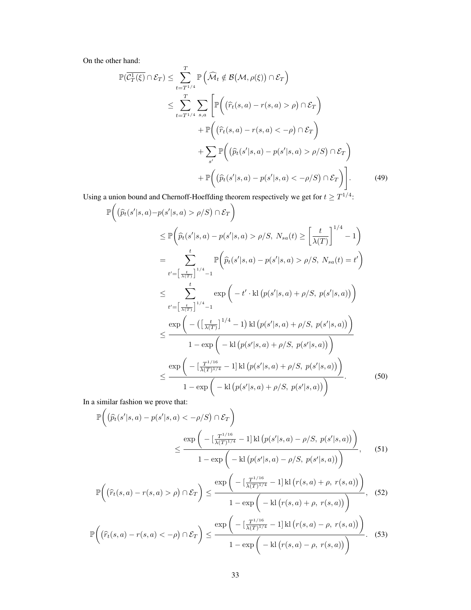On the other hand:

$$
\mathbb{P}(\overline{\mathcal{C}_T^1(\xi)} \cap \mathcal{E}_T) \leq \sum_{t=T^{1/4}}^T \mathbb{P}\left(\widehat{\mathcal{M}}_t \notin \mathcal{B}(\mathcal{M}, \rho(\xi)) \cap \mathcal{E}_T\right)
$$
\n
$$
\leq \sum_{t=T^{1/4}}^T \sum_{s,a} \left[ \mathbb{P}\left((\widehat{r}_t(s,a) - r(s,a) > \rho) \cap \mathcal{E}_T\right) + \mathbb{P}\left((\widehat{r}_t(s,a) - r(s,a) < -\rho) \cap \mathcal{E}_T\right) + \sum_{s'} \mathbb{P}\left((\widehat{p}_t(s'|s,a) - p(s'|s,a) > \rho/S) \cap \mathcal{E}_T\right) + \mathbb{P}\left((\widehat{p}_t(s'|s,a) - p(s'|s,a) < -\rho/S) \cap \mathcal{E}_T\right)\right].
$$
\n(49)

Using a union bound and Chernoff-Hoeffding theorem respectively we get for  $t \geq T^{1/4}$ :

<span id="page-32-0"></span>
$$
\mathbb{P}\left((\hat{p}_{t}(s'|s,a)-p(s'|s,a) > \rho/S) \cap \mathcal{E}_{T}\right)
$$
\n
$$
\leq \mathbb{P}\left(\hat{p}_{t}(s'|s,a) - p(s'|s,a) > \rho/S, N_{sa}(t) \geq \left[\frac{t}{\lambda(T)}\right]^{1/4} - 1\right)
$$
\n
$$
= \sum_{t'=\left[\frac{t}{\lambda(T)}\right]^{1/4} - 1}^{t} \mathbb{P}\left(\hat{p}_{t}(s'|s,a) - p(s'|s,a) > \rho/S, N_{sa}(t) = t'\right)
$$
\n
$$
\leq \sum_{t'=\left[\frac{t}{\lambda(T)}\right]^{1/4} - 1}^{t} \exp\left(-t' \cdot \text{kl}\left(p(s'|s,a) + \rho/S, p(s'|s,a)\right)\right)
$$
\n
$$
\leq \frac{\exp\left(-\left(\left[\frac{t}{\lambda(T)}\right]^{1/4} - 1\right) \text{kl}\left(p(s'|s,a) + \rho/S, p(s'|s,a)\right)\right)}{1 - \exp\left(-\text{kl}\left(p(s'|s,a) + \rho/S, p(s'|s,a)\right)\right)}
$$
\n
$$
\leq \frac{\exp\left(-\left[\frac{T^{1/16}}{\lambda(T)^{1/4}} - 1\right] \text{kl}\left(p(s'|s,a) + \rho/S, p(s'|s,a)\right)\right)}{1 - \exp\left(-\text{kl}\left(p(s'|s,a) + \rho/S, p(s'|s,a)\right)\right)}.\tag{50}
$$

In a similar fashion we prove that:

<span id="page-32-1"></span>
$$
\mathbb{P}\left((\hat{p}_{t}(s'|s,a) - p(s'|s,a) < -\rho/S) \cap \mathcal{E}_{T}\right) \leq \frac{\exp\left(-\left[\frac{T^{1/16}}{\lambda(T)^{1/4}} - 1\right]k\left(p(s'|s,a) - \rho/S, p(s'|s,a)\right)\right)}{1 - \exp\left(-k\left(p(s'|s,a) - \rho/S, p(s'|s,a)\right)\right)}, \quad (51)
$$
\n
$$
\mathbb{P}\left((\hat{r}_{t}(s,a) - r(s,a) > \rho) \cap \mathcal{E}_{T}\right) \leq \frac{\exp\left(-\left[\frac{T^{1/16}}{\lambda(T)^{1/4}} - 1\right]k\left(r(s,a) + \rho, r(s,a)\right)\right)}{1 - \exp\left(-k\left(r(s,a) + \rho, r(s,a)\right)\right)}, \quad (52)
$$
\n
$$
\mathbb{P}\left((\hat{r}_{t}(s,a) - r(s,a) < -\rho) \cap \mathcal{E}_{T}\right) \leq \frac{\exp\left(-\left[\frac{T^{1/16}}{\lambda(T)^{1/4}} - 1\right]k\left(r(s,a) - \rho, r(s,a)\right)\right)}{1 - \exp\left(-k\left(r(s,a) - \rho, r(s,a)\right)\right)}.
$$
\n
$$
(53)
$$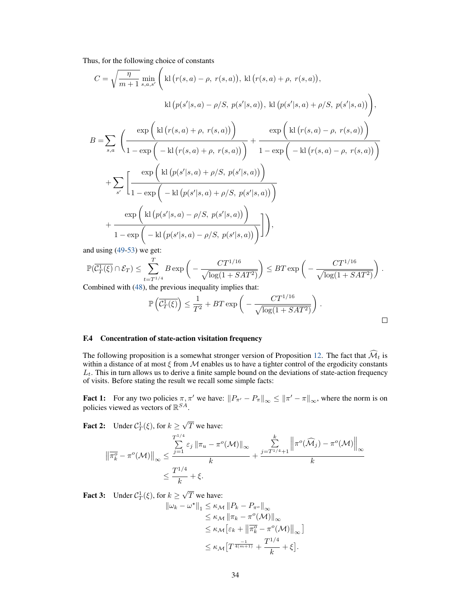Thus, for the following choice of constants

$$
C = \sqrt{\frac{\eta}{m+1}} \min_{s,a,s'} \left( \text{kl}(r(s,a) - \rho, r(s,a)), \text{kl}(r(s,a) + \rho, r(s,a)), \text{kl}(p(s'|s,a) - \rho/S, p(s'|s,a)), \text{kl}(p(s'|s,a) + \rho/S, p(s'|s,a)) \right), \text{kl}(p(s'|s,a) - \rho/S, p(s'|s,a)), \text{kl}(p(s'|s,a) + \rho/S, p(s'|s,a)) \right), \nB = \sum_{s,a} \left( \frac{\exp\left( \text{kl}(r(s,a) + \rho, r(s,a)) \right)}{1 - \exp\left( -\text{kl}(r(s,a) - \rho, r(s,a)) \right)} + \frac{\exp\left( \text{kl}(r(s,a) - \rho, r(s,a)) \right)}{1 - \exp\left( -\text{kl}(r(s,a) + \rho/S, p(s'|s,a)) \right)} + \sum_{s'} \left[ \frac{\exp\left( \text{kl}(p(s'|s,a) + \rho/S, p(s'|s,a)) \right)}{1 - \exp\left( -\text{kl}(p(s'|s,a) - \rho/S, p(s'|s,a)) \right)} \right],
$$

and using [\(49-](#page-32-0)[53\)](#page-32-1) we get:

$$
\mathbb{P}(\overline{\mathcal{C}_T^1(\xi)} \cap \mathcal{E}_T) \le \sum_{t=T^{1/4}}^T B \exp\bigg(-\frac{CT^{1/16}}{\sqrt{\log(1+SAT^2)}}\bigg) \le BT \exp\bigg(-\frac{CT^{1/16}}{\sqrt{\log(1+SAT^2)}}\bigg).
$$

Combined with [\(48\)](#page-31-2), the previous inequality implies that:

$$
\mathbb{P}\left(\overline{\mathcal{C}_T^1(\xi)}\right) \le \frac{1}{T^2} + BT \exp\left(-\frac{CT^{1/16}}{\sqrt{\log(1 + SAT^2)}}\right).
$$

# F.4 Concentration of state-action visitation frequency

The following proposition is a somewhat stronger version of Proposition [12.](#page-21-0) The fact that  $\widehat{\mathcal{M}}_t$  is within a distance of at most  $\xi$  from  $M$  enables us to have a tighter control of the ergodicity constants  $L_t$ . This in turn allows us to derive a finite sample bound on the deviations of state-action frequency of visits. Before stating the result we recall some simple facts:

**Fact 1:** For any two policies  $\pi, \pi'$  we have:  $||P_{\pi'} - P_{\pi}||_{\infty} \le ||\pi' - \pi||_{\infty}$ , where the norm is on policies viewed as vectors of  $\mathbb{R}^{SA}$ .

**Fact 2:** Under  $C_T^1(\xi)$ , for  $k \geq$ √ T we have:

$$
\left\|\overline{\pi_k^o} - \pi^o(\mathcal{M})\right\|_{\infty} \le \frac{\sum_{j=1}^{T^{1/4}} \varepsilon_j \left\|\pi_u - \pi^o(\mathcal{M})\right\|_{\infty}}{k} + \frac{\sum_{j=T^{1/4}+1}^k \left\|\pi^o(\widehat{\mathcal{M}}_j) - \pi^o(\mathcal{M})\right\|_{\infty}}{k}
$$

$$
\le \frac{T^{1/4}}{k} + \xi.
$$

**Fact 3:** Under  $C_T^1(\xi)$ , for  $k \geq$ √ T we have:

$$
\begin{aligned} \|\omega_k - \omega^{\star}\|_1 &\leq \kappa_{\mathcal{M}} \|P_k - P_{\pi^o}\|_{\infty} \\ &\leq \kappa_{\mathcal{M}} \|\pi_k - \pi^o(\mathcal{M})\|_{\infty} \\ &\leq \kappa_{\mathcal{M}} \big[\varepsilon_k + \left\|\overline{\pi}_k^o - \pi^o(\mathcal{M})\right\|_{\infty}\big] \\ &\leq \kappa_{\mathcal{M}} \big[T^{\frac{-1}{4(m+1)}} + \frac{T^{1/4}}{k} + \xi\big]. \end{aligned}
$$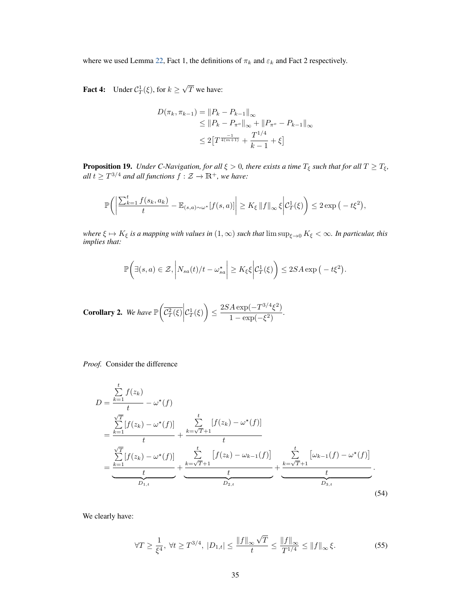where we used Lemma [22,](#page-40-0) Fact 1, the definitions of  $\pi_k$  and  $\varepsilon_k$  and Fact 2 respectively.

**Fact 4:** Under  $C_T^1(\xi)$ , for  $k \geq$ √  $T$  we have:

$$
D(\pi_k, \pi_{k-1}) = ||P_k - P_{k-1}||_{\infty}
$$
  
\n
$$
\leq ||P_k - P_{\pi^o}||_{\infty} + ||P_{\pi^o} - P_{k-1}||_{\infty}
$$
  
\n
$$
\leq 2[T^{\frac{-1}{4(m+1)}} + \frac{T^{1/4}}{k-1} + \xi]
$$

<span id="page-34-0"></span>**Proposition 19.** *Under C-Navigation, for all*  $\xi > 0$ , there exists a time  $T_{\xi}$  such that for all  $T \geq T_{\xi}$ ,  $all \ t \geq T^{3/4}$  and all functions  $f: \mathcal{Z} \to \mathbb{R}^+$ , we have:

$$
\mathbb{P}\bigg(\bigg|\frac{\sum_{k=1}^t f(s_k, a_k)}{t} - \mathbb{E}_{(s,a)\sim\omega^\star}[f(s,a)]\bigg| \ge K_\xi \|f\|_\infty \xi \bigg|\mathcal{C}_T^1(\xi)\bigg) \le 2\exp\big(-t\xi^2\big),
$$

*where*  $\xi \mapsto K_{\xi}$  *is a mapping with values in*  $(1, \infty)$  *such that*  $\limsup_{\xi \to 0} K_{\xi} < \infty$ *. In particular, this implies that:*

$$
\mathbb{P}\bigg(\exists (s,a)\in\mathcal{Z},\left|N_{sa}(t)/t-\omega_{sa}^{\star}\right|\geq K_{\xi}\xi\bigg|\mathcal{C}_{T}^{1}(\xi)\bigg)\leq 2SA\exp\big(-t\xi^{2}\big).
$$

**Corollary 2.** We have  $\mathbb{P}\left(\overline{\mathcal{C}_T^2(\xi)}\middle|\right)$  $\mathcal{C}_T^1(\xi)$   $\leq \frac{2SA \exp(-T^{3/4}\xi^2)}{1-\exp(-\xi^2)}$  $\frac{1 - \exp(-\xi^2)}{1 - \exp(-\xi^2)}$ .

*Proof.* Consider the difference

$$
D = \frac{\sum_{k=1}^{t} f(z_k)}{t} - \omega^*(f)
$$
  
=  $\frac{\sum_{k=1}^{\sqrt{T}} [f(z_k) - \omega^*(f)]}{t} + \frac{\sum_{k=\sqrt{T}+1}^{t} [f(z_k) - \omega^*(f)]}{t}$   
=  $\frac{\sum_{k=1}^{\sqrt{T}} [f(z_k) - \omega^*(f)]}{t} + \frac{\sum_{k=\sqrt{T}+1}^{t} [f(z_k) - \omega_{k-1}(f)]}{t} + \frac{\sum_{k=\sqrt{T}+1}^{t} [\omega_{k-1}(f) - \omega^*(f)]}{t}$   
=  $\frac{t}{D_{1,t}}$  (54)

We clearly have:

<span id="page-34-1"></span>
$$
\forall T \ge \frac{1}{\xi^4}, \ \forall t \ge T^{3/4}, \ |D_{1,t}| \le \frac{\|f\|_{\infty}\sqrt{T}}{t} \le \frac{\|f\|_{\infty}}{T^{1/4}} \le \|f\|_{\infty}\xi. \tag{55}
$$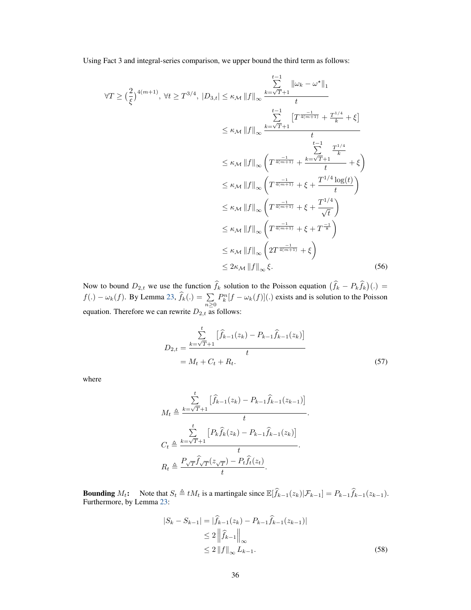Using Fact 3 and integral-series comparison, we upper bound the third term as follows:

$$
\forall T \ge \left(\frac{2}{\xi}\right)^{4(m+1)}, \forall t \ge T^{3/4}, |D_{3,t}| \le \kappa_{\mathcal{M}} \|f\|_{\infty} \frac{\sum_{k=\sqrt{T}+1}^{t-1} \|\omega_{k} - \omega^{\star}\|_{1}}{t}
$$
  

$$
\le \kappa_{\mathcal{M}} \|f\|_{\infty} \frac{\sum_{k=\sqrt{T}+1}^{t-1} \left[T^{\frac{-1}{4(m+1)}} + \frac{T^{1/4}}{k} + \xi\right]}{t}
$$
  

$$
\le \kappa_{\mathcal{M}} \|f\|_{\infty} \left(T^{\frac{-1}{4(m+1)}} + \frac{\sum_{k=\sqrt{T}+1}^{t-1} \frac{T^{1/4}}{k}}{t} + \xi\right)
$$
  

$$
\le \kappa_{\mathcal{M}} \|f\|_{\infty} \left(T^{\frac{-1}{4(m+1)}} + \xi + \frac{T^{1/4} \log(t)}{t}\right)
$$
  

$$
\le \kappa_{\mathcal{M}} \|f\|_{\infty} \left(T^{\frac{-1}{4(m+1)}} + \xi + \frac{T^{1/4}}{\sqrt{t}}\right)
$$
  

$$
\le \kappa_{\mathcal{M}} \|f\|_{\infty} \left(T^{\frac{-1}{4(m+1)}} + \xi + T^{\frac{-1}{8}}\right)
$$
  

$$
\le \kappa_{\mathcal{M}} \|f\|_{\infty} \left(T^{\frac{-1}{4(m+1)}} + \xi + T^{\frac{-1}{8}}\right)
$$
  

$$
\le \kappa_{\mathcal{M}} \|f\|_{\infty} \left(2T^{\frac{-1}{4(m+1)}} + \xi\right)
$$
  

$$
\le 2\kappa_{\mathcal{M}} \|f\|_{\infty} \xi.
$$
 (56)

Now to bound  $D_{2,t}$  we use the function  $f_k$  solution to the Poisson equation  $(f_k - P_k f_k)(.) =$  $f(.) - \omega_k(f)$ . By Lemma [23,](#page-40-1)  $f_k(.) = \sum_{n \ge 0}$  $P_k^n[f - \omega_k(f)]$ (.) exists and is solution to the Poisson equation. Therefore we can rewrite  $D_{2,t}$  as follows:

$$
D_{2,t} = \frac{\sum_{k=\sqrt{T}+1}^{t} \left[ \hat{f}_{k-1}(z_k) - P_{k-1} \hat{f}_{k-1}(z_k) \right]}{t}
$$
  
=  $M_t + C_t + R_t.$  (57)

where

$$
M_t \triangleq \frac{\sum_{k=\sqrt{T}+1}^{t} \left[ \hat{f}_{k-1}(z_k) - P_{k-1} \hat{f}_{k-1}(z_{k-1}) \right]}{t}.
$$
  

$$
C_t \triangleq \frac{\sum_{k=\sqrt{T}+1}^{t} \left[ P_k \hat{f}_k(z_k) - P_{k-1} \hat{f}_{k-1}(z_k) \right]}{t}.
$$
  

$$
R_t \triangleq \frac{P_{\sqrt{T}} \hat{f}_{\sqrt{T}}(z_{\sqrt{T}}) - P_t \hat{f}_t(z_t)}{t}.
$$

**Bounding**  $M_t$ : Note that  $S_t \triangleq tM_t$  is a martingale since  $\mathbb{E}[\hat{f}_{k-1}(z_k)|\mathcal{F}_{k-1}] = P_{k-1}\hat{f}_{k-1}(z_{k-1})$ .<br>Furthermore, by Lemma [23:](#page-40-1)

<span id="page-35-0"></span>
$$
|S_{k} - S_{k-1}| = |\hat{f}_{k-1}(z_{k}) - P_{k-1}\hat{f}_{k-1}(z_{k-1})|
$$
  
\n
$$
\leq 2 \left\| \hat{f}_{k-1} \right\|_{\infty}
$$
  
\n
$$
\leq 2 \left\| f \right\|_{\infty} L_{k-1}.
$$
\n(58)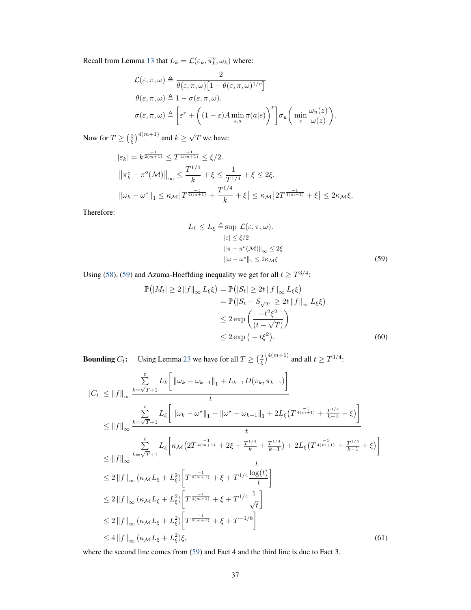Recall from Lemma [13](#page-24-0) that  $L_k = \mathcal{L}(\varepsilon_k, \overline{\pi_k^o}, \omega_k)$  where:

$$
\mathcal{L}(\varepsilon, \pi, \omega) \triangleq \frac{2}{\theta(\varepsilon, \pi, \omega) \left[1 - \theta(\varepsilon, \pi, \omega)^{1/r}\right]}
$$

$$
\theta(\varepsilon, \pi, \omega) \triangleq 1 - \sigma(\varepsilon, \pi, \omega).
$$

$$
\sigma(\varepsilon, \pi, \omega) \triangleq \left[\varepsilon^r + \left((1 - \varepsilon)A \min_{s,a} \pi(a|s)\right)^r\right] \sigma_u\left(\min_z \frac{\omega_u(z)}{\omega(z)}\right).
$$

Now for  $T \geq (\frac{2}{\xi})^{4(m+1)}$  and  $k \geq \sqrt{2}$ T we have:

$$
|\varepsilon_{k}| = k^{\frac{-1}{2(m+1)}} \le T^{\frac{-1}{4(m+1)}} \le \xi/2.
$$
  

$$
\left\| \overline{\pi_{k}^{o}} - \pi^{o}(\mathcal{M}) \right\|_{\infty} \le \frac{T^{1/4}}{k} + \xi \le \frac{1}{T^{1/4}} + \xi \le 2\xi.
$$
  

$$
\left\| \omega_{k} - \omega^{\star} \right\|_{1} \le \kappa_{\mathcal{M}} \left[ T^{\frac{-1}{4(m+1)}} + \frac{T^{1/4}}{k} + \xi \right] \le \kappa_{\mathcal{M}} \left[ 2T^{\frac{-1}{4(m+1)}} + \xi \right] \le 2\kappa_{\mathcal{M}}\xi.
$$

Therefore:

<span id="page-36-0"></span>
$$
L_k \le L_{\xi} \triangleq \sup \mathcal{L}(\varepsilon, \pi, \omega).
$$
  
\n
$$
|\varepsilon| \le \xi/2
$$
  
\n
$$
\|\pi - \pi^o(\mathcal{M})\|_{\infty} \le 2\xi
$$
  
\n
$$
\|\omega - \omega^*\|_1 \le 2\kappa_{\mathcal{M}}\xi
$$
 (59)

Using [\(58\)](#page-35-0), [\(59\)](#page-36-0) and Azuma-Hoeffding inequality we get for all  $t \geq T^{3/4}$ :

$$
\mathbb{P}\left(|M_t| \ge 2 \|f\|_{\infty} L_{\xi} \xi\right) = \mathbb{P}\left(|S_t| \ge 2t \|f\|_{\infty} L_{\xi} \xi\right)
$$
  
\n
$$
= \mathbb{P}\left(|S_t - S_{\sqrt{T}}| \ge 2t \|f\|_{\infty} L_{\xi} \xi\right)
$$
  
\n
$$
\le 2 \exp\left(\frac{-t^2 \xi^2}{(t - \sqrt{T})}\right)
$$
  
\n
$$
\le 2 \exp\left(-t \xi^2\right).
$$
 (60)

**Bounding**  $C_t$ : Using Lemma [23](#page-40-1) we have for all  $T \ge \left(\frac{2}{\xi}\right)^{4(m+1)}$  and all  $t \ge T^{3/4}$ :

$$
|C_{t}| \leq ||f||_{\infty} \frac{\sum_{k=\sqrt{T}+1}^{t} L_{k} \left[ ||\omega_{k} - \omega_{k-1}||_{1} + L_{k-1}D(\pi_{k}, \pi_{k-1}) \right]}{t}
$$
  
\n
$$
\leq ||f||_{\infty} \frac{\sum_{k=\sqrt{T}+1}^{t} L_{\xi} \left[ ||\omega_{k} - \omega^{*}||_{1} + ||\omega^{*} - \omega_{k-1}||_{1} + 2L_{\xi} \left( T^{\frac{-1}{4(n+1)}} + \frac{T^{1/4}}{k-1} + \xi \right) \right]}{t}
$$
  
\n
$$
\leq ||f||_{\infty} \frac{\sum_{k=\sqrt{T}+1}^{t} L_{\xi} \left[ \kappa_{\mathcal{M}} \left( 2T^{\frac{-1}{4(n+1)}} + 2\xi + \frac{T^{1/4}}{k} + \frac{T^{1/4}}{k-1} \right) + 2L_{\xi} \left( T^{\frac{-1}{4(n+1)}} + \frac{T^{1/4}}{k-1} + \xi \right) \right]}{t}
$$
  
\n
$$
\leq 2 ||f||_{\infty} \left( \kappa_{\mathcal{M}} L_{\xi} + L_{\xi}^{2} \right) \left[ T^{\frac{-1}{4(n+1)}} + \xi + T^{1/4} \frac{\log(t)}{t} \right]
$$
  
\n
$$
\leq 2 ||f||_{\infty} \left( \kappa_{\mathcal{M}} L_{\xi} + L_{\xi}^{2} \right) \left[ T^{\frac{-1}{4(n+1)}} + \xi + T^{1/4} \frac{1}{\sqrt{t}} \right]
$$
  
\n
$$
\leq 2 ||f||_{\infty} \left( \kappa_{\mathcal{M}} L_{\xi} + L_{\xi}^{2} \right) \left[ T^{\frac{-1}{4(n+1)}} + \xi + T^{-1/8} \right]
$$
  
\n
$$
\leq 4 ||f||_{\infty} \left( \kappa_{\mathcal{M}} L_{\xi} + L_{\xi}^{2} \right) \xi,
$$
  
\n(61)

where the second line comes from [\(59\)](#page-36-0) and Fact 4 and the third line is due to Fact 3.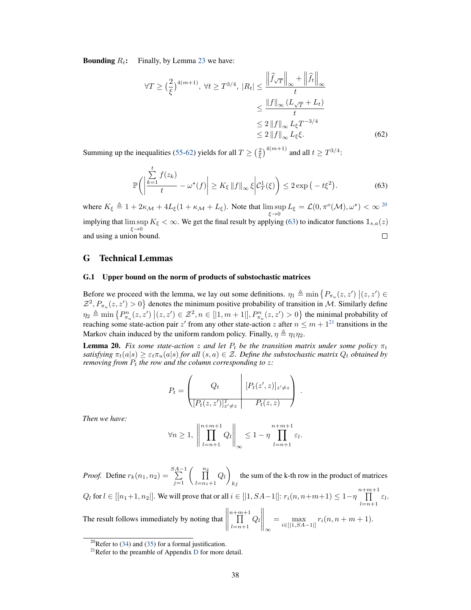**Bounding**  $R_t$ : Finally, by Lemma [23](#page-40-1) we have:

<span id="page-37-1"></span>
$$
\forall T \ge \left(\frac{2}{\xi}\right)^{4(m+1)}, \forall t \ge T^{3/4}, \ |R_t| \le \frac{\left\|\widehat{f}_{\sqrt{T}}\right\|_{\infty} + \left\|\widehat{f}_t\right\|_{\infty}}{t}
$$

$$
\le \frac{\|f\|_{\infty} (L_{\sqrt{T}} + L_t)}{t}
$$

$$
\le 2 \left\|f\right\|_{\infty} L_{\xi} T^{-3/4}
$$

$$
\le 2 \left\|f\right\|_{\infty} L_{\xi} \xi. \tag{62}
$$

Summing up the inequalities [\(55](#page-34-1)[-62\)](#page-37-1) yields for all  $T \geq (\frac{2}{\xi})^{4(m+1)}$  and all  $t \geq T^{3/4}$ :

<span id="page-37-3"></span>
$$
\mathbb{P}\bigg(\bigg|\frac{\sum_{k=1}^{t} f(z_k)}{t} - \omega^{\star}(f)\bigg| \ge K_{\xi} \|f\|_{\infty} \xi \bigg| \mathcal{C}_T^1(\xi)\bigg) \le 2 \exp\big(-t\xi^2\big). \tag{63}
$$

where  $K_{\xi} \triangleq 1 + 2\kappa_{\mathcal{M}} + 4L_{\xi}(1 + \kappa_{\mathcal{M}} + L_{\xi})$ . Note that  $\limsup_{\xi \to 0} L_{\xi} = \mathcal{L}(0, \pi^o(\mathcal{M}), \omega^*) < \infty^{20}$  $\limsup_{\xi \to 0} L_{\xi} = \mathcal{L}(0, \pi^o(\mathcal{M}), \omega^*) < \infty^{20}$  $\limsup_{\xi \to 0} L_{\xi} = \mathcal{L}(0, \pi^o(\mathcal{M}), \omega^*) < \infty^{20}$ implying that  $\limsup_{\xi \to 0} K_{\xi} < \infty$ . We get the final result by applying [\(63\)](#page-37-3) to indicator functions  $\mathbb{1}_{s,a}(z)$ and using a union bound.  $\Box$ 

# G Technical Lemmas

#### G.1 Upper bound on the norm of products of substochastic matrices

Before we proceed with the lemma, we lay out some definitions.  $\eta_1 \triangleq \min \{ P_{\pi_u}(z, z') | (z, z') \in$  $\mathcal{Z}^2$ ,  $P_{\pi_u}(z, z') > 0$  denotes the minimum positive probability of transition in M. Similarly define  $\eta_2 \triangleq \min \{ P_{\pi_u}^n(z, z') \mid (z, z') \in \mathcal{Z}^2, n \in [|1, m+1|], P_{\pi_u}^n(z, z') > 0 \}$  the minimal probability of reaching some state-action pair  $z'$  from any other state-action  $z$  after  $n \le m + 1^{21}$  $n \le m + 1^{21}$  $n \le m + 1^{21}$  transitions in the Markov chain induced by the uniform random policy. Finally,  $\eta \triangleq \eta_1 \eta_2$ .

<span id="page-37-0"></span>**Lemma 20.** Fix some state-action z and let  $P_t$  be the transition matrix under some policy  $\pi_t$ *satisfying*  $\pi_t(a|s) \geq \varepsilon_t \pi_u(a|s)$  *for all*  $(s, a) \in \mathcal{Z}$ *. Define the substochastic matrix*  $Q_t$  *obtained by removing from*  $P_t$  *the row and the column corresponding to z:* 

$$
P_t = \begin{pmatrix} Q_t & [P_t(z', z)]_{z' \neq z} \\ [P_t(z, z')]_{z' \neq z}^T & P_t(z, z) \end{pmatrix}.
$$

*Then we have:*

$$
\forall n \geq 1, \left\| \prod_{l=n+1}^{n+m+1} Q_l \right\|_{\infty} \leq 1 - \eta \prod_{l=n+1}^{n+m+1} \varepsilon_l.
$$

*Proof.* Define  $r_k(n_1, n_2) = \sum_{j=1}^{SA-1} \left( \prod_{l=n_1+1}^{n_2} \right)$  $Q_l$  $_{kj}$ the sum of the k-th row in the product of matrices  $Q_l$  for  $l \in [[n_1+1, n_2]]$ . We will prove that or all  $i \in [[1, SA-1]]$ :  $r_i(n, n+m+1) \leq 1-\eta \prod^{n+m+1}$  $\prod_{l=n+1} \varepsilon_l.$ 

The result follows immediately by noting that  $\prod^{n+m+1}$  $\prod\limits_{l=n+1} Q_l$  $\bigg\|_\infty$  $=\max_{i\in[|1,SA-1|]} r_i(n, n+m+1).$ 

<span id="page-37-2"></span><sup>&</sup>lt;sup>20</sup>Refer to [\(34\)](#page-23-1) and [\(35\)](#page-24-2) for a formal justification.

<span id="page-37-4"></span> $^{21}$ Refer to the preamble of Appendix [D](#page-16-0) for more detail.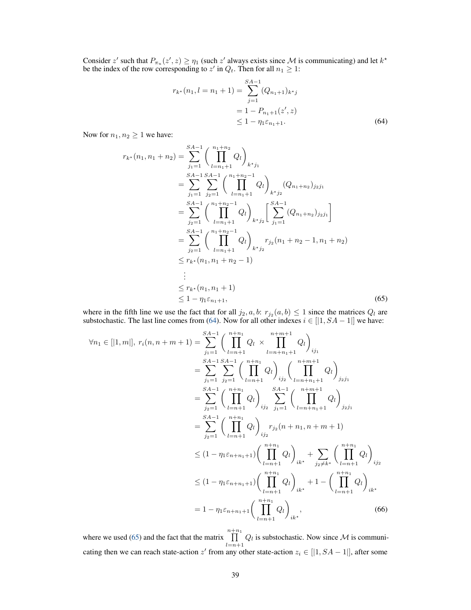Consider z' such that  $P_{\pi_u}(z', z) \ge \eta_1$  (such z' always exists since M is communicating) and let  $k^*$ be the index of the row corresponding to  $z'$  in  $Q_t$ . Then for all  $n_1 \geq 1$ :

<span id="page-38-0"></span>
$$
r_{k^*}(n_1, l = n_1 + 1) = \sum_{j=1}^{SA-1} (Q_{n_1+1})_{k^*j}
$$
  
= 1 - P\_{n\_1+1}(z', z)  

$$
\leq 1 - \eta_1 \varepsilon_{n_1+1}.
$$
 (64)

Now for  $n_1, n_2 \geq 1$  we have:

$$
r_{k^*}(n_1, n_1 + n_2) = \sum_{j_1=1}^{SA-1} \left( \prod_{l=n_1+1}^{n_1+n_2} Q_l \right)_{k^*j_1}
$$
  
\n
$$
= \sum_{j_1=1}^{SA-1} \sum_{j_2=1}^{SA-1} \left( \prod_{l=n_1+1}^{n_1+n_2-1} Q_l \right)_{k^*j_2} (Q_{n_1+n_2})_{j_2j_1}
$$
  
\n
$$
= \sum_{j_2=1}^{SA-1} \left( \prod_{l=n_1+1}^{n_1+n_2-1} Q_l \right)_{k^*j_2} \left[ \sum_{j_1=1}^{SA-1} (Q_{n_1+n_2})_{j_2j_1} \right]
$$
  
\n
$$
= \sum_{j_2=1}^{SA-1} \left( \prod_{l=n_1+1}^{n_1+n_2-1} Q_l \right)_{k^*j_2} r_{j_2}(n_1+n_2-1, n_1+n_2)
$$
  
\n
$$
\leq r_{k^*}(n_1, n_1+n_2-1)
$$
  
\n
$$
\vdots
$$
  
\n
$$
\leq r_{k^*}(n_1, n_1+1)
$$
  
\n
$$
\leq 1 - \eta_1 \varepsilon_{n_1+1}, \qquad (65)
$$

where in the fifth line we use the fact that for all  $j_2, a, b: r_{j_2}(a, b) \leq 1$  since the matrices  $Q_l$  are substochastic. The last line comes from [\(64\)](#page-38-0). Now for all other indexes  $i \in [\,]1, SA - 1\,]$  we have:

<span id="page-38-1"></span>
$$
\forall n_1 \in [|1, m|], r_i(n, n + m + 1) = \sum_{j_1=1}^{S A-1} \left( \prod_{l=n+1}^{n+n_1} Q_l \times \prod_{l=n+n_1+1}^{n+m_1} Q_l \right)_{ij_1}
$$
  
\n
$$
= \sum_{j_1=1}^{S A-1} \sum_{j_2=1}^{S A-1} \left( \prod_{l=n+1}^{n+n_1} Q_l \right)_{ij_2} \left( \prod_{l=n+n_1+1}^{n+m_1} Q_l \right)_{j_2 j_1}
$$
  
\n
$$
= \sum_{j_2=1}^{S A-1} \left( \prod_{l=n+1}^{n+n_1} Q_l \right)_{ij_2} \sum_{j_1=1}^{S A-1} \left( \prod_{l=n+n_1+1}^{n+m_1+1} Q_l \right)_{j_2 j_1}
$$
  
\n
$$
= \sum_{j_2=1}^{S A-1} \left( \prod_{l=n+1}^{n+n_1} Q_l \right)_{ij_2} r_{j_2}(n + n_1, n + m + 1)
$$
  
\n
$$
\leq (1 - \eta_1 \varepsilon_{n+n_1+1}) \left( \prod_{l=n+1}^{n+n_1} Q_l \right)_{ik^*} + \sum_{j_2 \neq k^*} \left( \prod_{l=n+1}^{n+n_1} Q_l \right)_{ij_2}
$$
  
\n
$$
\leq (1 - \eta_1 \varepsilon_{n+n_1+1}) \left( \prod_{l=n+1}^{n+n_1} Q_l \right)_{ik^*} + 1 - \left( \prod_{l=n+1}^{n+n_1} Q_l \right)_{ik^*}
$$
  
\n
$$
= 1 - \eta_1 \varepsilon_{n+n_1+1} \left( \prod_{l=n+1}^{n+n_1} Q_l \right)_{ik^*}, \qquad (66)
$$

<span id="page-38-2"></span>where we used [\(65\)](#page-38-1) and the fact that the matrix  $\prod_{n+n_1}$  $\prod_{l=n+1} Q_l$  is substochastic. Now since M is communicating then we can reach state-action  $z'$  from any other state-action  $z_i \in [1, SA - 1]$ , after some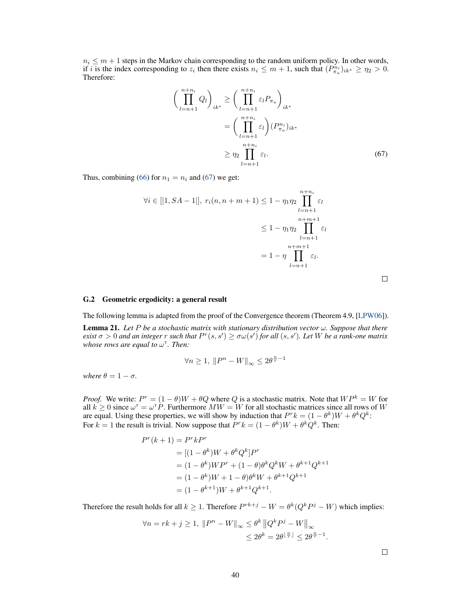$n_i \leq m + 1$  steps in the Markov chain corresponding to the random uniform policy. In other words, if i is the index corresponding to  $z_i$  then there exists  $n_i \leq m+1$ , such that  $(P_{\pi_u}^{n_i})_{ik^*} \geq \eta_2 > 0$ . Therefore:

$$
\left(\prod_{l=n+1}^{n+n_i} Q_l\right)_{ik^*} \ge \left(\prod_{l=n+1}^{n+n_i} \varepsilon_l P_{\pi_u}\right)_{ik^*}
$$
\n
$$
= \left(\prod_{l=n+1}^{n+n_i} \varepsilon_l\right) (P_{\pi_u}^{n_i})_{ik^*}
$$
\n
$$
\ge \eta_2 \prod_{l=n+1}^{n+n_i} \varepsilon_l.
$$
\n(67)

Thus, combining [\(66\)](#page-38-2) for  $n_1 = n_i$  and [\(67\)](#page-39-1) we get:

$$
\forall i \in [|1, SA - 1|], r_i(n, n + m + 1) \le 1 - \eta_1 \eta_2 \prod_{l=n+1}^{n+n_i} \varepsilon_l
$$
  

$$
\le 1 - \eta_1 \eta_2 \prod_{l=n+1}^{n+m+1} \varepsilon_l
$$
  

$$
= 1 - \eta \prod_{l=n+1}^{n+m+1} \varepsilon_l.
$$

<span id="page-39-1"></span>

#### G.2 Geometric ergodicity: a general result

The following lemma is adapted from the proof of the Convergence theorem (Theorem 4.9, [\[LPW06\]](#page-11-14)).

<span id="page-39-0"></span>**Lemma 21.** Let P be a stochastic matrix with stationary distribution vector  $\omega$ . Suppose that there  $e$ xist  $\sigma > 0$  and an integer  $r$  such that  $P^r(s, s') \ge \sigma \omega(s')$  for all  $(s, s')$ . Let  $W$  be a rank-one matrix whose rows are equal to  $ω<sup>τ</sup>$ *. Then:* 

$$
\forall n\geq 1,\ \left\|P^n-W\right\|_\infty\leq 2\theta^{\frac{n}{r}-1}
$$

*where*  $\theta = 1 - \sigma$ *.* 

*Proof.* We write:  $P^r = (1 - \theta)W + \theta Q$  where Q is a stochastic matrix. Note that  $WP^k = W$  for all  $k \geq 0$  since  $\omega^{\dagger} = \omega^{\dagger} P$ . Furthermore  $MW = W$  for all stochastic matrices since all rows of W are equal. Using these properties, we will show by induction that  $P^r k = (1 - \theta^k)W + \theta^k Q^k$ : For  $k = 1$  the result is trivial. Now suppose that  $P^r k = (1 - \theta^k)W + \theta^k Q^k$ . Then:

$$
P^{r}(k+1) = P^{r}kP^{r}
$$
  
= [(1 -  $\theta^{k}$ )W +  $\theta^{k}Q^{k}$ ] $P^{r}$   
= (1 -  $\theta^{k}$ )W P<sup>r</sup> + (1 -  $\theta$ ) $\theta^{k}Q^{k}W + \theta^{k+1}Q^{k+1}$   
= (1 -  $\theta^{k}$ )W + 1 -  $\theta$ ) $\theta^{k}W + \theta^{k+1}Q^{k+1}$   
= (1 -  $\theta^{k+1}$ )W +  $\theta^{k+1}Q^{k+1}$ .

Therefore the result holds for all  $k \geq 1$ . Therefore  $P^{rk+j} - W = \theta^k(Q^k P^j - W)$  which implies:

$$
\forall n = rk + j \ge 1, \|P^n - W\|_{\infty} \le \theta^k \|Q^k P^j - W\|_{\infty}
$$
  

$$
\le 2\theta^k = 2\theta^{\lfloor \frac{n}{r} \rfloor} \le 2\theta^{\frac{n}{r} - 1}.
$$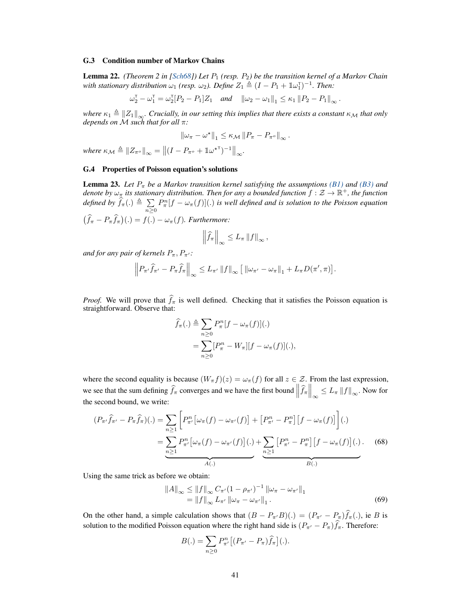#### G.3 Condition number of Markov Chains

<span id="page-40-0"></span>Lemma 22. *(Theorem 2 in [\[Sch68\]](#page-12-10)) Let*  $P_1$  *(resp.*  $P_2$ *) be the transition kernel of a Markov Chain with stationary distribution*  $\omega_1$  *(resp.*  $\omega_2$ ). Define  $Z_1 \triangleq (I - P_1 + \mathbb{1}\omega_1^{\mathsf{T}})^{-1}$ . Then:

$$
\omega_2^{\mathsf{T}} - \omega_1^{\mathsf{T}} = \omega_2^{\mathsf{T}} [P_2 - P_1] Z_1 \quad \text{and} \quad \|\omega_2 - \omega_1\|_1 \le \kappa_1 \|P_2 - P_1\|_{\infty}.
$$

*where*  $\kappa_1 \triangleq ||Z_1||_{\infty}$ *. Crucially, in our setting this implies that there exists a constant*  $\kappa_M$  *that only depends on* M *such that for all* π*:*

$$
\left\|\omega_{\pi}-\omega^{\star}\right\|_{1}\leq\kappa_{\mathcal{M}}\left\|P_{\pi}-P_{\pi^{o}}\right\|_{\infty}.
$$

where  $\kappa_{\mathcal{M}} \triangleq ||Z_{\pi^o}||_{\infty} = ||(I - P_{\pi^o} + \mathbb{1}\omega^{\star \top})^{-1}||_{\infty}$ .

# G.4 Properties of Poisson equation's solutions

<span id="page-40-1"></span>**Lemma 23.** Let  $P_{\pi}$  be a Markov transition kernel satisfying the assumptions [\(B1\)](#page-21-5) and [\(B3\)](#page-21-4) and denote by  $\omega_\pi$  its stationary distribution. Then for any a bounded function  $f:\mathcal{Z}\to \mathbb{R}^+$ , the function *defined by*  $\widehat{f}_{\pi}(.)\triangleq \sum_{n=1}^{N}$  $n\geq 0$  $P_{\pi}^{n}[f - \omega_{\pi}(f)](.)$  *is well defined and is solution to the Poisson equation*  $(\hat{f}_{\pi} - P_{\pi} \hat{f}_{\pi})(.) = f(.) - \omega_{\pi}(f)$ *. Furthermore:* 

$$
\left\|\widehat{f}_{\pi}\right\|_{\infty}\leq L_{\pi}\left\|f\right\|_{\infty},
$$

*and for any pair of kernels*  $P_{\pi}$ ,  $P_{\pi'}$ *:* 

$$
\left\|P_{\pi'}\widehat{f}_{\pi'}-P_{\pi}\widehat{f}_{\pi}\right\|_{\infty}\leq L_{\pi'}\left\|f\right\|_{\infty}\left[\left\|\omega_{\pi'}-\omega_{\pi}\right\|_{1}+L_{\pi}D(\pi',\pi)\right].
$$

*Proof.* We will prove that  $\hat{f}_{\pi}$  is well defined. Checking that it satisfies the Poisson equation is straightforward. Observe that:

$$
\widehat{f}_{\pi}(.)\triangleq \sum_{n\geq 0} P_{\pi}^{n}[f-\omega_{\pi}(f)](.)
$$

$$
=\sum_{n\geq 0} [P_{\pi}^{n}-W_{\pi}][f-\omega_{\pi}(f)](.)
$$

where the second equality is because  $(W_\pi f)(z) = \omega_\pi(f)$  for all  $z \in \mathcal{Z}$ . From the last expression, we see that the sum defining  $\hat{f}_{\pi}$  converges and we have the first bound  $\left\|\hat{f}_{\pi}\right\|_{\infty} \leq L_{\pi} \|f\|_{\infty}$ . Now for the second bound, we write:

$$
(P_{\pi'}\widehat{f}_{\pi'} - P_{\pi}\widehat{f}_{\pi})(.) = \sum_{n\geq 1} \left[ P_{\pi'}^n \left[ \omega_{\pi}(f) - \omega_{\pi'}(f) \right] + \left[ P_{\pi'}^n - P_{\pi}^n \right] \left[ f - \omega_{\pi}(f) \right] \right].
$$
  

$$
= \underbrace{\sum_{n\geq 1} P_{\pi'}^n \left[ \omega_{\pi}(f) - \omega_{\pi'}(f) \right] (.)}_{A(.)} + \underbrace{\sum_{n\geq 1} \left[ P_{\pi'}^n - P_{\pi}^n \right] \left[ f - \omega_{\pi}(f) \right] (.)}_{B(.)}.
$$
 (68)

Using the same trick as before we obtain:

<span id="page-40-2"></span>
$$
||A||_{\infty} \le ||f||_{\infty} C_{\pi'} (1 - \rho_{\pi'})^{-1} ||\omega_{\pi} - \omega_{\pi'}||_1
$$
  
=  $||f||_{\infty} L_{\pi'} ||\omega_{\pi} - \omega_{\pi'}||_1$ . (69)

On the other hand, a simple calculation shows that  $(B - P_{\pi}/B)(.) = (P_{\pi'} - P_{\pi})\hat{f}_{\pi}(.)$ , ie B is solution to the modified Poisson equation where the right hand side is  $(P_{\pi'} - P_{\pi})\hat{f}_{\pi}$ . Therefore:

<span id="page-40-3"></span>
$$
B(.) = \sum_{n\geq 0} P_{\pi'}^n \left[ (P_{\pi'} - P_{\pi}) \widehat{f}_{\pi} \right] (.)
$$